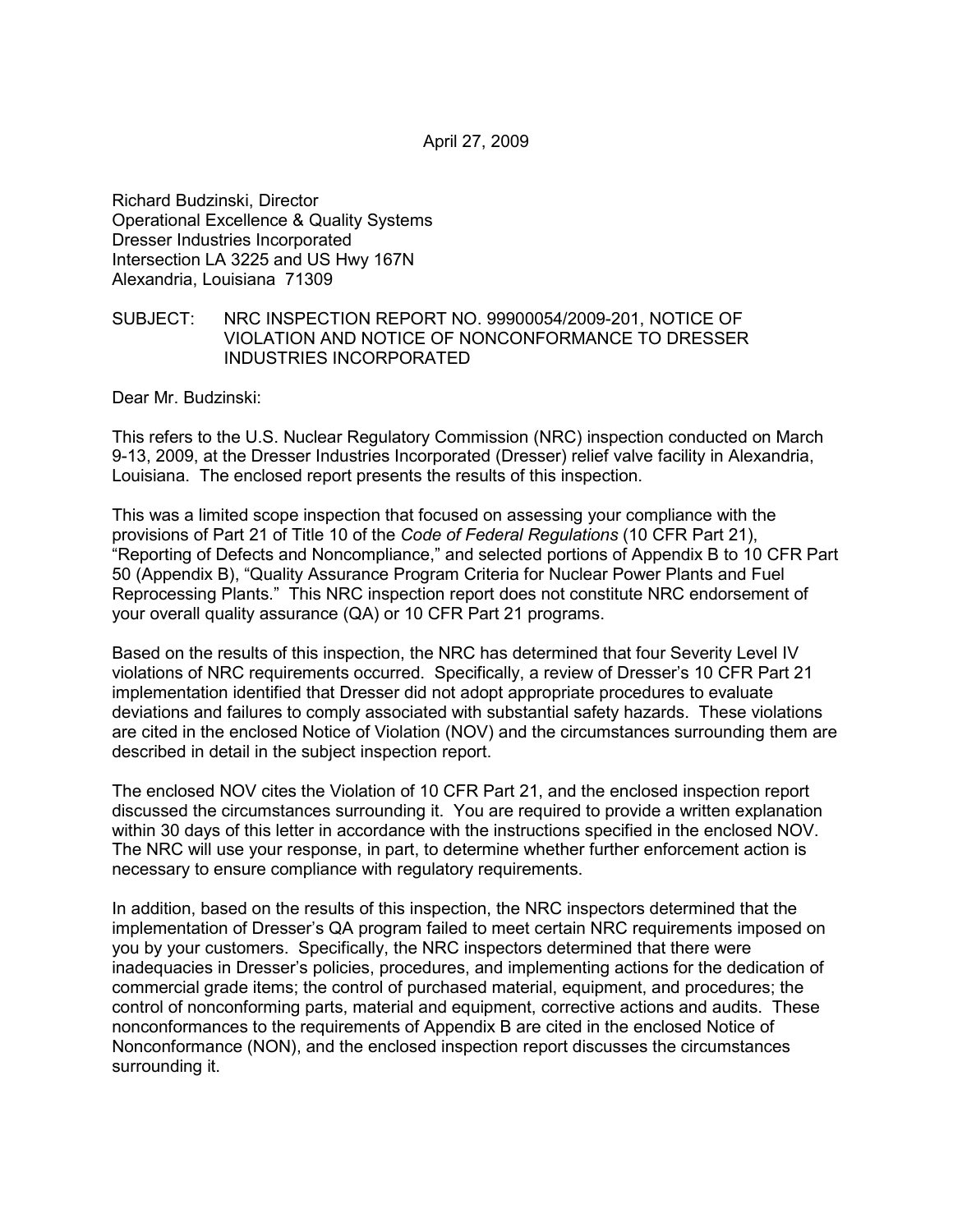April 27, 2009

Richard Budzinski, Director Operational Excellence & Quality Systems Dresser Industries Incorporated Intersection LA 3225 and US Hwy 167N Alexandria, Louisiana 71309

#### SUBJECT: NRC INSPECTION REPORT NO. 99900054/2009-201, NOTICE OF VIOLATION AND NOTICE OF NONCONFORMANCE TO DRESSER INDUSTRIES INCORPORATED

Dear Mr. Budzinski:

This refers to the U.S. Nuclear Regulatory Commission (NRC) inspection conducted on March 9-13, 2009, at the Dresser Industries Incorporated (Dresser) relief valve facility in Alexandria, Louisiana. The enclosed report presents the results of this inspection.

This was a limited scope inspection that focused on assessing your compliance with the provisions of Part 21 of Title 10 of the *Code of Federal Regulations* (10 CFR Part 21), "Reporting of Defects and Noncompliance," and selected portions of Appendix B to 10 CFR Part 50 (Appendix B), "Quality Assurance Program Criteria for Nuclear Power Plants and Fuel Reprocessing Plants." This NRC inspection report does not constitute NRC endorsement of your overall quality assurance (QA) or 10 CFR Part 21 programs.

Based on the results of this inspection, the NRC has determined that four Severity Level IV violations of NRC requirements occurred. Specifically, a review of Dresser's 10 CFR Part 21 implementation identified that Dresser did not adopt appropriate procedures to evaluate deviations and failures to comply associated with substantial safety hazards. These violations are cited in the enclosed Notice of Violation (NOV) and the circumstances surrounding them are described in detail in the subject inspection report.

The enclosed NOV cites the Violation of 10 CFR Part 21, and the enclosed inspection report discussed the circumstances surrounding it. You are required to provide a written explanation within 30 days of this letter in accordance with the instructions specified in the enclosed NOV. The NRC will use your response, in part, to determine whether further enforcement action is necessary to ensure compliance with regulatory requirements.

In addition, based on the results of this inspection, the NRC inspectors determined that the implementation of Dresser's QA program failed to meet certain NRC requirements imposed on you by your customers. Specifically, the NRC inspectors determined that there were inadequacies in Dresser's policies, procedures, and implementing actions for the dedication of commercial grade items; the control of purchased material, equipment, and procedures; the control of nonconforming parts, material and equipment, corrective actions and audits. These nonconformances to the requirements of Appendix B are cited in the enclosed Notice of Nonconformance (NON), and the enclosed inspection report discusses the circumstances surrounding it.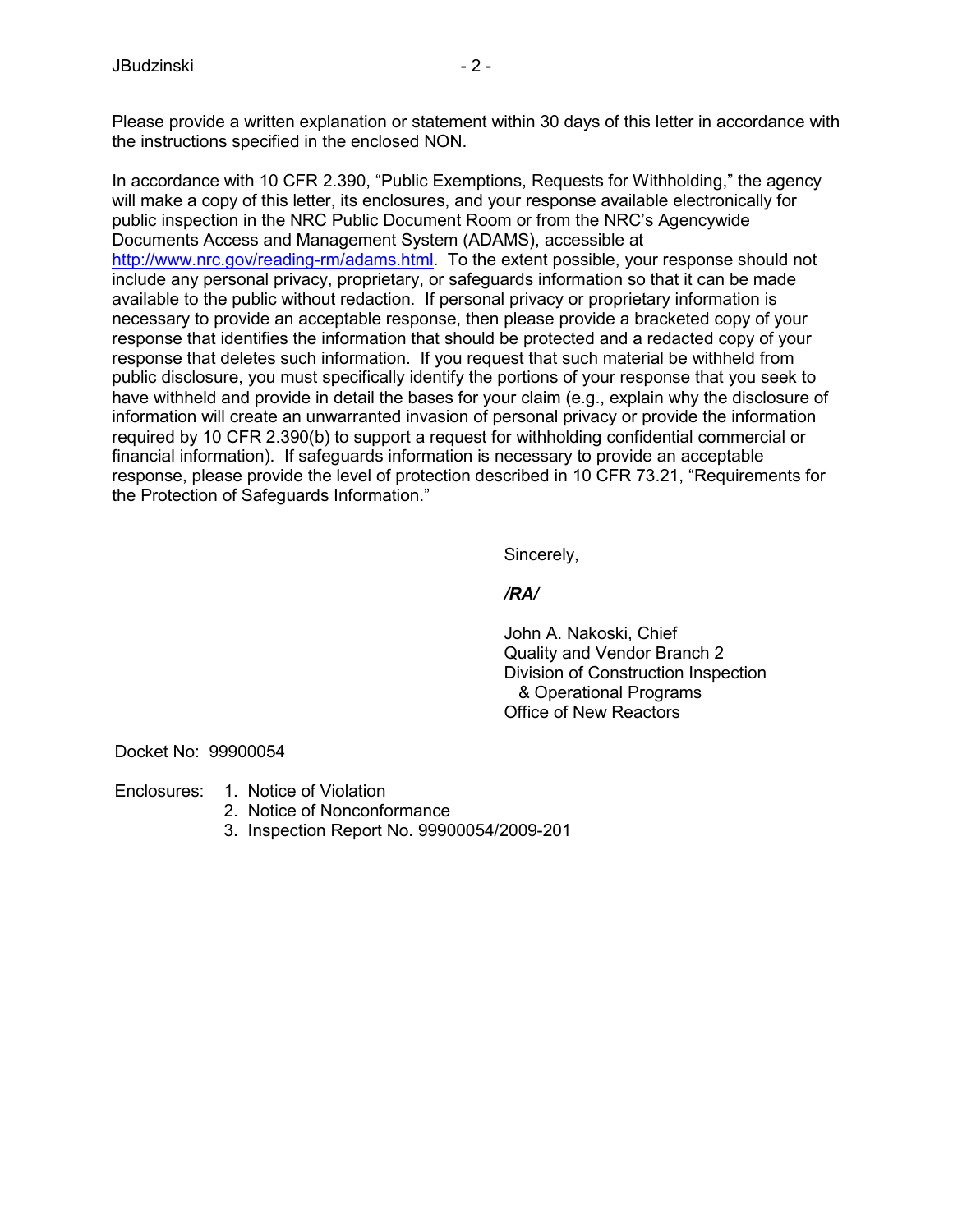Please provide a written explanation or statement within 30 days of this letter in accordance with the instructions specified in the enclosed NON.

In accordance with 10 CFR 2.390, "Public Exemptions, Requests for Withholding," the agency will make a copy of this letter, its enclosures, and your response available electronically for public inspection in the NRC Public Document Room or from the NRC's Agencywide Documents Access and Management System (ADAMS), accessible at http://www.nrc.gov/reading-rm/adams.html. To the extent possible, your response should not include any personal privacy, proprietary, or safeguards information so that it can be made available to the public without redaction. If personal privacy or proprietary information is necessary to provide an acceptable response, then please provide a bracketed copy of your response that identifies the information that should be protected and a redacted copy of your response that deletes such information. If you request that such material be withheld from public disclosure, you must specifically identify the portions of your response that you seek to have withheld and provide in detail the bases for your claim (e.g., explain why the disclosure of information will create an unwarranted invasion of personal privacy or provide the information required by 10 CFR 2.390(b) to support a request for withholding confidential commercial or financial information). If safeguards information is necessary to provide an acceptable response, please provide the level of protection described in 10 CFR 73.21, "Requirements for the Protection of Safeguards Information."

Sincerely,

## */RA/*

 John A. Nakoski, Chief Quality and Vendor Branch 2 Division of Construction Inspection & Operational Programs Office of New Reactors

Docket No: 99900054

Enclosures: 1. Notice of Violation

- 2. Notice of Nonconformance
- 3. Inspection Report No. 99900054/2009-201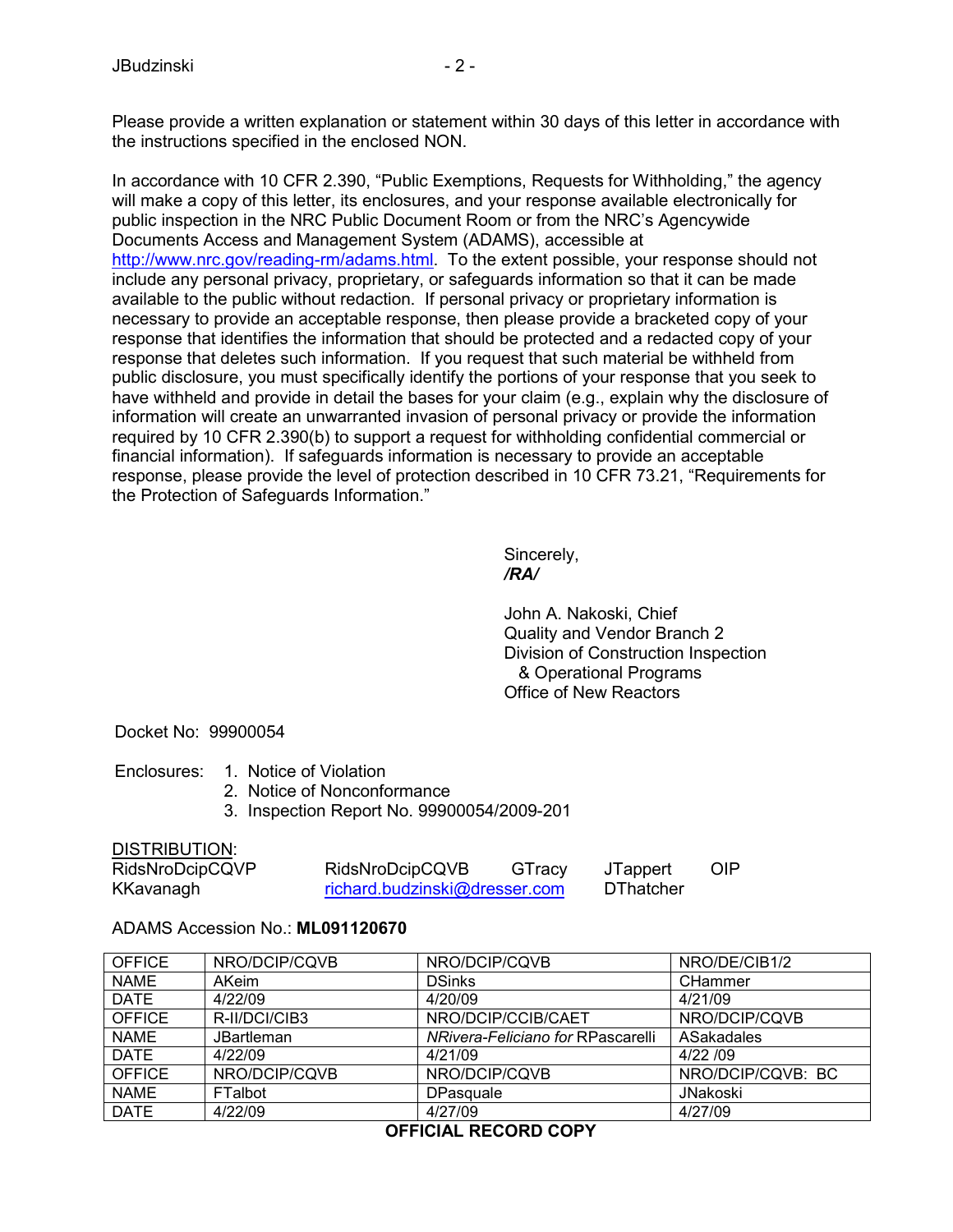Please provide a written explanation or statement within 30 days of this letter in accordance with the instructions specified in the enclosed NON.

In accordance with 10 CFR 2.390, "Public Exemptions, Requests for Withholding," the agency will make a copy of this letter, its enclosures, and your response available electronically for public inspection in the NRC Public Document Room or from the NRC's Agencywide Documents Access and Management System (ADAMS), accessible at http://www.nrc.gov/reading-rm/adams.html. To the extent possible, your response should not include any personal privacy, proprietary, or safeguards information so that it can be made available to the public without redaction. If personal privacy or proprietary information is necessary to provide an acceptable response, then please provide a bracketed copy of your response that identifies the information that should be protected and a redacted copy of your response that deletes such information. If you request that such material be withheld from public disclosure, you must specifically identify the portions of your response that you seek to have withheld and provide in detail the bases for your claim (e.g., explain why the disclosure of information will create an unwarranted invasion of personal privacy or provide the information required by 10 CFR 2.390(b) to support a request for withholding confidential commercial or financial information). If safeguards information is necessary to provide an acceptable response, please provide the level of protection described in 10 CFR 73.21, "Requirements for the Protection of Safeguards Information."

 Sincerely, */RA/* 

> John A. Nakoski, Chief Quality and Vendor Branch 2 Division of Construction Inspection & Operational Programs Office of New Reactors

Docket No: 99900054

- Enclosures: 1. Notice of Violation
	- 2. Notice of Nonconformance
	- 3. Inspection Report No. 99900054/2009-201

#### DISTRIBUTION:

| RidsNroDcipCQVP | RidsNroDcipCQVB               | GTracy | JTappert         | <b>OIP</b> |
|-----------------|-------------------------------|--------|------------------|------------|
| KKavanagh       | richard.budzinski@dresser.com |        | <b>DThatcher</b> |            |

ADAMS Accession No.: **ML091120670**

| NRO/DCIP/CQVB     | NRO/DCIP/CQVB                     | NRO/DE/CIB1/2     |
|-------------------|-----------------------------------|-------------------|
| AKeim             | <b>DSinks</b>                     | CHammer           |
| 4/22/09           | 4/20/09                           | 4/21/09           |
| R-II/DCI/CIB3     | NRO/DCIP/CCIB/CAET                | NRO/DCIP/CQVB     |
| <b>JBartleman</b> | NRivera-Feliciano for RPascarelli | ASakadales        |
| 4/22/09           | 4/21/09                           | 4/22/09           |
| NRO/DCIP/CQVB     | NRO/DCIP/CQVB                     | NRO/DCIP/CQVB: BC |
| <b>FTalbot</b>    | <b>DPasquale</b>                  | JNakoski          |
| 4/22/09           | 4/27/09                           | 4/27/09           |
|                   |                                   |                   |

# **OFFICIAL RECORD COPY**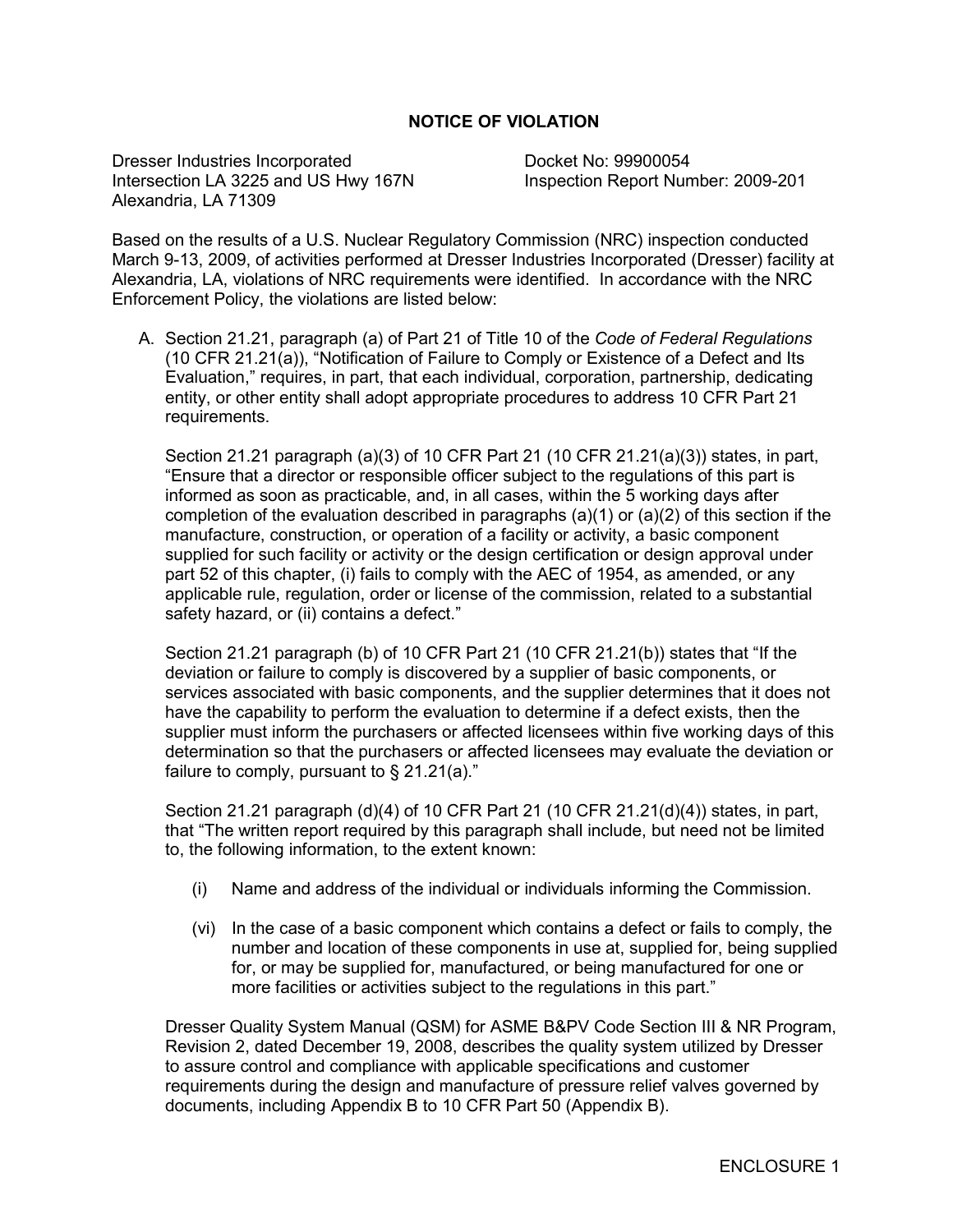### **NOTICE OF VIOLATION**

Dresser Industries Incorporated Docket No: 99900054 Intersection LA 3225 and US Hwy 167N Inspection Report Number: 2009-201 Alexandria, LA 71309

Based on the results of a U.S. Nuclear Regulatory Commission (NRC) inspection conducted March 9-13, 2009, of activities performed at Dresser Industries Incorporated (Dresser) facility at Alexandria, LA, violations of NRC requirements were identified. In accordance with the NRC Enforcement Policy, the violations are listed below:

A. Section 21.21, paragraph (a) of Part 21 of Title 10 of the *Code of Federal Regulations*  (10 CFR 21.21(a)), "Notification of Failure to Comply or Existence of a Defect and Its Evaluation," requires, in part, that each individual, corporation, partnership, dedicating entity, or other entity shall adopt appropriate procedures to address 10 CFR Part 21 requirements.

Section 21.21 paragraph (a)(3) of 10 CFR Part 21 (10 CFR 21.21(a)(3)) states, in part, "Ensure that a director or responsible officer subject to the regulations of this part is informed as soon as practicable, and, in all cases, within the 5 working days after completion of the evaluation described in paragraphs  $(a)(1)$  or  $(a)(2)$  of this section if the manufacture, construction, or operation of a facility or activity, a basic component supplied for such facility or activity or the design certification or design approval under part 52 of this chapter, (i) fails to comply with the AEC of 1954, as amended, or any applicable rule, regulation, order or license of the commission, related to a substantial safety hazard, or (ii) contains a defect."

Section 21.21 paragraph (b) of 10 CFR Part 21 (10 CFR 21.21(b)) states that "If the deviation or failure to comply is discovered by a supplier of basic components, or services associated with basic components, and the supplier determines that it does not have the capability to perform the evaluation to determine if a defect exists, then the supplier must inform the purchasers or affected licensees within five working days of this determination so that the purchasers or affected licensees may evaluate the deviation or failure to comply, pursuant to  $\S$  21.21(a)."

Section 21.21 paragraph (d)(4) of 10 CFR Part 21 (10 CFR 21.21(d)(4)) states, in part, that "The written report required by this paragraph shall include, but need not be limited to, the following information, to the extent known:

- (i) Name and address of the individual or individuals informing the Commission.
- (vi) In the case of a basic component which contains a defect or fails to comply, the number and location of these components in use at, supplied for, being supplied for, or may be supplied for, manufactured, or being manufactured for one or more facilities or activities subject to the regulations in this part."

Dresser Quality System Manual (QSM) for ASME B&PV Code Section III & NR Program, Revision 2, dated December 19, 2008, describes the quality system utilized by Dresser to assure control and compliance with applicable specifications and customer requirements during the design and manufacture of pressure relief valves governed by documents, including Appendix B to 10 CFR Part 50 (Appendix B).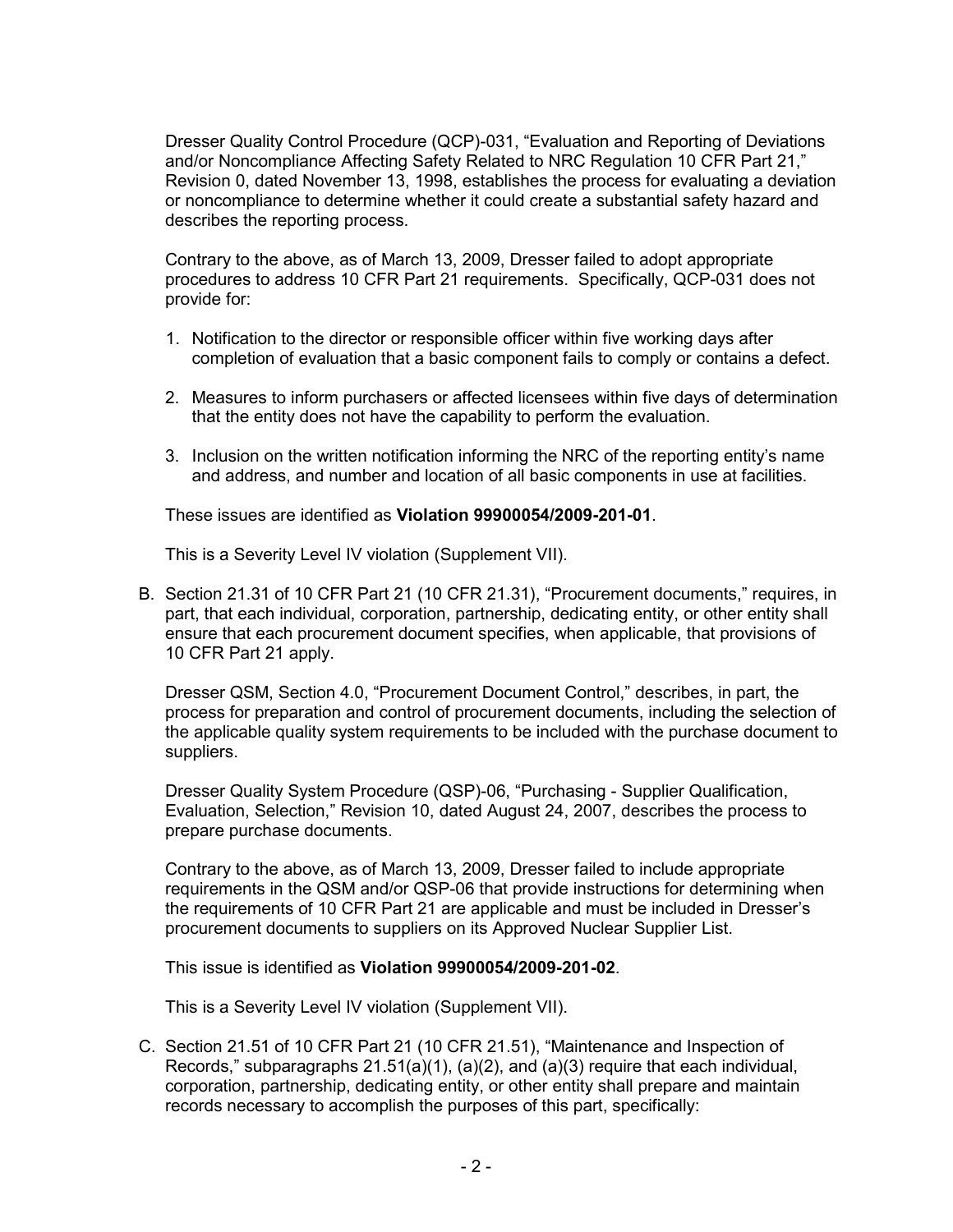Dresser Quality Control Procedure (QCP)-031, "Evaluation and Reporting of Deviations and/or Noncompliance Affecting Safety Related to NRC Regulation 10 CFR Part 21," Revision 0, dated November 13, 1998, establishes the process for evaluating a deviation or noncompliance to determine whether it could create a substantial safety hazard and describes the reporting process.

Contrary to the above, as of March 13, 2009, Dresser failed to adopt appropriate procedures to address 10 CFR Part 21 requirements. Specifically, QCP-031 does not provide for:

- 1. Notification to the director or responsible officer within five working days after completion of evaluation that a basic component fails to comply or contains a defect.
- 2. Measures to inform purchasers or affected licensees within five days of determination that the entity does not have the capability to perform the evaluation.
- 3. Inclusion on the written notification informing the NRC of the reporting entity's name and address, and number and location of all basic components in use at facilities.

These issues are identified as **Violation 99900054/2009-201-01**.

This is a Severity Level IV violation (Supplement VII).

B. Section 21.31 of 10 CFR Part 21 (10 CFR 21.31), "Procurement documents," requires, in part, that each individual, corporation, partnership, dedicating entity, or other entity shall ensure that each procurement document specifies, when applicable, that provisions of 10 CFR Part 21 apply.

Dresser QSM, Section 4.0, "Procurement Document Control," describes, in part, the process for preparation and control of procurement documents, including the selection of the applicable quality system requirements to be included with the purchase document to suppliers.

Dresser Quality System Procedure (QSP)-06, "Purchasing - Supplier Qualification, Evaluation, Selection," Revision 10, dated August 24, 2007, describes the process to prepare purchase documents.

Contrary to the above, as of March 13, 2009, Dresser failed to include appropriate requirements in the QSM and/or QSP-06 that provide instructions for determining when the requirements of 10 CFR Part 21 are applicable and must be included in Dresser's procurement documents to suppliers on its Approved Nuclear Supplier List.

This issue is identified as **Violation 99900054/2009-201-02**.

This is a Severity Level IV violation (Supplement VII).

C. Section 21.51 of 10 CFR Part 21 (10 CFR 21.51), "Maintenance and Inspection of Records," subparagraphs  $21.51(a)(1)$ ,  $(a)(2)$ , and  $(a)(3)$  require that each individual, corporation, partnership, dedicating entity, or other entity shall prepare and maintain records necessary to accomplish the purposes of this part, specifically: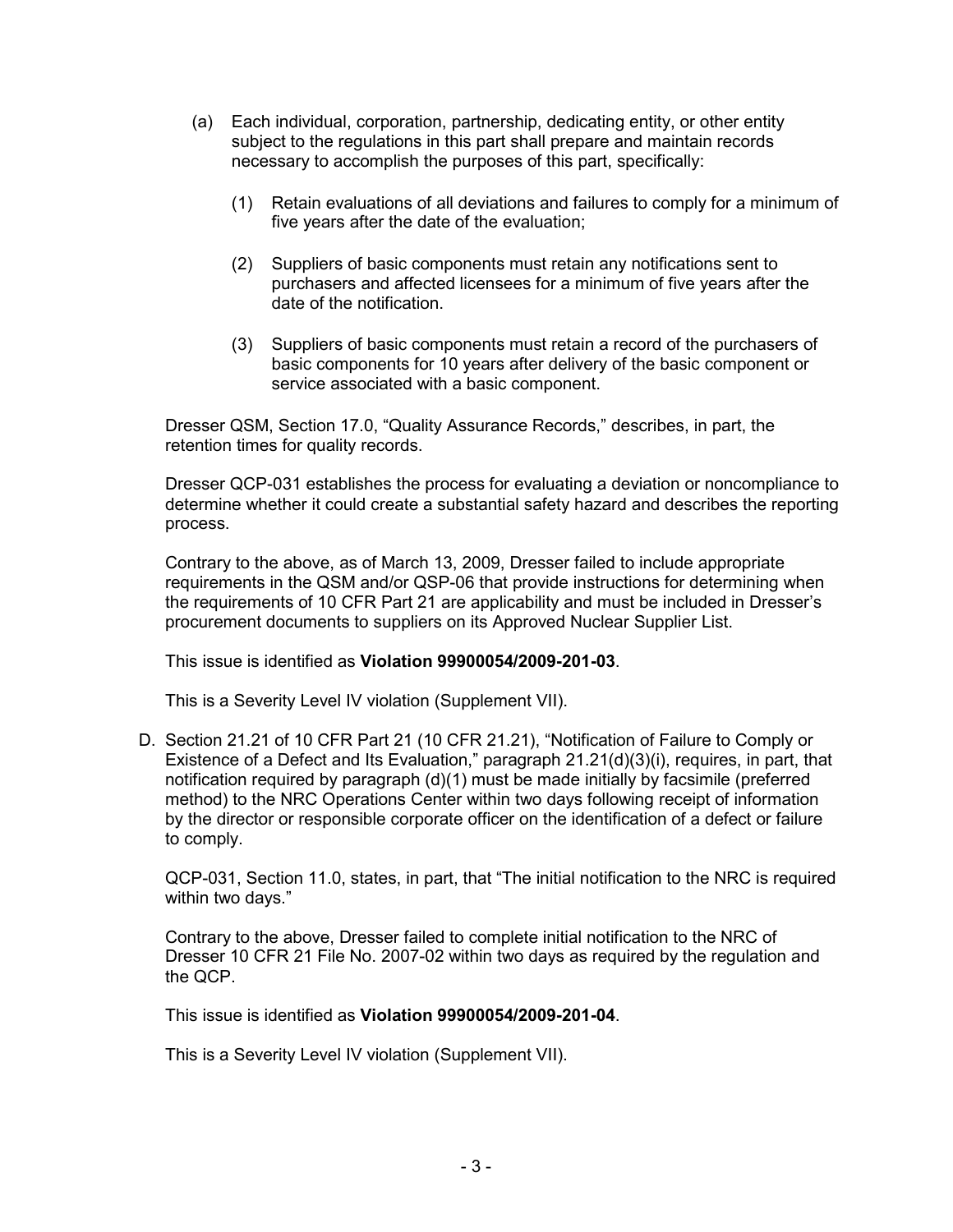- (a) Each individual, corporation, partnership, dedicating entity, or other entity subject to the regulations in this part shall prepare and maintain records necessary to accomplish the purposes of this part, specifically:
	- (1) Retain evaluations of all deviations and failures to comply for a minimum of five years after the date of the evaluation;
	- (2) Suppliers of basic components must retain any notifications sent to purchasers and affected licensees for a minimum of five years after the date of the notification.
	- (3) Suppliers of basic components must retain a record of the purchasers of basic components for 10 years after delivery of the basic component or service associated with a basic component.

Dresser QSM, Section 17.0, "Quality Assurance Records," describes, in part, the retention times for quality records.

Dresser QCP-031 establishes the process for evaluating a deviation or noncompliance to determine whether it could create a substantial safety hazard and describes the reporting process.

Contrary to the above, as of March 13, 2009, Dresser failed to include appropriate requirements in the QSM and/or QSP-06 that provide instructions for determining when the requirements of 10 CFR Part 21 are applicability and must be included in Dresser's procurement documents to suppliers on its Approved Nuclear Supplier List.

This issue is identified as **Violation 99900054/2009-201-03**.

This is a Severity Level IV violation (Supplement VII).

D. Section 21.21 of 10 CFR Part 21 (10 CFR 21.21), "Notification of Failure to Comply or Existence of a Defect and Its Evaluation," paragraph 21.21(d)(3)(i), requires, in part, that notification required by paragraph (d)(1) must be made initially by facsimile (preferred method) to the NRC Operations Center within two days following receipt of information by the director or responsible corporate officer on the identification of a defect or failure to comply.

QCP-031, Section 11.0, states, in part, that "The initial notification to the NRC is required within two days."

Contrary to the above, Dresser failed to complete initial notification to the NRC of Dresser 10 CFR 21 File No. 2007-02 within two days as required by the regulation and the QCP.

This issue is identified as **Violation 99900054/2009-201-04**.

This is a Severity Level IV violation (Supplement VII).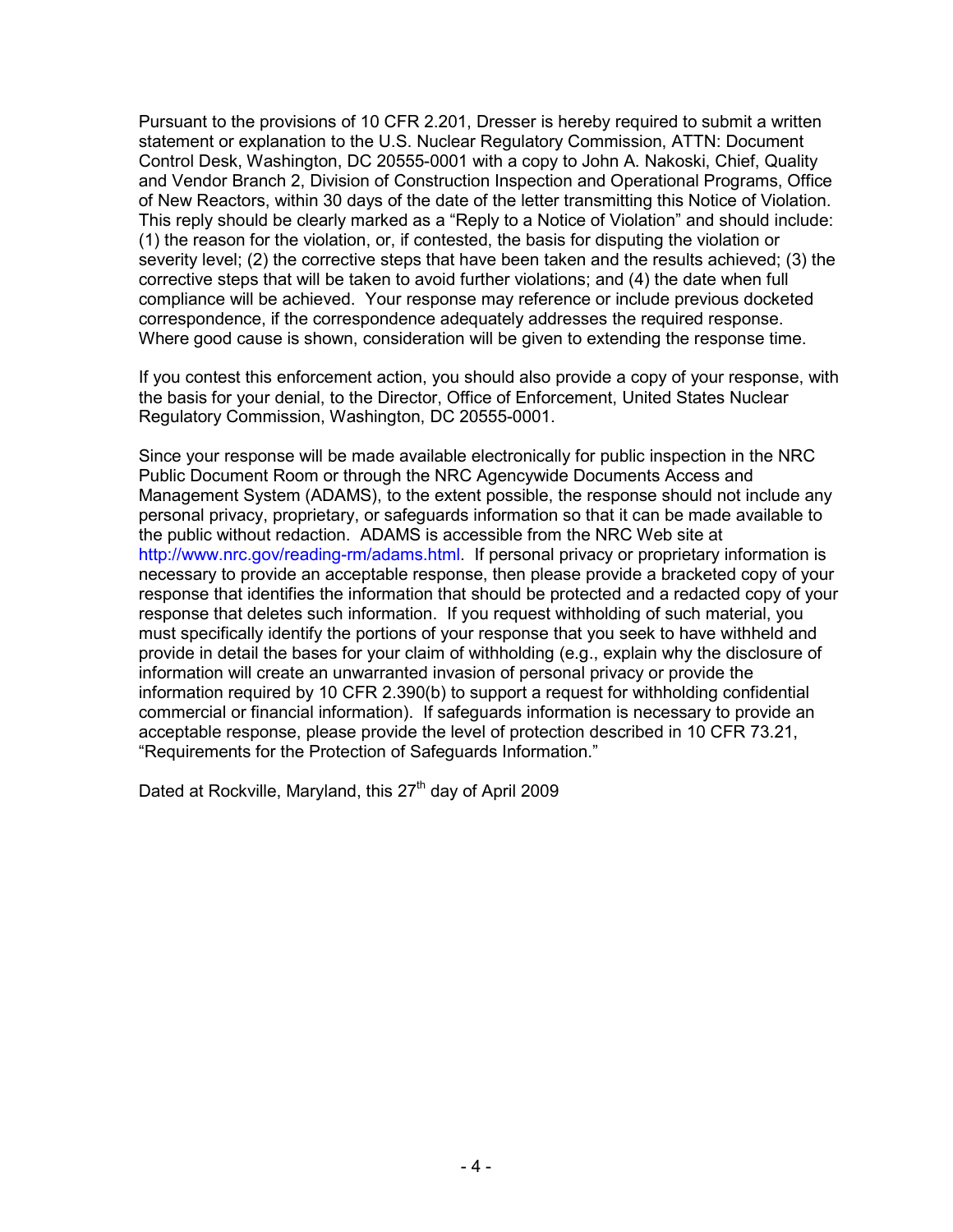Pursuant to the provisions of 10 CFR 2.201, Dresser is hereby required to submit a written statement or explanation to the U.S. Nuclear Regulatory Commission, ATTN: Document Control Desk, Washington, DC 20555-0001 with a copy to John A. Nakoski, Chief, Quality and Vendor Branch 2, Division of Construction Inspection and Operational Programs, Office of New Reactors, within 30 days of the date of the letter transmitting this Notice of Violation. This reply should be clearly marked as a "Reply to a Notice of Violation" and should include: (1) the reason for the violation, or, if contested, the basis for disputing the violation or severity level; (2) the corrective steps that have been taken and the results achieved; (3) the corrective steps that will be taken to avoid further violations; and (4) the date when full compliance will be achieved. Your response may reference or include previous docketed correspondence, if the correspondence adequately addresses the required response. Where good cause is shown, consideration will be given to extending the response time.

If you contest this enforcement action, you should also provide a copy of your response, with the basis for your denial, to the Director, Office of Enforcement, United States Nuclear Regulatory Commission, Washington, DC 20555-0001.

Since your response will be made available electronically for public inspection in the NRC Public Document Room or through the NRC Agencywide Documents Access and Management System (ADAMS), to the extent possible, the response should not include any personal privacy, proprietary, or safeguards information so that it can be made available to the public without redaction. ADAMS is accessible from the NRC Web site at http://www.nrc.gov/reading-rm/adams.html. If personal privacy or proprietary information is necessary to provide an acceptable response, then please provide a bracketed copy of your response that identifies the information that should be protected and a redacted copy of your response that deletes such information. If you request withholding of such material, you must specifically identify the portions of your response that you seek to have withheld and provide in detail the bases for your claim of withholding (e.g., explain why the disclosure of information will create an unwarranted invasion of personal privacy or provide the information required by 10 CFR 2.390(b) to support a request for withholding confidential commercial or financial information). If safeguards information is necessary to provide an acceptable response, please provide the level of protection described in 10 CFR 73.21, "Requirements for the Protection of Safeguards Information."

Dated at Rockville, Maryland, this 27<sup>th</sup> day of April 2009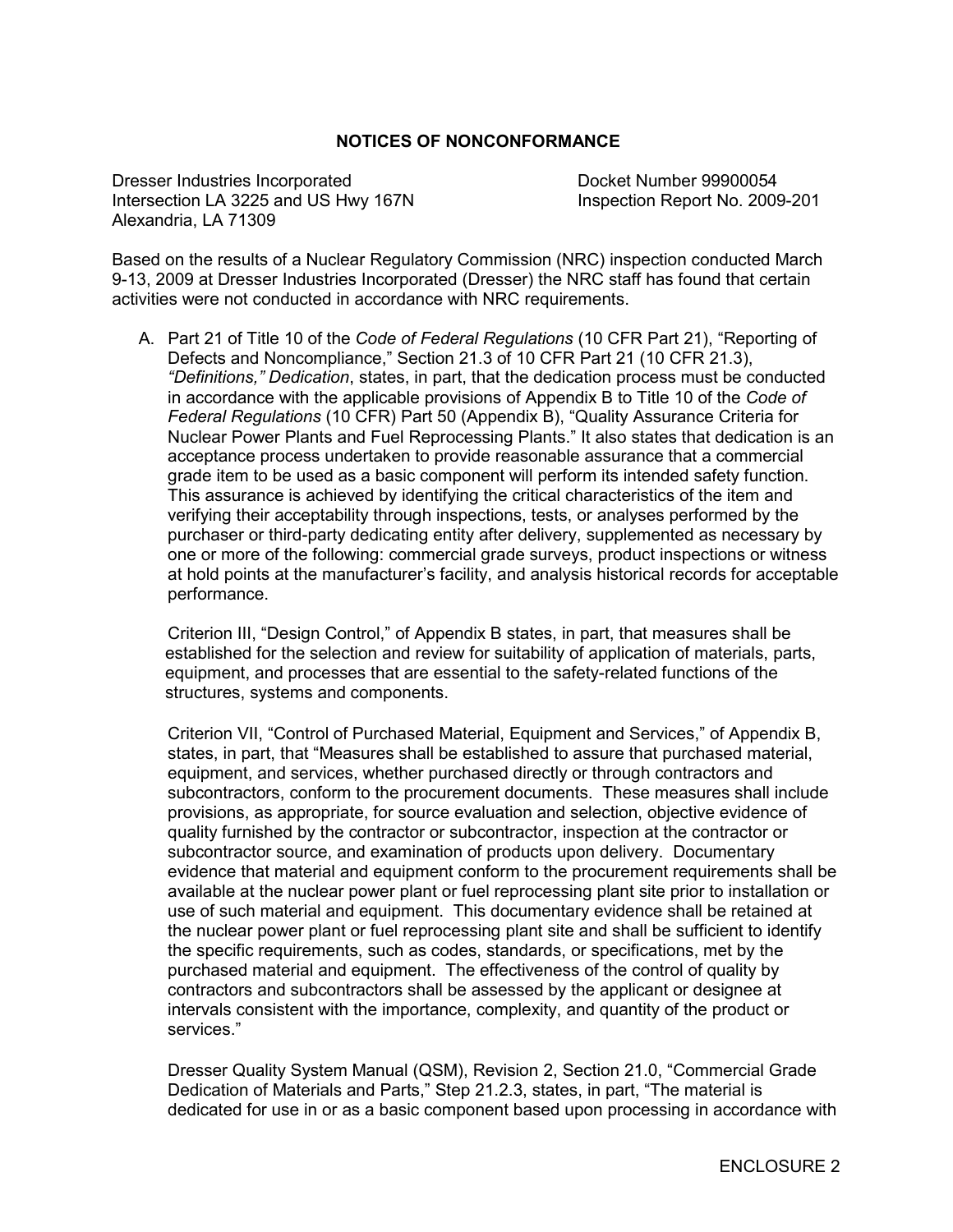#### **NOTICES OF NONCONFORMANCE**

Dresser Industries Incorporated Docket Number 99900054 Intersection LA 3225 and US Hwy 167N Inspection Report No. 2009-201 Alexandria, LA 71309

Based on the results of a Nuclear Regulatory Commission (NRC) inspection conducted March 9-13, 2009 at Dresser Industries Incorporated (Dresser) the NRC staff has found that certain activities were not conducted in accordance with NRC requirements.

A. Part 21 of Title 10 of the *Code of Federal Regulations* (10 CFR Part 21), "Reporting of Defects and Noncompliance," Section 21.3 of 10 CFR Part 21 (10 CFR 21.3), *"Definitions," Dedication*, states, in part, that the dedication process must be conducted in accordance with the applicable provisions of Appendix B to Title 10 of the *Code of Federal Regulations* (10 CFR) Part 50 (Appendix B), "Quality Assurance Criteria for Nuclear Power Plants and Fuel Reprocessing Plants." It also states that dedication is an acceptance process undertaken to provide reasonable assurance that a commercial grade item to be used as a basic component will perform its intended safety function. This assurance is achieved by identifying the critical characteristics of the item and verifying their acceptability through inspections, tests, or analyses performed by the purchaser or third-party dedicating entity after delivery, supplemented as necessary by one or more of the following: commercial grade surveys, product inspections or witness at hold points at the manufacturer's facility, and analysis historical records for acceptable performance.

Criterion III, "Design Control," of Appendix B states, in part, that measures shall be established for the selection and review for suitability of application of materials, parts, equipment, and processes that are essential to the safety-related functions of the structures, systems and components.

Criterion VII, "Control of Purchased Material, Equipment and Services," of Appendix B, states, in part, that "Measures shall be established to assure that purchased material, equipment, and services, whether purchased directly or through contractors and subcontractors, conform to the procurement documents. These measures shall include provisions, as appropriate, for source evaluation and selection, objective evidence of quality furnished by the contractor or subcontractor, inspection at the contractor or subcontractor source, and examination of products upon delivery. Documentary evidence that material and equipment conform to the procurement requirements shall be available at the nuclear power plant or fuel reprocessing plant site prior to installation or use of such material and equipment. This documentary evidence shall be retained at the nuclear power plant or fuel reprocessing plant site and shall be sufficient to identify the specific requirements, such as codes, standards, or specifications, met by the purchased material and equipment. The effectiveness of the control of quality by contractors and subcontractors shall be assessed by the applicant or designee at intervals consistent with the importance, complexity, and quantity of the product or services."

Dresser Quality System Manual (QSM), Revision 2, Section 21.0, "Commercial Grade Dedication of Materials and Parts," Step 21.2.3, states, in part, "The material is dedicated for use in or as a basic component based upon processing in accordance with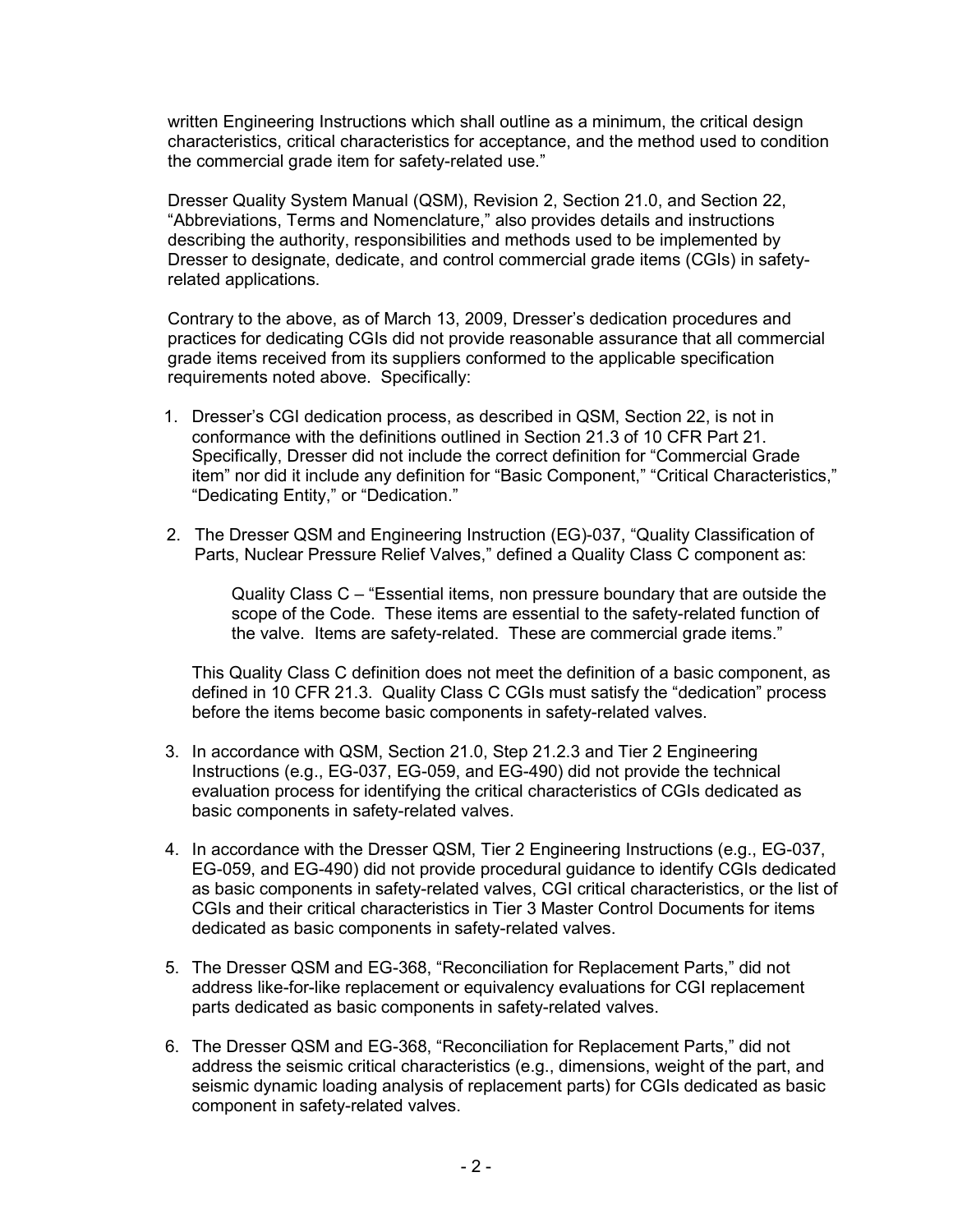written Engineering Instructions which shall outline as a minimum, the critical design characteristics, critical characteristics for acceptance, and the method used to condition the commercial grade item for safety-related use."

Dresser Quality System Manual (QSM), Revision 2, Section 21.0, and Section 22, "Abbreviations, Terms and Nomenclature," also provides details and instructions describing the authority, responsibilities and methods used to be implemented by Dresser to designate, dedicate, and control commercial grade items (CGIs) in safetyrelated applications.

Contrary to the above, as of March 13, 2009, Dresser's dedication procedures and practices for dedicating CGIs did not provide reasonable assurance that all commercial grade items received from its suppliers conformed to the applicable specification requirements noted above. Specifically:

- 1. Dresser's CGI dedication process, as described in QSM, Section 22, is not in conformance with the definitions outlined in Section 21.3 of 10 CFR Part 21. Specifically, Dresser did not include the correct definition for "Commercial Grade item" nor did it include any definition for "Basic Component," "Critical Characteristics," "Dedicating Entity," or "Dedication."
- 2. The Dresser QSM and Engineering Instruction (EG)-037, "Quality Classification of Parts, Nuclear Pressure Relief Valves," defined a Quality Class C component as:

Quality Class C – "Essential items, non pressure boundary that are outside the scope of the Code. These items are essential to the safety-related function of the valve. Items are safety-related. These are commercial grade items."

This Quality Class C definition does not meet the definition of a basic component, as defined in 10 CFR 21.3. Quality Class C CGIs must satisfy the "dedication" process before the items become basic components in safety-related valves.

- 3. In accordance with QSM, Section 21.0, Step 21.2.3 and Tier 2 Engineering Instructions (e.g., EG-037, EG-059, and EG-490) did not provide the technical evaluation process for identifying the critical characteristics of CGIs dedicated as basic components in safety-related valves.
- 4. In accordance with the Dresser QSM, Tier 2 Engineering Instructions (e.g., EG-037, EG-059, and EG-490) did not provide procedural guidance to identify CGIs dedicated as basic components in safety-related valves, CGI critical characteristics, or the list of CGIs and their critical characteristics in Tier 3 Master Control Documents for items dedicated as basic components in safety-related valves.
- 5. The Dresser QSM and EG-368, "Reconciliation for Replacement Parts," did not address like-for-like replacement or equivalency evaluations for CGI replacement parts dedicated as basic components in safety-related valves.
- 6. The Dresser QSM and EG-368, "Reconciliation for Replacement Parts," did not address the seismic critical characteristics (e.g., dimensions, weight of the part, and seismic dynamic loading analysis of replacement parts) for CGIs dedicated as basic component in safety-related valves.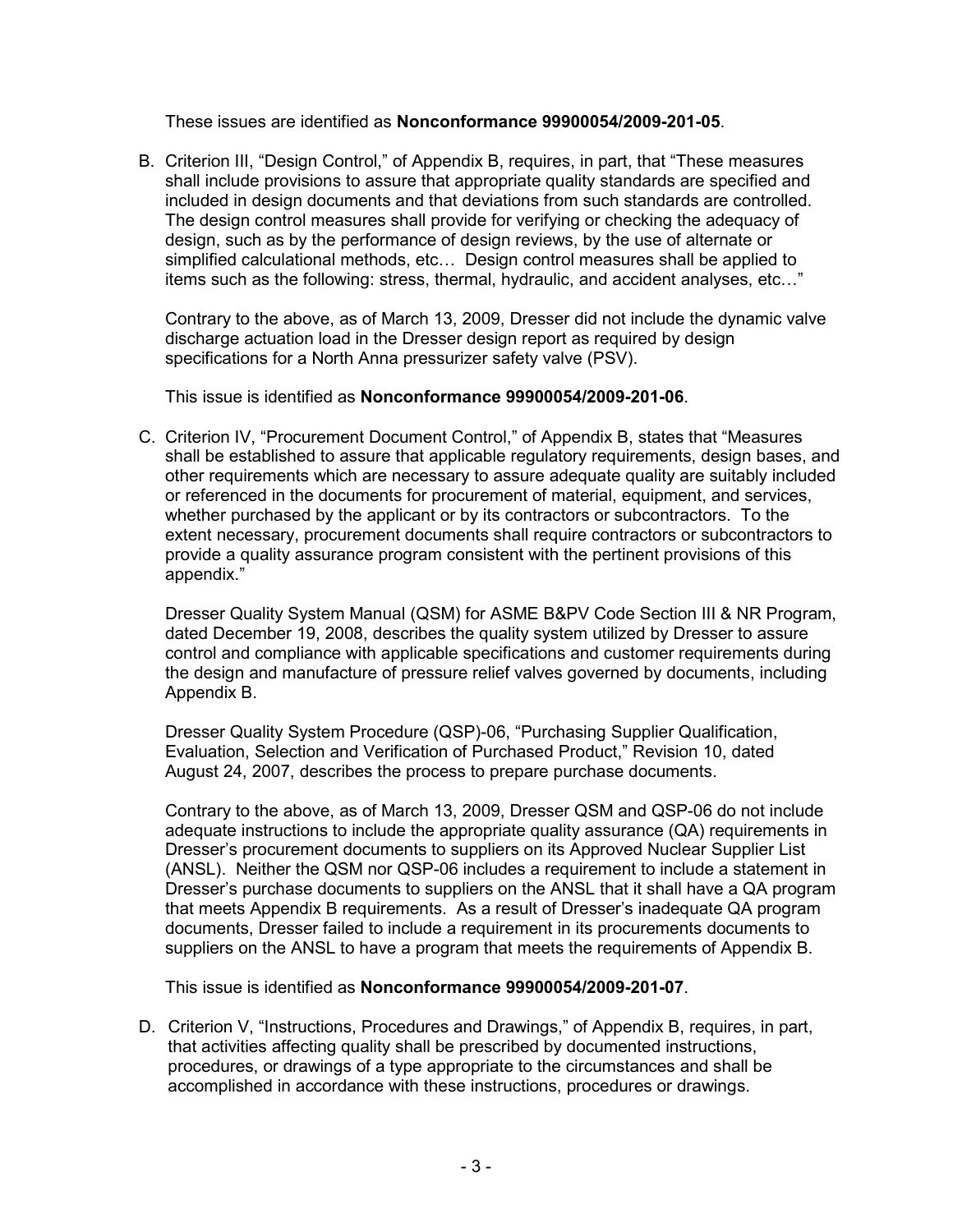These issues are identified as **Nonconformance 99900054/2009-201-05**.

B. Criterion III, "Design Control," of Appendix B, requires, in part, that "These measures shall include provisions to assure that appropriate quality standards are specified and included in design documents and that deviations from such standards are controlled. The design control measures shall provide for verifying or checking the adequacy of design, such as by the performance of design reviews, by the use of alternate or simplified calculational methods, etc… Design control measures shall be applied to items such as the following: stress, thermal, hydraulic, and accident analyses, etc…"

Contrary to the above, as of March 13, 2009, Dresser did not include the dynamic valve discharge actuation load in the Dresser design report as required by design specifications for a North Anna pressurizer safety valve (PSV).

This issue is identified as **Nonconformance 99900054/2009-201-06**.

C. Criterion IV, "Procurement Document Control," of Appendix B, states that "Measures shall be established to assure that applicable regulatory requirements, design bases, and other requirements which are necessary to assure adequate quality are suitably included or referenced in the documents for procurement of material, equipment, and services, whether purchased by the applicant or by its contractors or subcontractors. To the extent necessary, procurement documents shall require contractors or subcontractors to provide a quality assurance program consistent with the pertinent provisions of this appendix."

Dresser Quality System Manual (QSM) for ASME B&PV Code Section III & NR Program, dated December 19, 2008, describes the quality system utilized by Dresser to assure control and compliance with applicable specifications and customer requirements during the design and manufacture of pressure relief valves governed by documents, including Appendix B.

Dresser Quality System Procedure (QSP)-06, "Purchasing Supplier Qualification, Evaluation, Selection and Verification of Purchased Product," Revision 10, dated August 24, 2007, describes the process to prepare purchase documents.

Contrary to the above, as of March 13, 2009, Dresser QSM and QSP-06 do not include adequate instructions to include the appropriate quality assurance (QA) requirements in Dresser's procurement documents to suppliers on its Approved Nuclear Supplier List (ANSL). Neither the QSM nor QSP-06 includes a requirement to include a statement in Dresser's purchase documents to suppliers on the ANSL that it shall have a QA program that meets Appendix B requirements. As a result of Dresser's inadequate QA program documents, Dresser failed to include a requirement in its procurements documents to suppliers on the ANSL to have a program that meets the requirements of Appendix B.

This issue is identified as **Nonconformance 99900054/2009-201-07**.

D. Criterion V, "Instructions, Procedures and Drawings," of Appendix B, requires, in part, that activities affecting quality shall be prescribed by documented instructions, procedures, or drawings of a type appropriate to the circumstances and shall be accomplished in accordance with these instructions, procedures or drawings.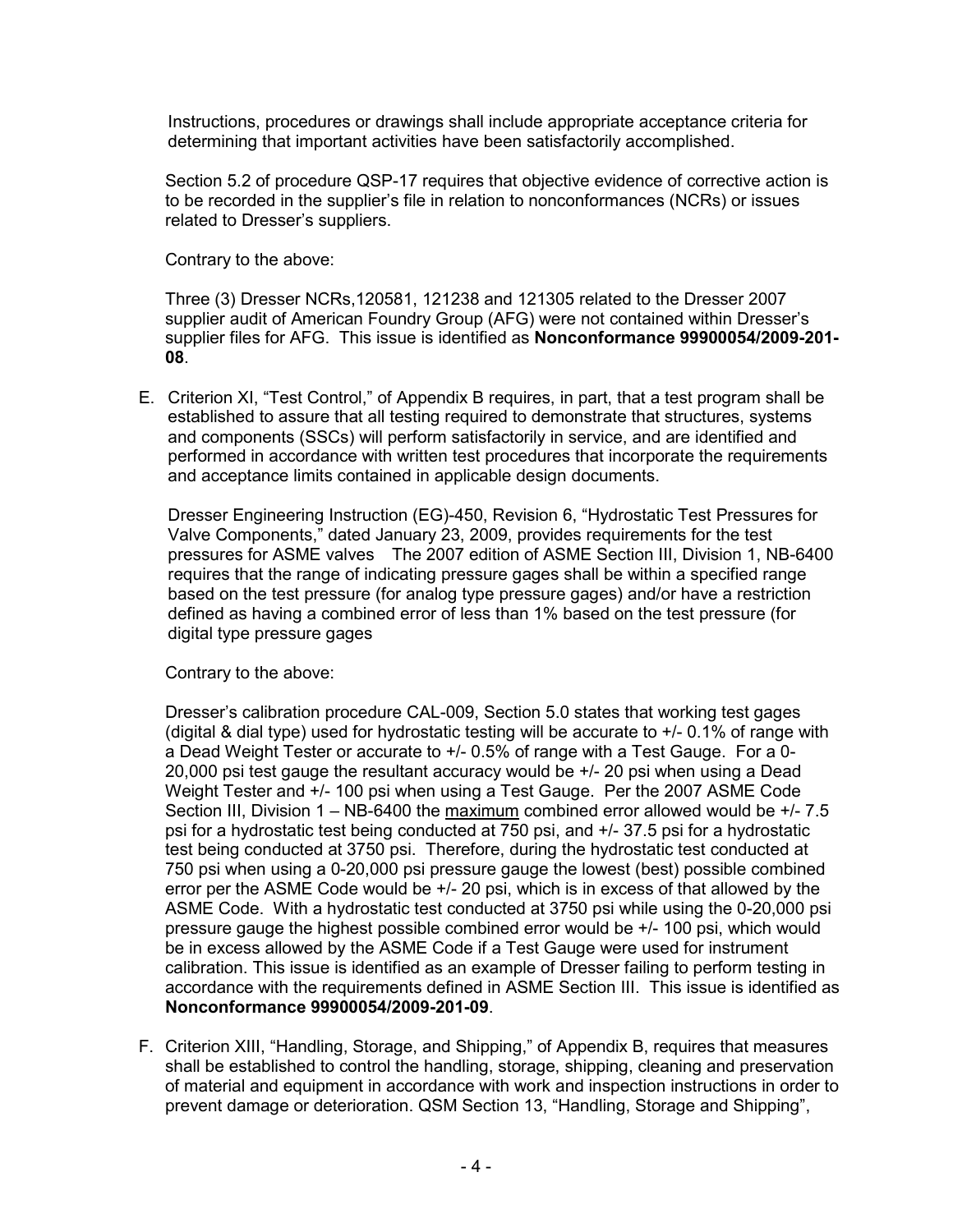Instructions, procedures or drawings shall include appropriate acceptance criteria for determining that important activities have been satisfactorily accomplished.

 Section 5.2 of procedure QSP-17 requires that objective evidence of corrective action is to be recorded in the supplier's file in relation to nonconformances (NCRs) or issues related to Dresser's suppliers.

Contrary to the above:

Three (3) Dresser NCRs,120581, 121238 and 121305 related to the Dresser 2007 supplier audit of American Foundry Group (AFG) were not contained within Dresser's supplier files for AFG. This issue is identified as **Nonconformance 99900054/2009-201- 08**.

E. Criterion XI, "Test Control," of Appendix B requires, in part, that a test program shall be established to assure that all testing required to demonstrate that structures, systems and components (SSCs) will perform satisfactorily in service, and are identified and performed in accordance with written test procedures that incorporate the requirements and acceptance limits contained in applicable design documents.

 Dresser Engineering Instruction (EG)-450, Revision 6, "Hydrostatic Test Pressures for Valve Components," dated January 23, 2009, provides requirements for the test pressures for ASME valves The 2007 edition of ASME Section III, Division 1, NB-6400 requires that the range of indicating pressure gages shall be within a specified range based on the test pressure (for analog type pressure gages) and/or have a restriction defined as having a combined error of less than 1% based on the test pressure (for digital type pressure gages

Contrary to the above:

Dresser's calibration procedure CAL-009, Section 5.0 states that working test gages (digital & dial type) used for hydrostatic testing will be accurate to  $+/-$  0.1% of range with a Dead Weight Tester or accurate to +/- 0.5% of range with a Test Gauge. For a 0- 20,000 psi test gauge the resultant accuracy would be +/- 20 psi when using a Dead Weight Tester and +/- 100 psi when using a Test Gauge. Per the 2007 ASME Code Section III, Division 1 – NB-6400 the maximum combined error allowed would be +/- 7.5 psi for a hydrostatic test being conducted at 750 psi, and +/- 37.5 psi for a hydrostatic test being conducted at 3750 psi. Therefore, during the hydrostatic test conducted at 750 psi when using a 0-20,000 psi pressure gauge the lowest (best) possible combined error per the ASME Code would be +/- 20 psi, which is in excess of that allowed by the ASME Code. With a hydrostatic test conducted at 3750 psi while using the 0-20,000 psi pressure gauge the highest possible combined error would be +/- 100 psi, which would be in excess allowed by the ASME Code if a Test Gauge were used for instrument calibration. This issue is identified as an example of Dresser failing to perform testing in accordance with the requirements defined in ASME Section III. This issue is identified as **Nonconformance 99900054/2009-201-09**.

F. Criterion XIII, "Handling, Storage, and Shipping," of Appendix B, requires that measures shall be established to control the handling, storage, shipping, cleaning and preservation of material and equipment in accordance with work and inspection instructions in order to prevent damage or deterioration. QSM Section 13, "Handling, Storage and Shipping",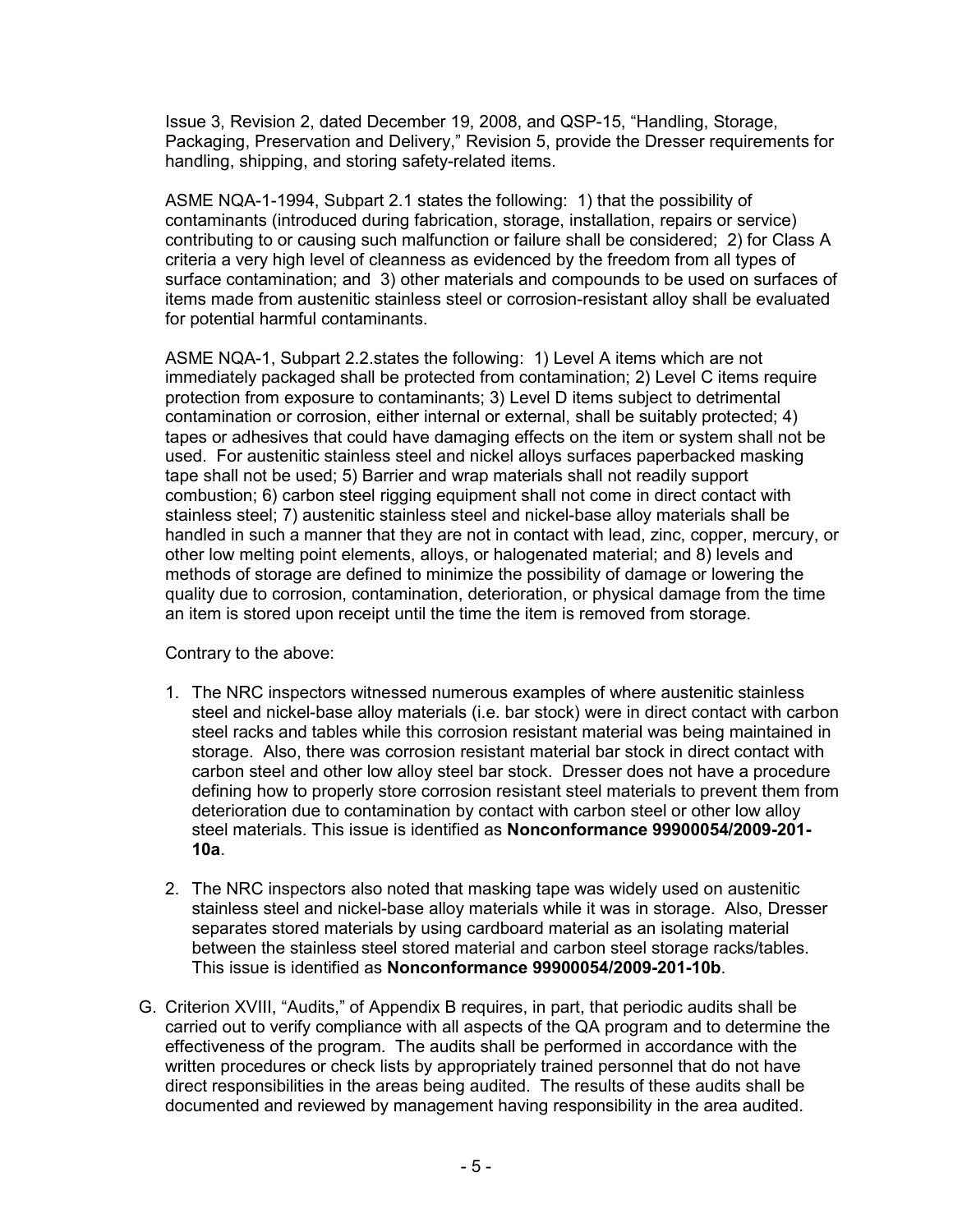Issue 3, Revision 2, dated December 19, 2008, and QSP-15, "Handling, Storage, Packaging, Preservation and Delivery," Revision 5, provide the Dresser requirements for handling, shipping, and storing safety-related items.

 ASME NQA-1-1994, Subpart 2.1 states the following: 1) that the possibility of contaminants (introduced during fabrication, storage, installation, repairs or service) contributing to or causing such malfunction or failure shall be considered; 2) for Class A criteria a very high level of cleanness as evidenced by the freedom from all types of surface contamination; and 3) other materials and compounds to be used on surfaces of items made from austenitic stainless steel or corrosion-resistant alloy shall be evaluated for potential harmful contaminants.

ASME NQA-1, Subpart 2.2.states the following: 1) Level A items which are not immediately packaged shall be protected from contamination; 2) Level C items require protection from exposure to contaminants; 3) Level D items subject to detrimental contamination or corrosion, either internal or external, shall be suitably protected; 4) tapes or adhesives that could have damaging effects on the item or system shall not be used. For austenitic stainless steel and nickel alloys surfaces paperbacked masking tape shall not be used; 5) Barrier and wrap materials shall not readily support combustion; 6) carbon steel rigging equipment shall not come in direct contact with stainless steel; 7) austenitic stainless steel and nickel-base alloy materials shall be handled in such a manner that they are not in contact with lead, zinc, copper, mercury, or other low melting point elements, alloys, or halogenated material; and 8) levels and methods of storage are defined to minimize the possibility of damage or lowering the quality due to corrosion, contamination, deterioration, or physical damage from the time an item is stored upon receipt until the time the item is removed from storage.

Contrary to the above:

- 1. The NRC inspectors witnessed numerous examples of where austenitic stainless steel and nickel-base alloy materials (i.e. bar stock) were in direct contact with carbon steel racks and tables while this corrosion resistant material was being maintained in storage. Also, there was corrosion resistant material bar stock in direct contact with carbon steel and other low alloy steel bar stock. Dresser does not have a procedure defining how to properly store corrosion resistant steel materials to prevent them from deterioration due to contamination by contact with carbon steel or other low alloy steel materials. This issue is identified as **Nonconformance 99900054/2009-201- 10a**.
- 2. The NRC inspectors also noted that masking tape was widely used on austenitic stainless steel and nickel-base alloy materials while it was in storage. Also, Dresser separates stored materials by using cardboard material as an isolating material between the stainless steel stored material and carbon steel storage racks/tables. This issue is identified as **Nonconformance 99900054/2009-201-10b**.
- G. Criterion XVIII, "Audits," of Appendix B requires, in part, that periodic audits shall be carried out to verify compliance with all aspects of the QA program and to determine the effectiveness of the program. The audits shall be performed in accordance with the written procedures or check lists by appropriately trained personnel that do not have direct responsibilities in the areas being audited. The results of these audits shall be documented and reviewed by management having responsibility in the area audited.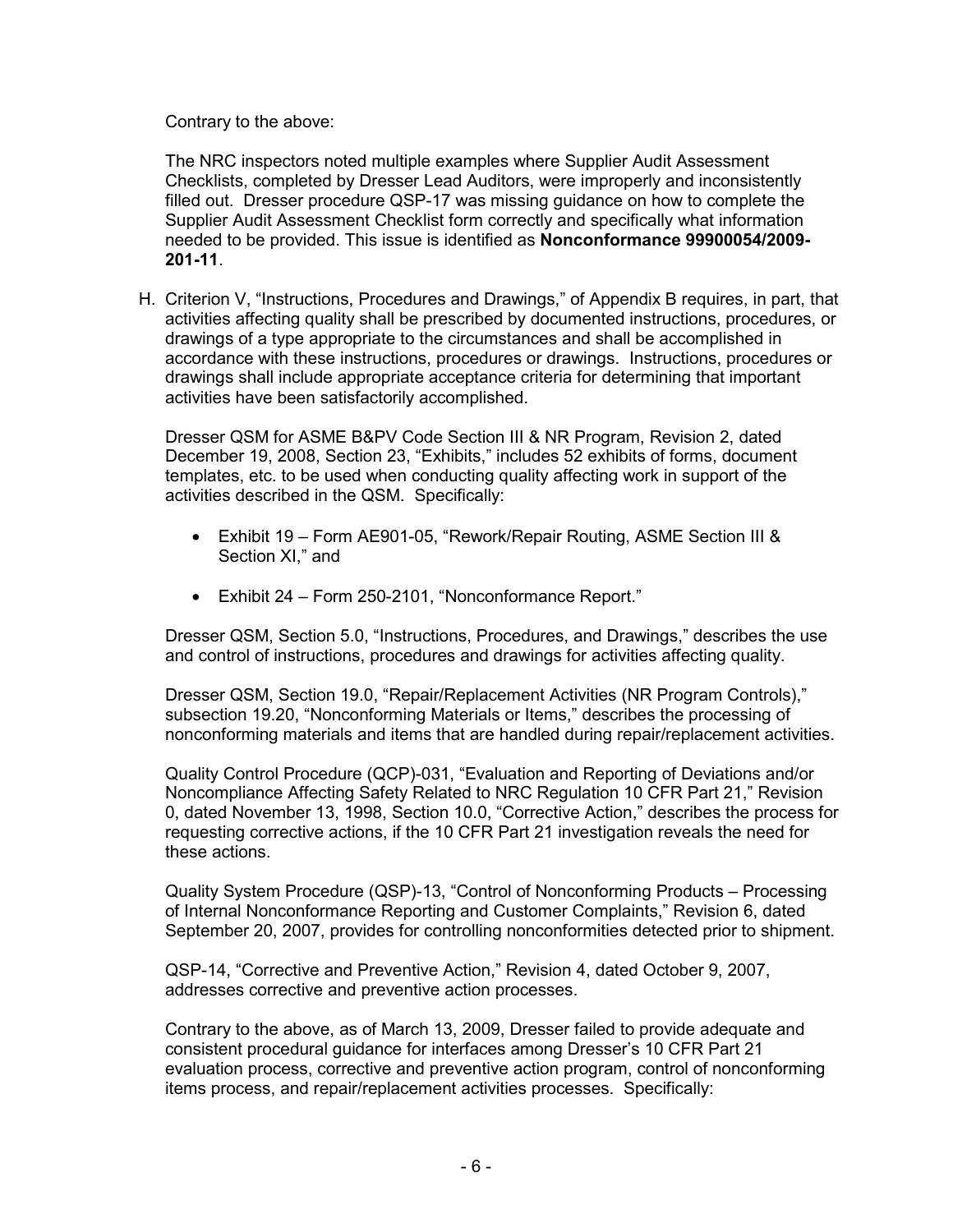Contrary to the above:

The NRC inspectors noted multiple examples where Supplier Audit Assessment Checklists, completed by Dresser Lead Auditors, were improperly and inconsistently filled out. Dresser procedure QSP-17 was missing guidance on how to complete the Supplier Audit Assessment Checklist form correctly and specifically what information needed to be provided. This issue is identified as **Nonconformance 99900054/2009- 201-11**.

H. Criterion V, "Instructions, Procedures and Drawings," of Appendix B requires, in part, that activities affecting quality shall be prescribed by documented instructions, procedures, or drawings of a type appropriate to the circumstances and shall be accomplished in accordance with these instructions, procedures or drawings. Instructions, procedures or drawings shall include appropriate acceptance criteria for determining that important activities have been satisfactorily accomplished.

Dresser QSM for ASME B&PV Code Section III & NR Program, Revision 2, dated December 19, 2008, Section 23, "Exhibits," includes 52 exhibits of forms, document templates, etc. to be used when conducting quality affecting work in support of the activities described in the QSM. Specifically:

- Exhibit 19 Form AE901-05, "Rework/Repair Routing, ASME Section III & Section XI," and
- Exhibit 24 Form 250-2101, "Nonconformance Report."

Dresser QSM, Section 5.0, "Instructions, Procedures, and Drawings," describes the use and control of instructions, procedures and drawings for activities affecting quality.

Dresser QSM, Section 19.0, "Repair/Replacement Activities (NR Program Controls)," subsection 19.20, "Nonconforming Materials or Items," describes the processing of nonconforming materials and items that are handled during repair/replacement activities.

Quality Control Procedure (QCP)-031, "Evaluation and Reporting of Deviations and/or Noncompliance Affecting Safety Related to NRC Regulation 10 CFR Part 21," Revision 0, dated November 13, 1998, Section 10.0, "Corrective Action," describes the process for requesting corrective actions, if the 10 CFR Part 21 investigation reveals the need for these actions.

Quality System Procedure (QSP)-13, "Control of Nonconforming Products – Processing of Internal Nonconformance Reporting and Customer Complaints," Revision 6, dated September 20, 2007, provides for controlling nonconformities detected prior to shipment.

QSP-14, "Corrective and Preventive Action," Revision 4, dated October 9, 2007, addresses corrective and preventive action processes.

Contrary to the above, as of March 13, 2009, Dresser failed to provide adequate and consistent procedural guidance for interfaces among Dresser's 10 CFR Part 21 evaluation process, corrective and preventive action program, control of nonconforming items process, and repair/replacement activities processes. Specifically: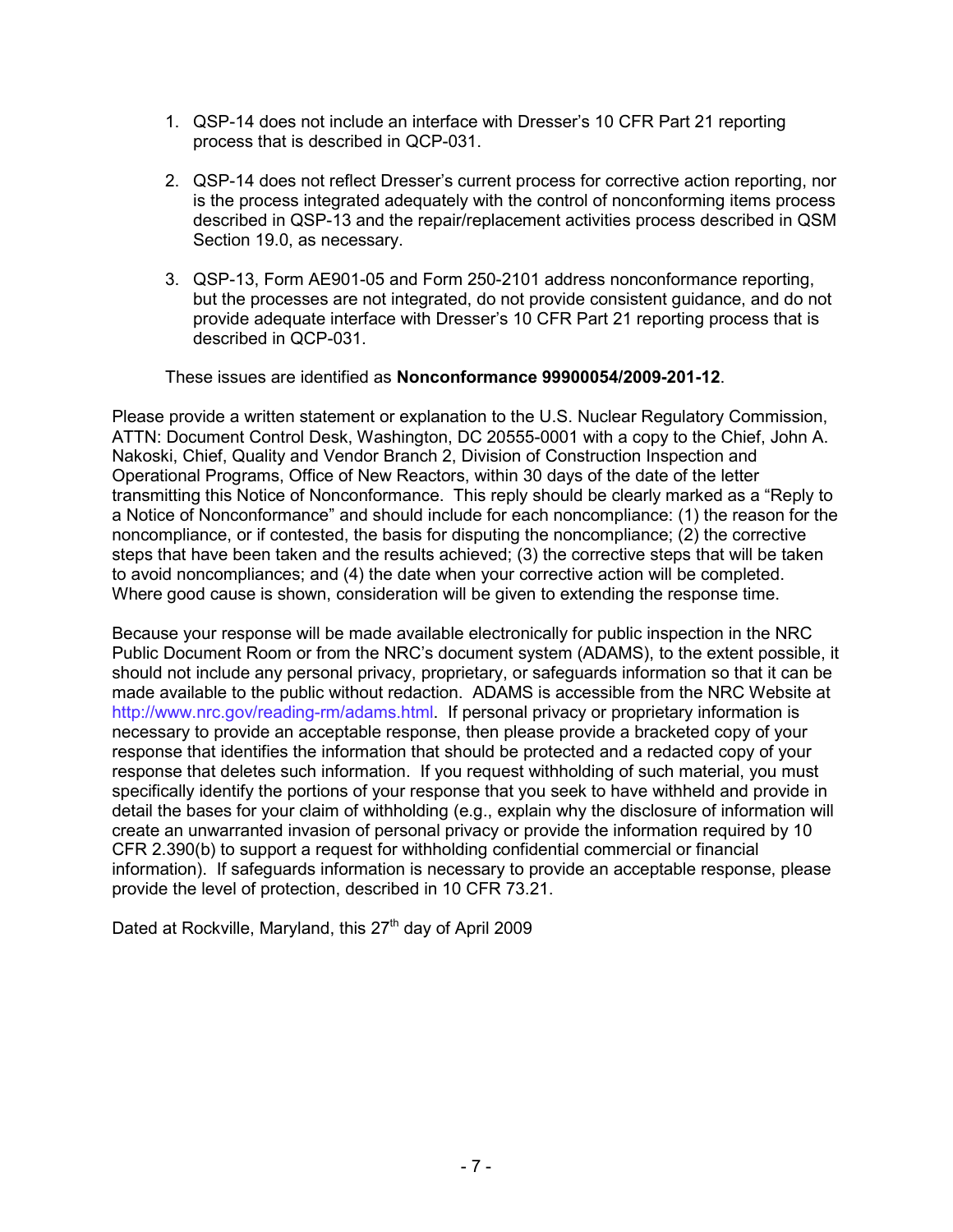- 1. QSP-14 does not include an interface with Dresser's 10 CFR Part 21 reporting process that is described in QCP-031.
- 2. QSP-14 does not reflect Dresser's current process for corrective action reporting, nor is the process integrated adequately with the control of nonconforming items process described in QSP-13 and the repair/replacement activities process described in QSM Section 19.0, as necessary.
- 3. QSP-13, Form AE901-05 and Form 250-2101 address nonconformance reporting, but the processes are not integrated, do not provide consistent guidance, and do not provide adequate interface with Dresser's 10 CFR Part 21 reporting process that is described in QCP-031.

#### These issues are identified as **Nonconformance 99900054/2009-201-12**.

Please provide a written statement or explanation to the U.S. Nuclear Regulatory Commission, ATTN: Document Control Desk, Washington, DC 20555-0001 with a copy to the Chief, John A. Nakoski, Chief, Quality and Vendor Branch 2, Division of Construction Inspection and Operational Programs, Office of New Reactors, within 30 days of the date of the letter transmitting this Notice of Nonconformance. This reply should be clearly marked as a "Reply to a Notice of Nonconformance" and should include for each noncompliance: (1) the reason for the noncompliance, or if contested, the basis for disputing the noncompliance; (2) the corrective steps that have been taken and the results achieved; (3) the corrective steps that will be taken to avoid noncompliances; and (4) the date when your corrective action will be completed. Where good cause is shown, consideration will be given to extending the response time.

Because your response will be made available electronically for public inspection in the NRC Public Document Room or from the NRC's document system (ADAMS), to the extent possible, it should not include any personal privacy, proprietary, or safeguards information so that it can be made available to the public without redaction. ADAMS is accessible from the NRC Website at http://www.nrc.gov/reading-rm/adams.html. If personal privacy or proprietary information is necessary to provide an acceptable response, then please provide a bracketed copy of your response that identifies the information that should be protected and a redacted copy of your response that deletes such information. If you request withholding of such material, you must specifically identify the portions of your response that you seek to have withheld and provide in detail the bases for your claim of withholding (e.g., explain why the disclosure of information will create an unwarranted invasion of personal privacy or provide the information required by 10 CFR 2.390(b) to support a request for withholding confidential commercial or financial information). If safeguards information is necessary to provide an acceptable response, please provide the level of protection, described in 10 CFR 73.21.

Dated at Rockville, Maryland, this 27<sup>th</sup> day of April 2009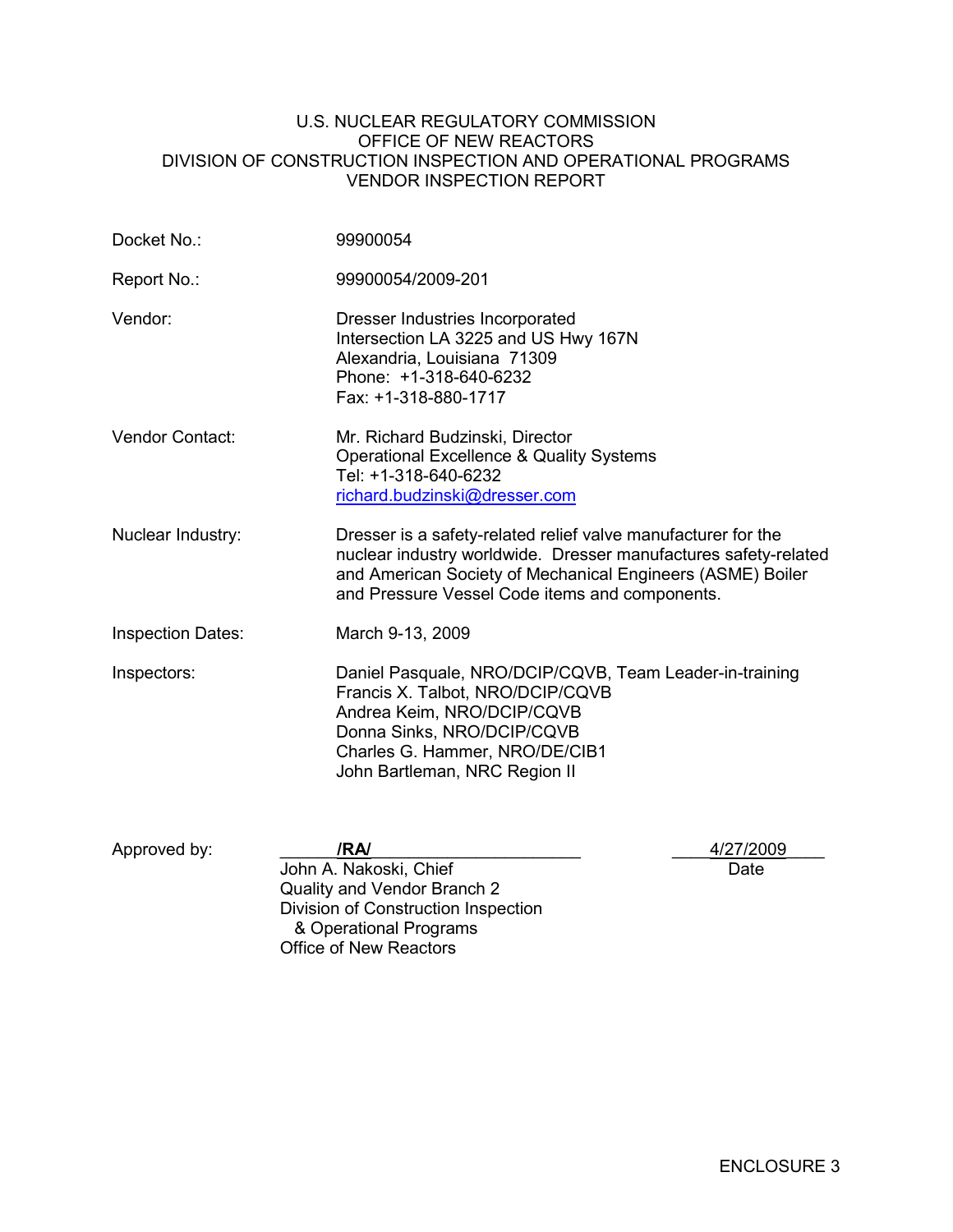#### U.S. NUCLEAR REGULATORY COMMISSION OFFICE OF NEW REACTORS DIVISION OF CONSTRUCTION INSPECTION AND OPERATIONAL PROGRAMS VENDOR INSPECTION REPORT

| Docket No.:              | 99900054                                                                                                                                                                                                                                         |  |  |  |  |
|--------------------------|--------------------------------------------------------------------------------------------------------------------------------------------------------------------------------------------------------------------------------------------------|--|--|--|--|
| Report No.:              | 99900054/2009-201                                                                                                                                                                                                                                |  |  |  |  |
| Vendor:                  | Dresser Industries Incorporated<br>Intersection LA 3225 and US Hwy 167N<br>Alexandria, Louisiana 71309<br>Phone: +1-318-640-6232<br>Fax: +1-318-880-1717                                                                                         |  |  |  |  |
| Vendor Contact:          | Mr. Richard Budzinski, Director<br><b>Operational Excellence &amp; Quality Systems</b><br>Tel: +1-318-640-6232<br>richard.budzinski@dresser.com                                                                                                  |  |  |  |  |
| Nuclear Industry:        | Dresser is a safety-related relief valve manufacturer for the<br>nuclear industry worldwide. Dresser manufactures safety-related<br>and American Society of Mechanical Engineers (ASME) Boiler<br>and Pressure Vessel Code items and components. |  |  |  |  |
| <b>Inspection Dates:</b> | March 9-13, 2009                                                                                                                                                                                                                                 |  |  |  |  |
| Inspectors:              | Daniel Pasquale, NRO/DCIP/CQVB, Team Leader-in-training<br>Francis X. Talbot, NRO/DCIP/CQVB<br>Andrea Keim, NRO/DCIP/CQVB<br>Donna Sinks, NRO/DCIP/CQVB<br>Charles G. Hammer, NRO/DE/CIB1<br>John Bartleman, NRC Region II                       |  |  |  |  |
| Approved by:             | /RA/<br>4/27/2009<br>John A. Nakoski, Chief<br>Date<br>Quality and Vendor Branch 2                                                                                                                                                               |  |  |  |  |

Division of Construction Inspection

 & Operational Programs Office of New Reactors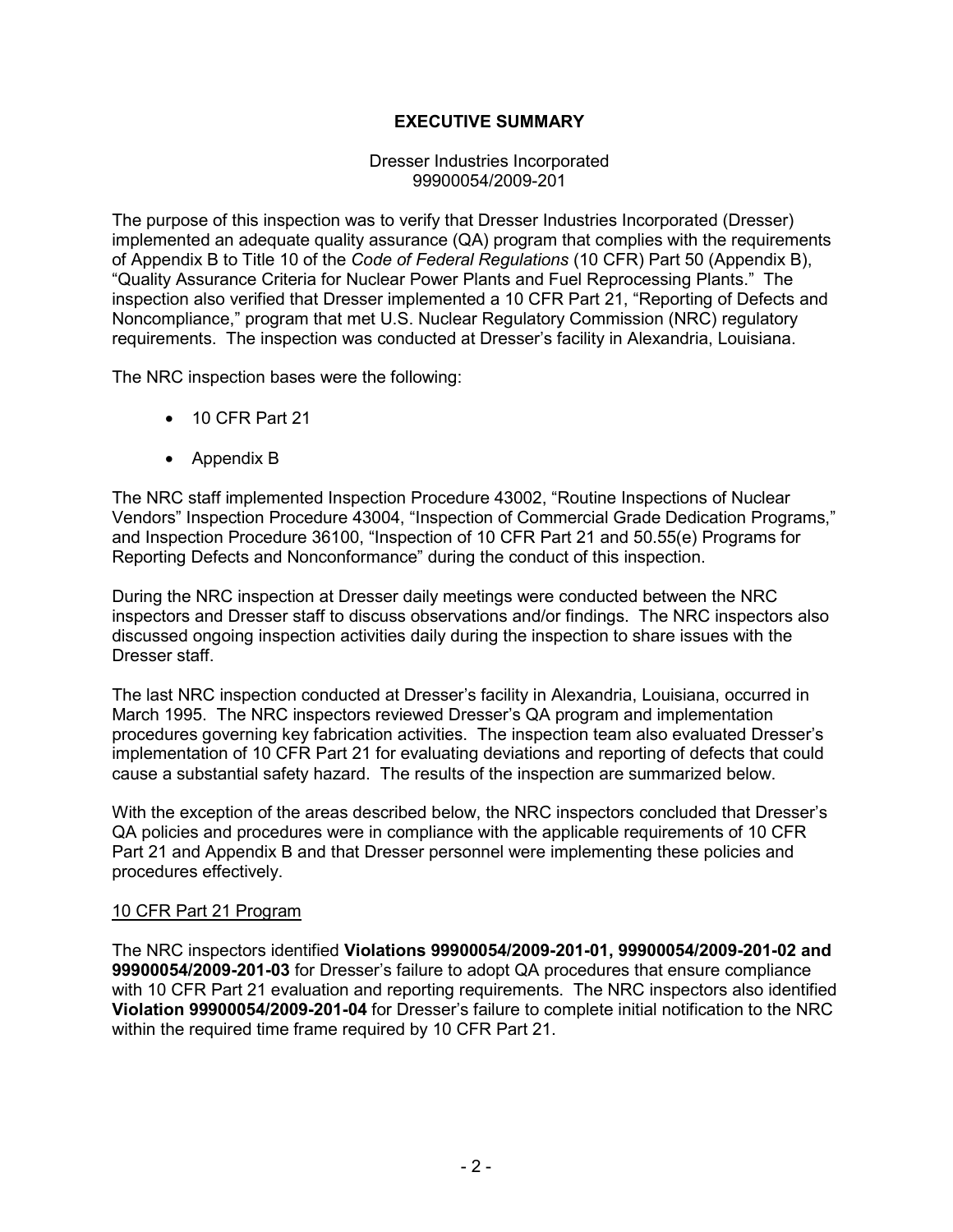## **EXECUTIVE SUMMARY**

Dresser Industries Incorporated 99900054/2009-201

The purpose of this inspection was to verify that Dresser Industries Incorporated (Dresser) implemented an adequate quality assurance (QA) program that complies with the requirements of Appendix B to Title 10 of the *Code of Federal Regulations* (10 CFR) Part 50 (Appendix B), "Quality Assurance Criteria for Nuclear Power Plants and Fuel Reprocessing Plants." The inspection also verified that Dresser implemented a 10 CFR Part 21, "Reporting of Defects and Noncompliance," program that met U.S. Nuclear Regulatory Commission (NRC) regulatory requirements. The inspection was conducted at Dresser's facility in Alexandria, Louisiana.

The NRC inspection bases were the following:

- 10 CFR Part 21
- Appendix B

The NRC staff implemented Inspection Procedure 43002, "Routine Inspections of Nuclear Vendors" Inspection Procedure 43004, "Inspection of Commercial Grade Dedication Programs," and Inspection Procedure 36100, "Inspection of 10 CFR Part 21 and 50.55(e) Programs for Reporting Defects and Nonconformance" during the conduct of this inspection.

During the NRC inspection at Dresser daily meetings were conducted between the NRC inspectors and Dresser staff to discuss observations and/or findings. The NRC inspectors also discussed ongoing inspection activities daily during the inspection to share issues with the Dresser staff.

The last NRC inspection conducted at Dresser's facility in Alexandria, Louisiana, occurred in March 1995. The NRC inspectors reviewed Dresser's QA program and implementation procedures governing key fabrication activities. The inspection team also evaluated Dresser's implementation of 10 CFR Part 21 for evaluating deviations and reporting of defects that could cause a substantial safety hazard. The results of the inspection are summarized below.

With the exception of the areas described below, the NRC inspectors concluded that Dresser's QA policies and procedures were in compliance with the applicable requirements of 10 CFR Part 21 and Appendix B and that Dresser personnel were implementing these policies and procedures effectively.

### 10 CFR Part 21 Program

The NRC inspectors identified **Violations 99900054/2009-201-01, 99900054/2009-201-02 and 99900054/2009-201-03** for Dresser's failure to adopt QA procedures that ensure compliance with 10 CFR Part 21 evaluation and reporting requirements. The NRC inspectors also identified **Violation 99900054/2009-201-04** for Dresser's failure to complete initial notification to the NRC within the required time frame required by 10 CFR Part 21.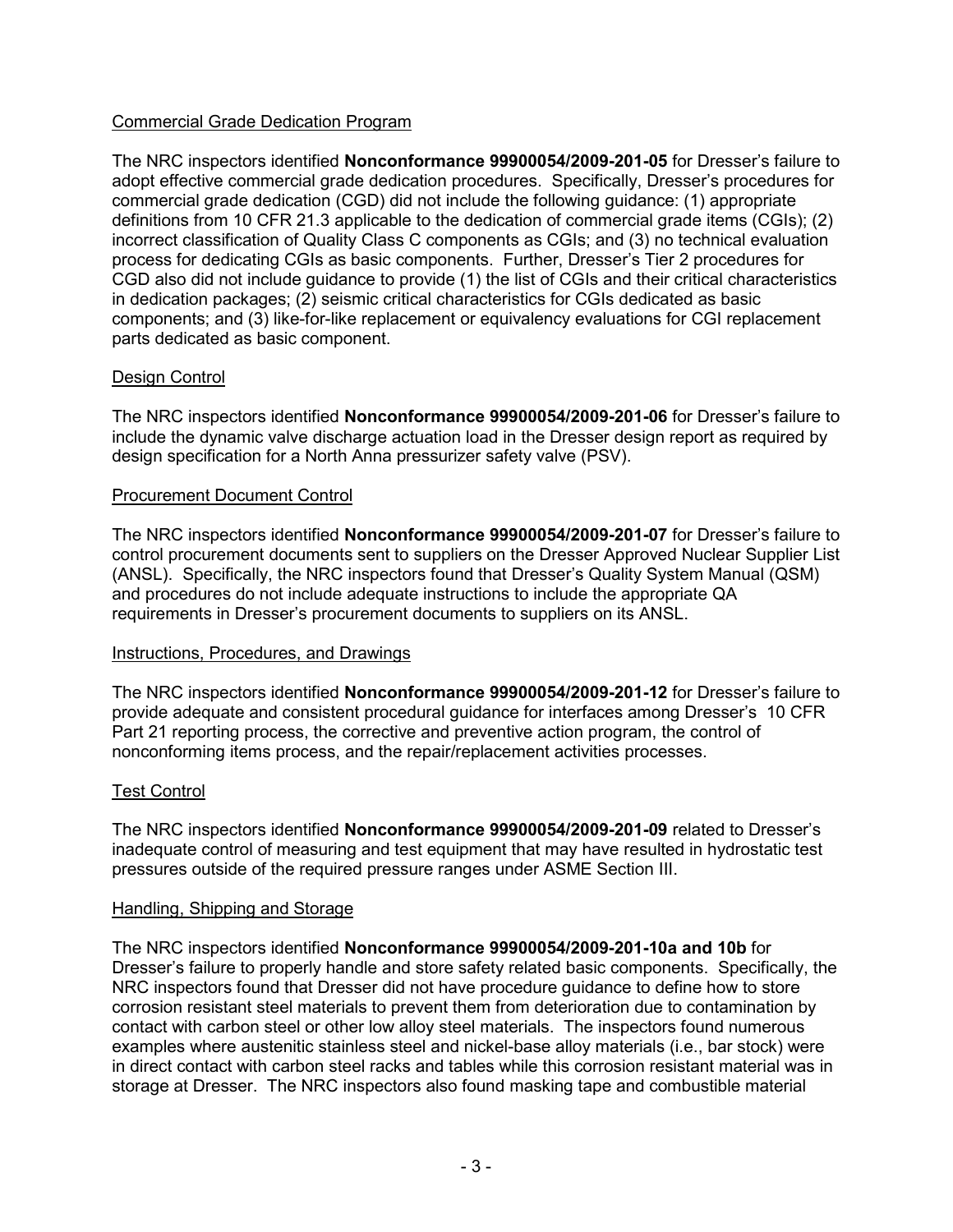## Commercial Grade Dedication Program

The NRC inspectors identified **Nonconformance 99900054/2009-201-05** for Dresser's failure to adopt effective commercial grade dedication procedures. Specifically, Dresser's procedures for commercial grade dedication (CGD) did not include the following guidance: (1) appropriate definitions from 10 CFR 21.3 applicable to the dedication of commercial grade items (CGIs); (2) incorrect classification of Quality Class C components as CGIs; and (3) no technical evaluation process for dedicating CGIs as basic components. Further, Dresser's Tier 2 procedures for CGD also did not include guidance to provide (1) the list of CGIs and their critical characteristics in dedication packages; (2) seismic critical characteristics for CGIs dedicated as basic components; and (3) like-for-like replacement or equivalency evaluations for CGI replacement parts dedicated as basic component.

## Design Control

The NRC inspectors identified **Nonconformance 99900054/2009-201-06** for Dresser's failure to include the dynamic valve discharge actuation load in the Dresser design report as required by design specification for a North Anna pressurizer safety valve (PSV).

### Procurement Document Control

The NRC inspectors identified **Nonconformance 99900054/2009-201-07** for Dresser's failure to control procurement documents sent to suppliers on the Dresser Approved Nuclear Supplier List (ANSL). Specifically, the NRC inspectors found that Dresser's Quality System Manual (QSM) and procedures do not include adequate instructions to include the appropriate QA requirements in Dresser's procurement documents to suppliers on its ANSL.

### Instructions, Procedures, and Drawings

The NRC inspectors identified **Nonconformance 99900054/2009-201-12** for Dresser's failure to provide adequate and consistent procedural guidance for interfaces among Dresser's 10 CFR Part 21 reporting process, the corrective and preventive action program, the control of nonconforming items process, and the repair/replacement activities processes.

### Test Control

The NRC inspectors identified **Nonconformance 99900054/2009-201-09** related to Dresser's inadequate control of measuring and test equipment that may have resulted in hydrostatic test pressures outside of the required pressure ranges under ASME Section III.

### Handling, Shipping and Storage

The NRC inspectors identified **Nonconformance 99900054/2009-201-10a and 10b** for Dresser's failure to properly handle and store safety related basic components. Specifically, the NRC inspectors found that Dresser did not have procedure guidance to define how to store corrosion resistant steel materials to prevent them from deterioration due to contamination by contact with carbon steel or other low alloy steel materials. The inspectors found numerous examples where austenitic stainless steel and nickel-base alloy materials (i.e., bar stock) were in direct contact with carbon steel racks and tables while this corrosion resistant material was in storage at Dresser. The NRC inspectors also found masking tape and combustible material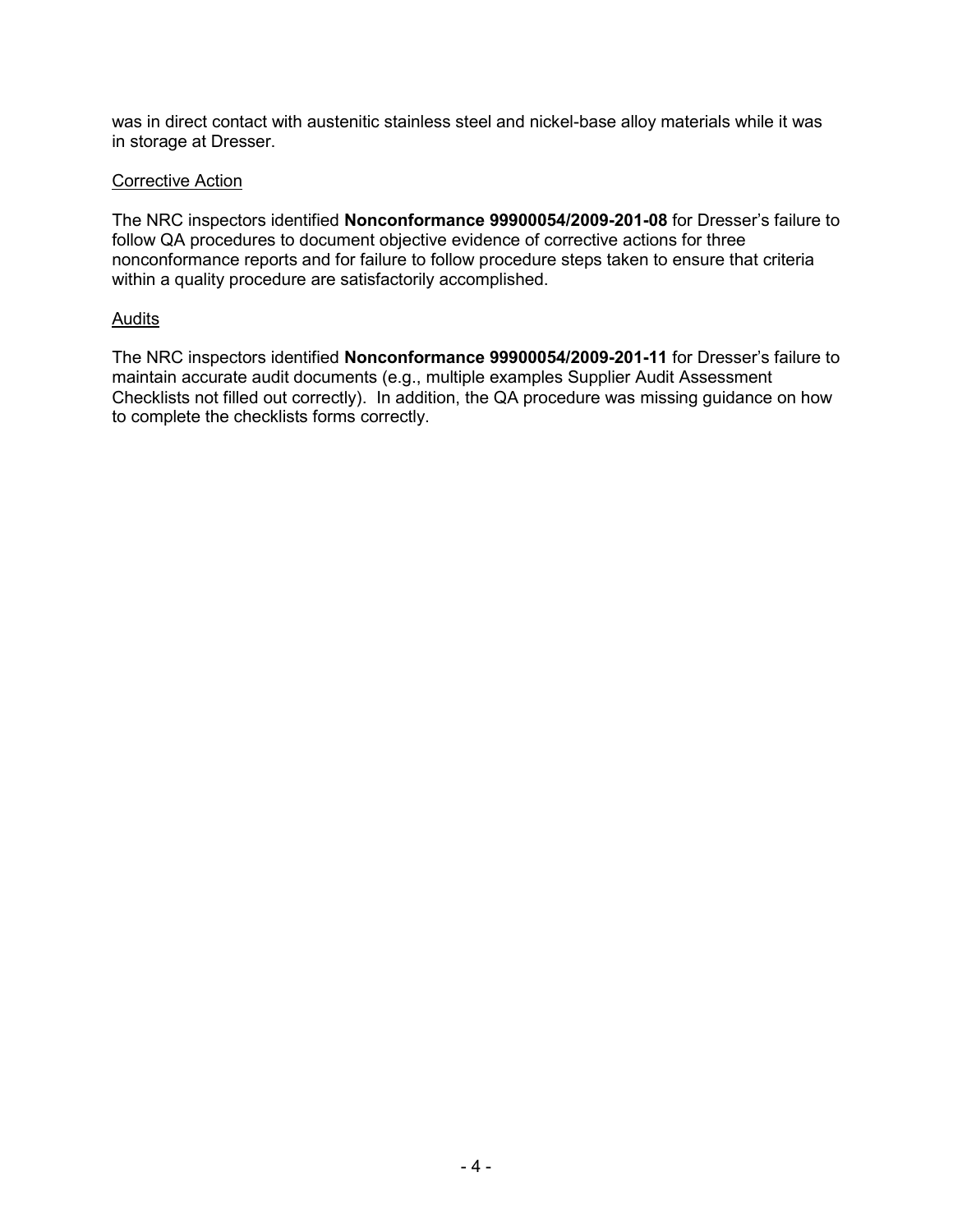was in direct contact with austenitic stainless steel and nickel-base alloy materials while it was in storage at Dresser.

#### Corrective Action

The NRC inspectors identified **Nonconformance 99900054/2009-201-08** for Dresser's failure to follow QA procedures to document objective evidence of corrective actions for three nonconformance reports and for failure to follow procedure steps taken to ensure that criteria within a quality procedure are satisfactorily accomplished.

#### Audits

The NRC inspectors identified **Nonconformance 99900054/2009-201-11** for Dresser's failure to maintain accurate audit documents (e.g., multiple examples Supplier Audit Assessment Checklists not filled out correctly). In addition, the QA procedure was missing guidance on how to complete the checklists forms correctly.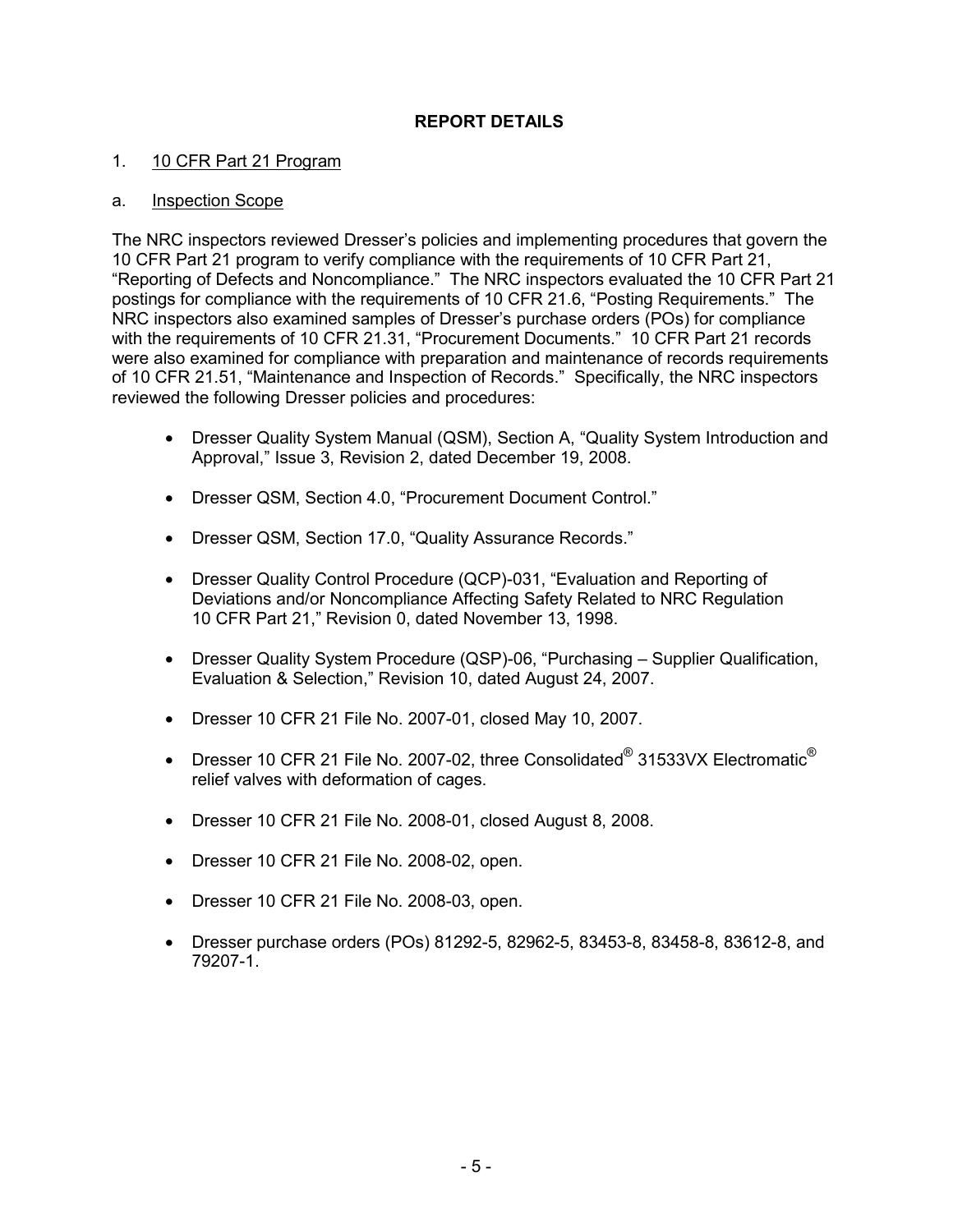## **REPORT DETAILS**

#### 1. 10 CFR Part 21 Program

#### a. Inspection Scope

The NRC inspectors reviewed Dresser's policies and implementing procedures that govern the 10 CFR Part 21 program to verify compliance with the requirements of 10 CFR Part 21, "Reporting of Defects and Noncompliance." The NRC inspectors evaluated the 10 CFR Part 21 postings for compliance with the requirements of 10 CFR 21.6, "Posting Requirements." The NRC inspectors also examined samples of Dresser's purchase orders (POs) for compliance with the requirements of 10 CFR 21.31, "Procurement Documents." 10 CFR Part 21 records were also examined for compliance with preparation and maintenance of records requirements of 10 CFR 21.51, "Maintenance and Inspection of Records." Specifically, the NRC inspectors reviewed the following Dresser policies and procedures:

- Dresser Quality System Manual (QSM), Section A, "Quality System Introduction and Approval," Issue 3, Revision 2, dated December 19, 2008.
- Dresser QSM, Section 4.0, "Procurement Document Control."
- Dresser QSM, Section 17.0, "Quality Assurance Records."
- Dresser Quality Control Procedure (QCP)-031, "Evaluation and Reporting of Deviations and/or Noncompliance Affecting Safety Related to NRC Regulation 10 CFR Part 21," Revision 0, dated November 13, 1998.
- Dresser Quality System Procedure (QSP)-06, "Purchasing Supplier Qualification, Evaluation & Selection," Revision 10, dated August 24, 2007.
- Dresser 10 CFR 21 File No. 2007-01, closed May 10, 2007.
- Dresser 10 CFR 21 File No. 2007-02, three Consolidated $^{\circledR}$  31533VX Electromatic $^{\circledR}$ relief valves with deformation of cages.
- Dresser 10 CFR 21 File No. 2008-01, closed August 8, 2008.
- Dresser 10 CFR 21 File No. 2008-02, open.
- Dresser 10 CFR 21 File No. 2008-03, open.
- Dresser purchase orders (POs) 81292-5, 82962-5, 83453-8, 83458-8, 83612-8, and 79207-1.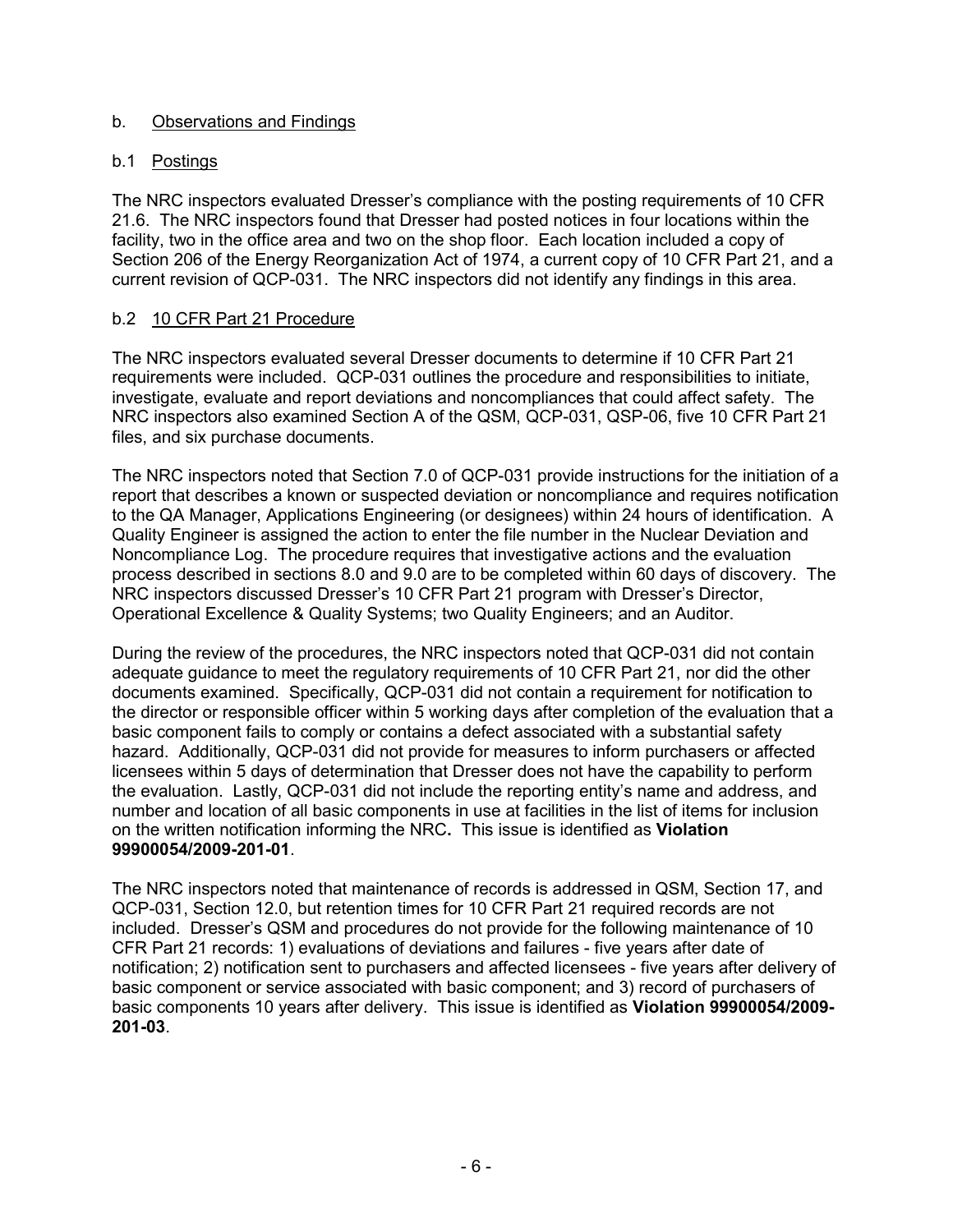## b. Observations and Findings

## b.1 Postings

The NRC inspectors evaluated Dresser's compliance with the posting requirements of 10 CFR 21.6. The NRC inspectors found that Dresser had posted notices in four locations within the facility, two in the office area and two on the shop floor. Each location included a copy of Section 206 of the Energy Reorganization Act of 1974, a current copy of 10 CFR Part 21, and a current revision of QCP-031. The NRC inspectors did not identify any findings in this area.

## b.2 10 CFR Part 21 Procedure

The NRC inspectors evaluated several Dresser documents to determine if 10 CFR Part 21 requirements were included. QCP-031 outlines the procedure and responsibilities to initiate, investigate, evaluate and report deviations and noncompliances that could affect safety. The NRC inspectors also examined Section A of the QSM, QCP-031, QSP-06, five 10 CFR Part 21 files, and six purchase documents.

The NRC inspectors noted that Section 7.0 of QCP-031 provide instructions for the initiation of a report that describes a known or suspected deviation or noncompliance and requires notification to the QA Manager, Applications Engineering (or designees) within 24 hours of identification. A Quality Engineer is assigned the action to enter the file number in the Nuclear Deviation and Noncompliance Log. The procedure requires that investigative actions and the evaluation process described in sections 8.0 and 9.0 are to be completed within 60 days of discovery. The NRC inspectors discussed Dresser's 10 CFR Part 21 program with Dresser's Director, Operational Excellence & Quality Systems; two Quality Engineers; and an Auditor.

During the review of the procedures, the NRC inspectors noted that QCP-031 did not contain adequate guidance to meet the regulatory requirements of 10 CFR Part 21, nor did the other documents examined. Specifically, QCP-031 did not contain a requirement for notification to the director or responsible officer within 5 working days after completion of the evaluation that a basic component fails to comply or contains a defect associated with a substantial safety hazard. Additionally, QCP-031 did not provide for measures to inform purchasers or affected licensees within 5 days of determination that Dresser does not have the capability to perform the evaluation. Lastly, QCP-031 did not include the reporting entity's name and address, and number and location of all basic components in use at facilities in the list of items for inclusion on the written notification informing the NRC**.** This issue is identified as **Violation 99900054/2009-201-01**.

The NRC inspectors noted that maintenance of records is addressed in QSM, Section 17, and QCP-031, Section 12.0, but retention times for 10 CFR Part 21 required records are not included. Dresser's QSM and procedures do not provide for the following maintenance of 10 CFR Part 21 records: 1) evaluations of deviations and failures - five years after date of notification; 2) notification sent to purchasers and affected licensees - five years after delivery of basic component or service associated with basic component; and 3) record of purchasers of basic components 10 years after delivery. This issue is identified as **Violation 99900054/2009- 201-03**.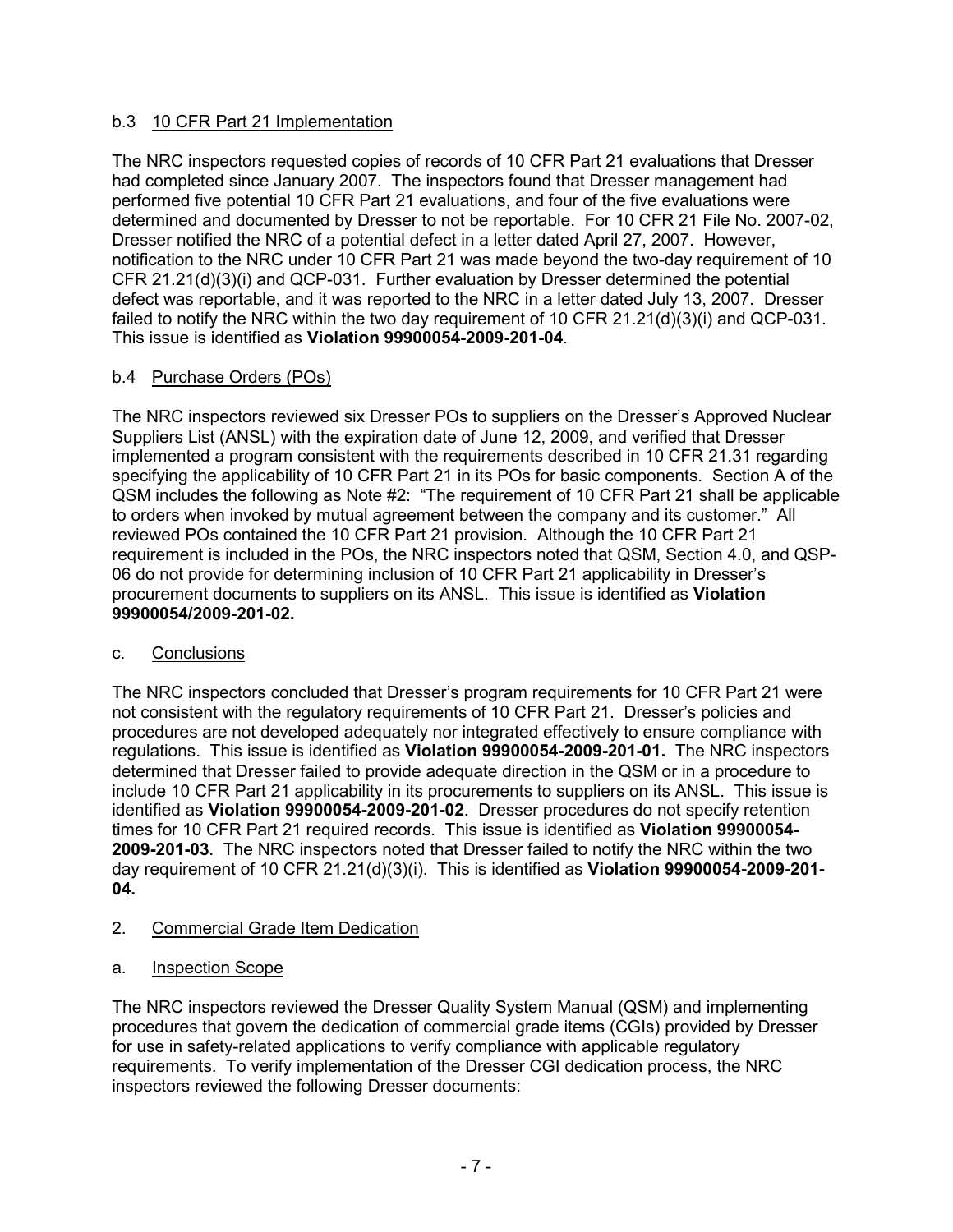# b.3 10 CFR Part 21 Implementation

The NRC inspectors requested copies of records of 10 CFR Part 21 evaluations that Dresser had completed since January 2007. The inspectors found that Dresser management had performed five potential 10 CFR Part 21 evaluations, and four of the five evaluations were determined and documented by Dresser to not be reportable. For 10 CFR 21 File No. 2007-02, Dresser notified the NRC of a potential defect in a letter dated April 27, 2007. However, notification to the NRC under 10 CFR Part 21 was made beyond the two-day requirement of 10 CFR 21.21(d)(3)(i) and QCP-031. Further evaluation by Dresser determined the potential defect was reportable, and it was reported to the NRC in a letter dated July 13, 2007. Dresser failed to notify the NRC within the two day requirement of 10 CFR 21.21(d)(3)(i) and QCP-031. This issue is identified as **Violation 99900054-2009-201-04**.

# b.4 Purchase Orders (POs)

The NRC inspectors reviewed six Dresser POs to suppliers on the Dresser's Approved Nuclear Suppliers List (ANSL) with the expiration date of June 12, 2009, and verified that Dresser implemented a program consistent with the requirements described in 10 CFR 21.31 regarding specifying the applicability of 10 CFR Part 21 in its POs for basic components. Section A of the QSM includes the following as Note #2: "The requirement of 10 CFR Part 21 shall be applicable to orders when invoked by mutual agreement between the company and its customer." All reviewed POs contained the 10 CFR Part 21 provision. Although the 10 CFR Part 21 requirement is included in the POs, the NRC inspectors noted that QSM, Section 4.0, and QSP-06 do not provide for determining inclusion of 10 CFR Part 21 applicability in Dresser's procurement documents to suppliers on its ANSL. This issue is identified as **Violation 99900054/2009-201-02.** 

# c. Conclusions

The NRC inspectors concluded that Dresser's program requirements for 10 CFR Part 21 were not consistent with the regulatory requirements of 10 CFR Part 21. Dresser's policies and procedures are not developed adequately nor integrated effectively to ensure compliance with regulations. This issue is identified as **Violation 99900054-2009-201-01.** The NRC inspectors determined that Dresser failed to provide adequate direction in the QSM or in a procedure to include 10 CFR Part 21 applicability in its procurements to suppliers on its ANSL. This issue is identified as **Violation 99900054-2009-201-02**. Dresser procedures do not specify retention times for 10 CFR Part 21 required records. This issue is identified as **Violation 99900054- 2009-201-03**. The NRC inspectors noted that Dresser failed to notify the NRC within the two day requirement of 10 CFR 21.21(d)(3)(i). This is identified as **Violation 99900054-2009-201- 04.** 

# 2. Commercial Grade Item Dedication

# a. Inspection Scope

The NRC inspectors reviewed the Dresser Quality System Manual (QSM) and implementing procedures that govern the dedication of commercial grade items (CGIs) provided by Dresser for use in safety-related applications to verify compliance with applicable regulatory requirements. To verify implementation of the Dresser CGI dedication process, the NRC inspectors reviewed the following Dresser documents: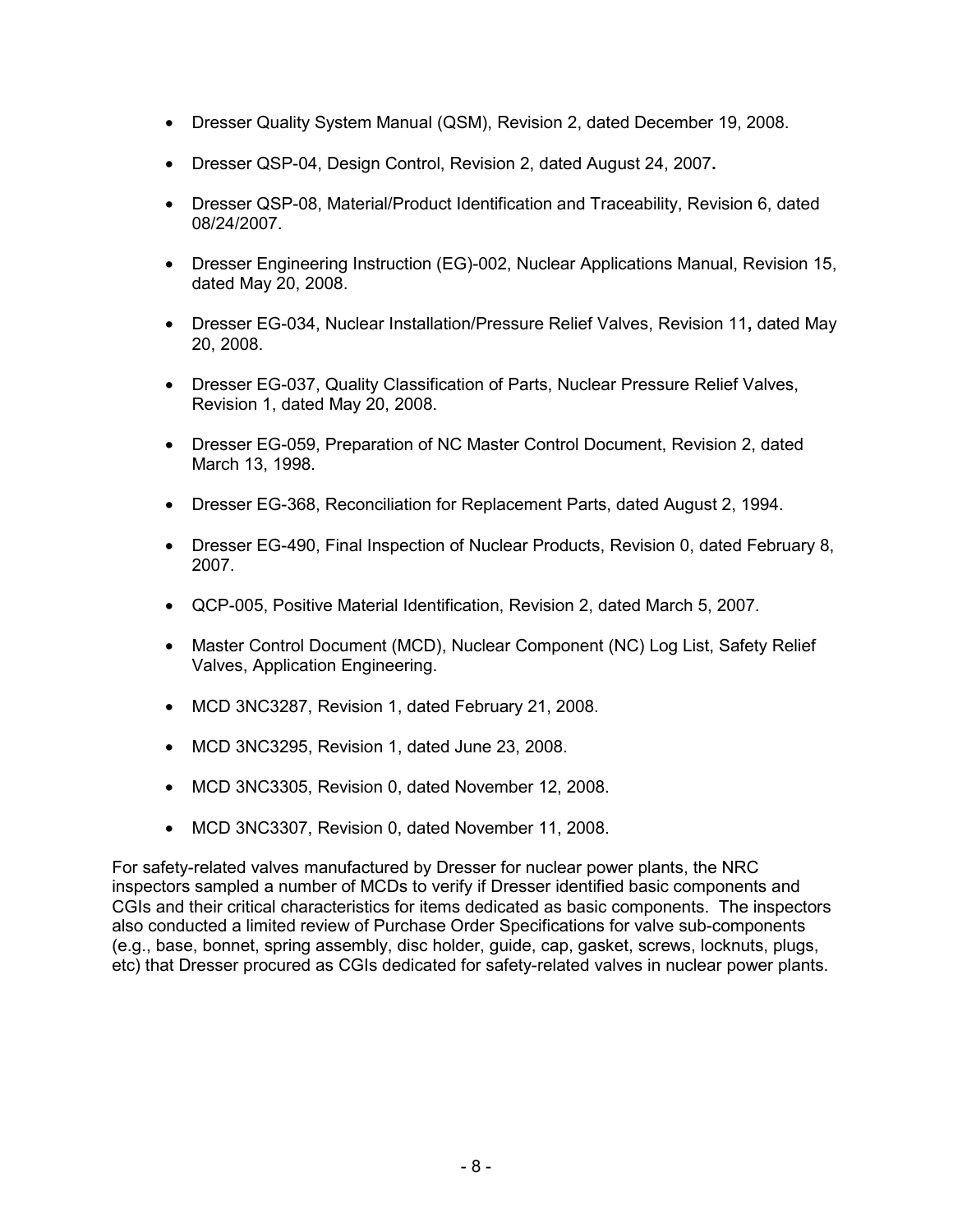- Dresser Quality System Manual (QSM), Revision 2, dated December 19, 2008.
- Dresser QSP-04, Design Control, Revision 2, dated August 24, 2007**.**
- Dresser QSP-08, Material/Product Identification and Traceability, Revision 6, dated 08/24/2007.
- Dresser Engineering Instruction (EG)-002, Nuclear Applications Manual, Revision 15, dated May 20, 2008.
- Dresser EG-034, Nuclear Installation/Pressure Relief Valves, Revision 11**,** dated May 20, 2008.
- Dresser EG-037, Quality Classification of Parts, Nuclear Pressure Relief Valves, Revision 1, dated May 20, 2008.
- Dresser EG-059, Preparation of NC Master Control Document, Revision 2, dated March 13, 1998.
- Dresser EG-368, Reconciliation for Replacement Parts, dated August 2, 1994.
- Dresser EG-490, Final Inspection of Nuclear Products, Revision 0, dated February 8, 2007.
- QCP-005, Positive Material Identification, Revision 2, dated March 5, 2007.
- Master Control Document (MCD), Nuclear Component (NC) Log List, Safety Relief Valves, Application Engineering.
- MCD 3NC3287, Revision 1, dated February 21, 2008.
- MCD 3NC3295, Revision 1, dated June 23, 2008.
- MCD 3NC3305, Revision 0, dated November 12, 2008.
- MCD 3NC3307, Revision 0, dated November 11, 2008.

For safety-related valves manufactured by Dresser for nuclear power plants, the NRC inspectors sampled a number of MCDs to verify if Dresser identified basic components and CGIs and their critical characteristics for items dedicated as basic components. The inspectors also conducted a limited review of Purchase Order Specifications for valve sub-components (e.g., base, bonnet, spring assembly, disc holder, guide, cap, gasket, screws, locknuts, plugs, etc) that Dresser procured as CGIs dedicated for safety-related valves in nuclear power plants.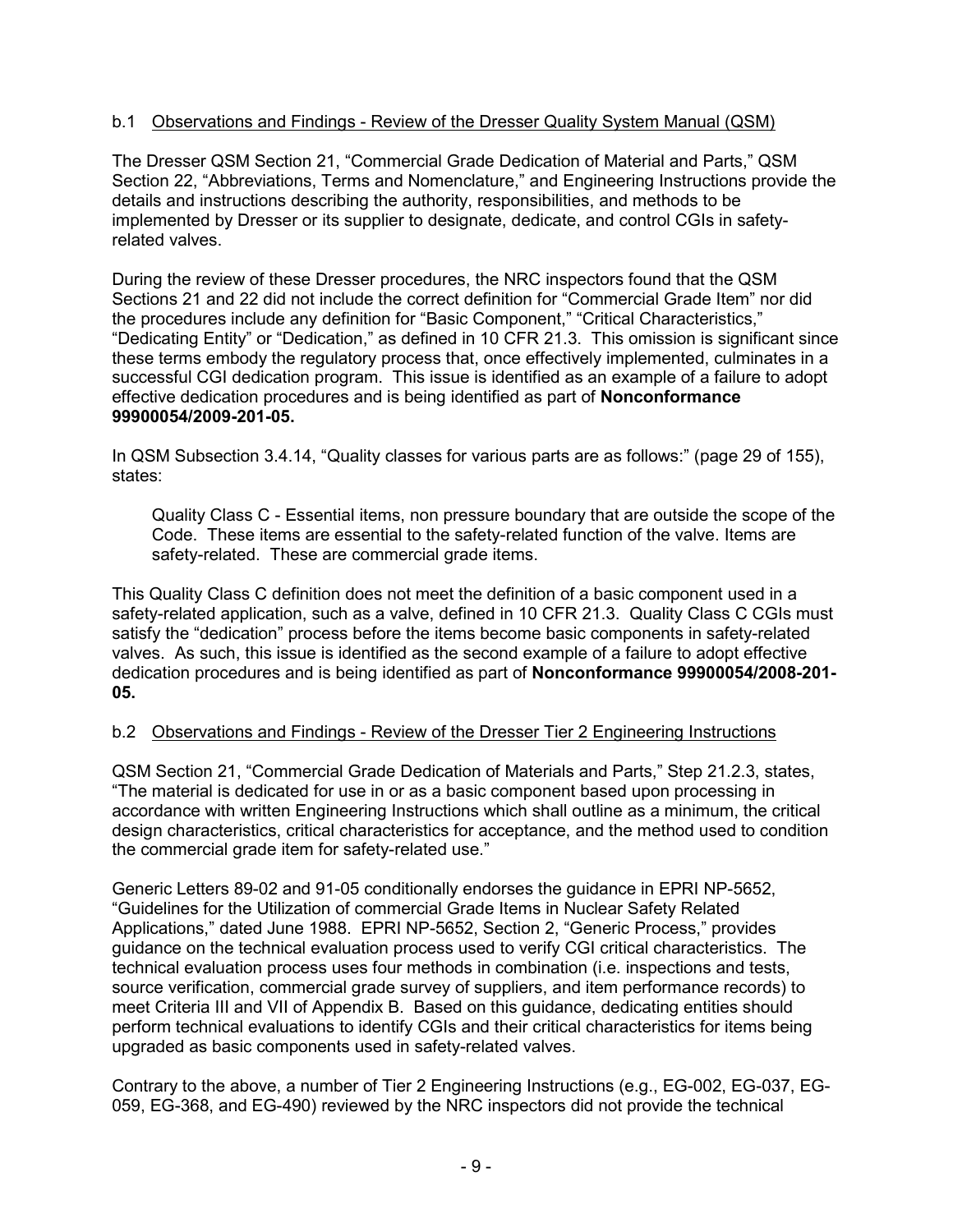## b.1 Observations and Findings - Review of the Dresser Quality System Manual (QSM)

The Dresser QSM Section 21, "Commercial Grade Dedication of Material and Parts," QSM Section 22, "Abbreviations, Terms and Nomenclature," and Engineering Instructions provide the details and instructions describing the authority, responsibilities, and methods to be implemented by Dresser or its supplier to designate, dedicate, and control CGIs in safetyrelated valves.

During the review of these Dresser procedures, the NRC inspectors found that the QSM Sections 21 and 22 did not include the correct definition for "Commercial Grade Item" nor did the procedures include any definition for "Basic Component," "Critical Characteristics," "Dedicating Entity" or "Dedication," as defined in 10 CFR 21.3. This omission is significant since these terms embody the regulatory process that, once effectively implemented, culminates in a successful CGI dedication program. This issue is identified as an example of a failure to adopt effective dedication procedures and is being identified as part of **Nonconformance 99900054/2009-201-05.**

In QSM Subsection 3.4.14, "Quality classes for various parts are as follows:" (page 29 of 155), states:

Quality Class C - Essential items, non pressure boundary that are outside the scope of the Code. These items are essential to the safety-related function of the valve. Items are safety-related. These are commercial grade items.

This Quality Class C definition does not meet the definition of a basic component used in a safety-related application, such as a valve, defined in 10 CFR 21.3. Quality Class C CGIs must satisfy the "dedication" process before the items become basic components in safety-related valves. As such, this issue is identified as the second example of a failure to adopt effective dedication procedures and is being identified as part of **Nonconformance 99900054/2008-201- 05.** 

### b.2 Observations and Findings - Review of the Dresser Tier 2 Engineering Instructions

QSM Section 21, "Commercial Grade Dedication of Materials and Parts," Step 21.2.3, states, "The material is dedicated for use in or as a basic component based upon processing in accordance with written Engineering Instructions which shall outline as a minimum, the critical design characteristics, critical characteristics for acceptance, and the method used to condition the commercial grade item for safety-related use."

Generic Letters 89-02 and 91-05 conditionally endorses the guidance in EPRI NP-5652, "Guidelines for the Utilization of commercial Grade Items in Nuclear Safety Related Applications," dated June 1988. EPRI NP-5652, Section 2, "Generic Process," provides guidance on the technical evaluation process used to verify CGI critical characteristics. The technical evaluation process uses four methods in combination (i.e. inspections and tests, source verification, commercial grade survey of suppliers, and item performance records) to meet Criteria III and VII of Appendix B. Based on this guidance, dedicating entities should perform technical evaluations to identify CGIs and their critical characteristics for items being upgraded as basic components used in safety-related valves.

Contrary to the above, a number of Tier 2 Engineering Instructions (e.g., EG-002, EG-037, EG-059, EG-368, and EG-490) reviewed by the NRC inspectors did not provide the technical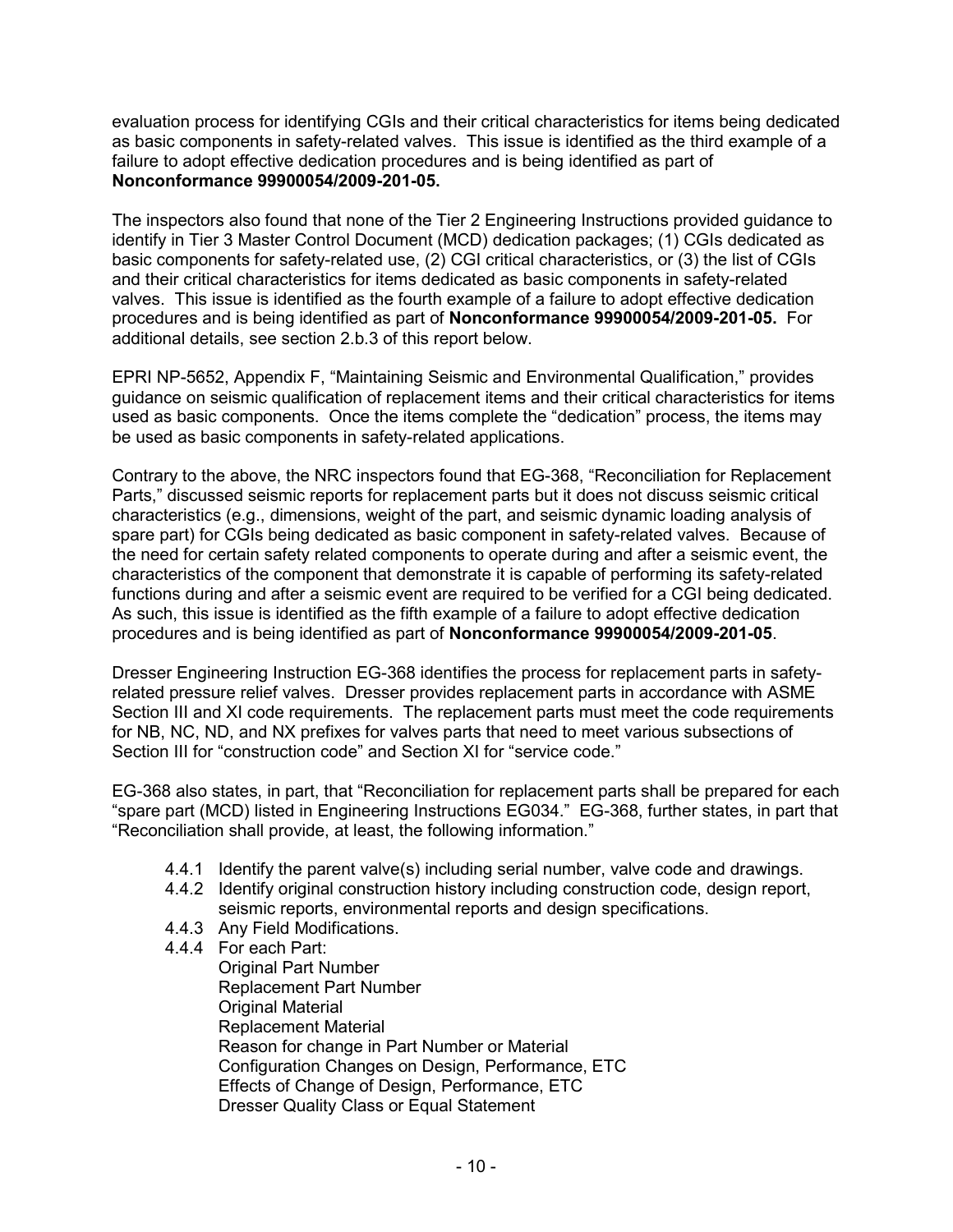evaluation process for identifying CGIs and their critical characteristics for items being dedicated as basic components in safety-related valves. This issue is identified as the third example of a failure to adopt effective dedication procedures and is being identified as part of **Nonconformance 99900054/2009-201-05.**

The inspectors also found that none of the Tier 2 Engineering Instructions provided guidance to identify in Tier 3 Master Control Document (MCD) dedication packages; (1) CGIs dedicated as basic components for safety-related use, (2) CGI critical characteristics, or (3) the list of CGIs and their critical characteristics for items dedicated as basic components in safety-related valves. This issue is identified as the fourth example of a failure to adopt effective dedication procedures and is being identified as part of **Nonconformance 99900054/2009-201-05.** For additional details, see section 2.b.3 of this report below.

EPRI NP-5652, Appendix F, "Maintaining Seismic and Environmental Qualification," provides guidance on seismic qualification of replacement items and their critical characteristics for items used as basic components. Once the items complete the "dedication" process, the items may be used as basic components in safety-related applications.

Contrary to the above, the NRC inspectors found that EG-368, "Reconciliation for Replacement Parts," discussed seismic reports for replacement parts but it does not discuss seismic critical characteristics (e.g., dimensions, weight of the part, and seismic dynamic loading analysis of spare part) for CGIs being dedicated as basic component in safety-related valves. Because of the need for certain safety related components to operate during and after a seismic event, the characteristics of the component that demonstrate it is capable of performing its safety-related functions during and after a seismic event are required to be verified for a CGI being dedicated. As such, this issue is identified as the fifth example of a failure to adopt effective dedication procedures and is being identified as part of **Nonconformance 99900054/2009-201-05**.

Dresser Engineering Instruction EG-368 identifies the process for replacement parts in safetyrelated pressure relief valves. Dresser provides replacement parts in accordance with ASME Section III and XI code requirements. The replacement parts must meet the code requirements for NB, NC, ND, and NX prefixes for valves parts that need to meet various subsections of Section III for "construction code" and Section XI for "service code."

EG-368 also states, in part, that "Reconciliation for replacement parts shall be prepared for each "spare part (MCD) listed in Engineering Instructions EG034." EG-368, further states, in part that "Reconciliation shall provide, at least, the following information."

- 4.4.1 Identify the parent valve(s) including serial number, valve code and drawings.
- 4.4.2 Identify original construction history including construction code, design report, seismic reports, environmental reports and design specifications.
- 4.4.3 Any Field Modifications.
- 4.4.4 For each Part:

Original Part Number Replacement Part Number Original Material Replacement Material Reason for change in Part Number or Material Configuration Changes on Design, Performance, ETC Effects of Change of Design, Performance, ETC Dresser Quality Class or Equal Statement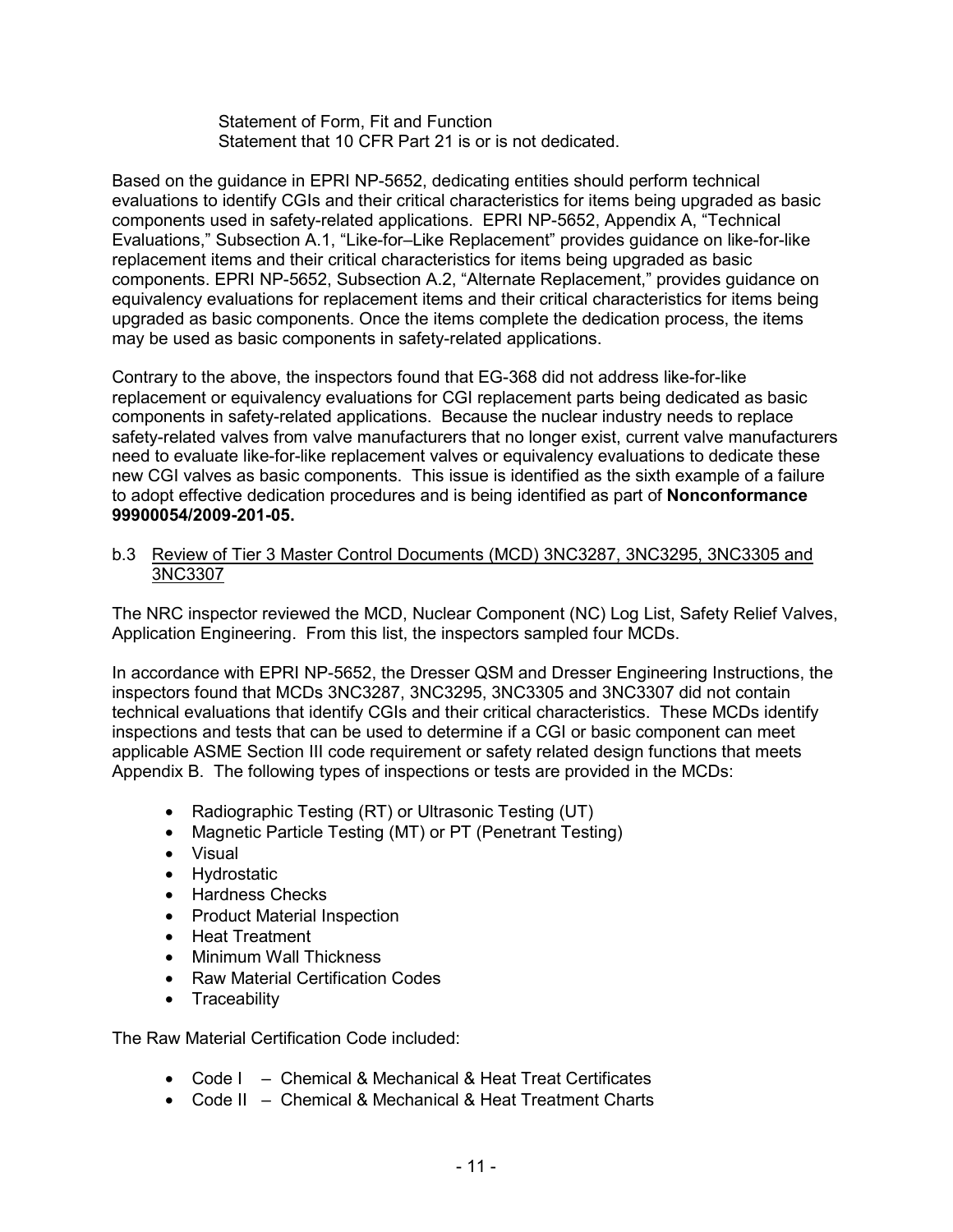Statement of Form, Fit and Function Statement that 10 CFR Part 21 is or is not dedicated.

Based on the guidance in EPRI NP-5652, dedicating entities should perform technical evaluations to identify CGIs and their critical characteristics for items being upgraded as basic components used in safety-related applications. EPRI NP-5652, Appendix A, "Technical Evaluations," Subsection A.1, "Like-for–Like Replacement" provides guidance on like-for-like replacement items and their critical characteristics for items being upgraded as basic components. EPRI NP-5652, Subsection A.2, "Alternate Replacement," provides guidance on equivalency evaluations for replacement items and their critical characteristics for items being upgraded as basic components. Once the items complete the dedication process, the items may be used as basic components in safety-related applications.

Contrary to the above, the inspectors found that EG-368 did not address like-for-like replacement or equivalency evaluations for CGI replacement parts being dedicated as basic components in safety-related applications. Because the nuclear industry needs to replace safety-related valves from valve manufacturers that no longer exist, current valve manufacturers need to evaluate like-for-like replacement valves or equivalency evaluations to dedicate these new CGI valves as basic components. This issue is identified as the sixth example of a failure to adopt effective dedication procedures and is being identified as part of **Nonconformance 99900054/2009-201-05.**

#### b.3 Review of Tier 3 Master Control Documents (MCD) 3NC3287, 3NC3295, 3NC3305 and 3NC3307

The NRC inspector reviewed the MCD, Nuclear Component (NC) Log List, Safety Relief Valves, Application Engineering. From this list, the inspectors sampled four MCDs.

In accordance with EPRI NP-5652, the Dresser QSM and Dresser Engineering Instructions, the inspectors found that MCDs 3NC3287, 3NC3295, 3NC3305 and 3NC3307 did not contain technical evaluations that identify CGIs and their critical characteristics. These MCDs identify inspections and tests that can be used to determine if a CGI or basic component can meet applicable ASME Section III code requirement or safety related design functions that meets Appendix B. The following types of inspections or tests are provided in the MCDs:

- Radiographic Testing (RT) or Ultrasonic Testing (UT)
- Magnetic Particle Testing (MT) or PT (Penetrant Testing)
- Visual
- Hydrostatic
- Hardness Checks
- Product Material Inspection
- Heat Treatment
- Minimum Wall Thickness
- Raw Material Certification Codes
- Traceability

The Raw Material Certification Code included:

- Code I Chemical & Mechanical & Heat Treat Certificates
- Code II Chemical & Mechanical & Heat Treatment Charts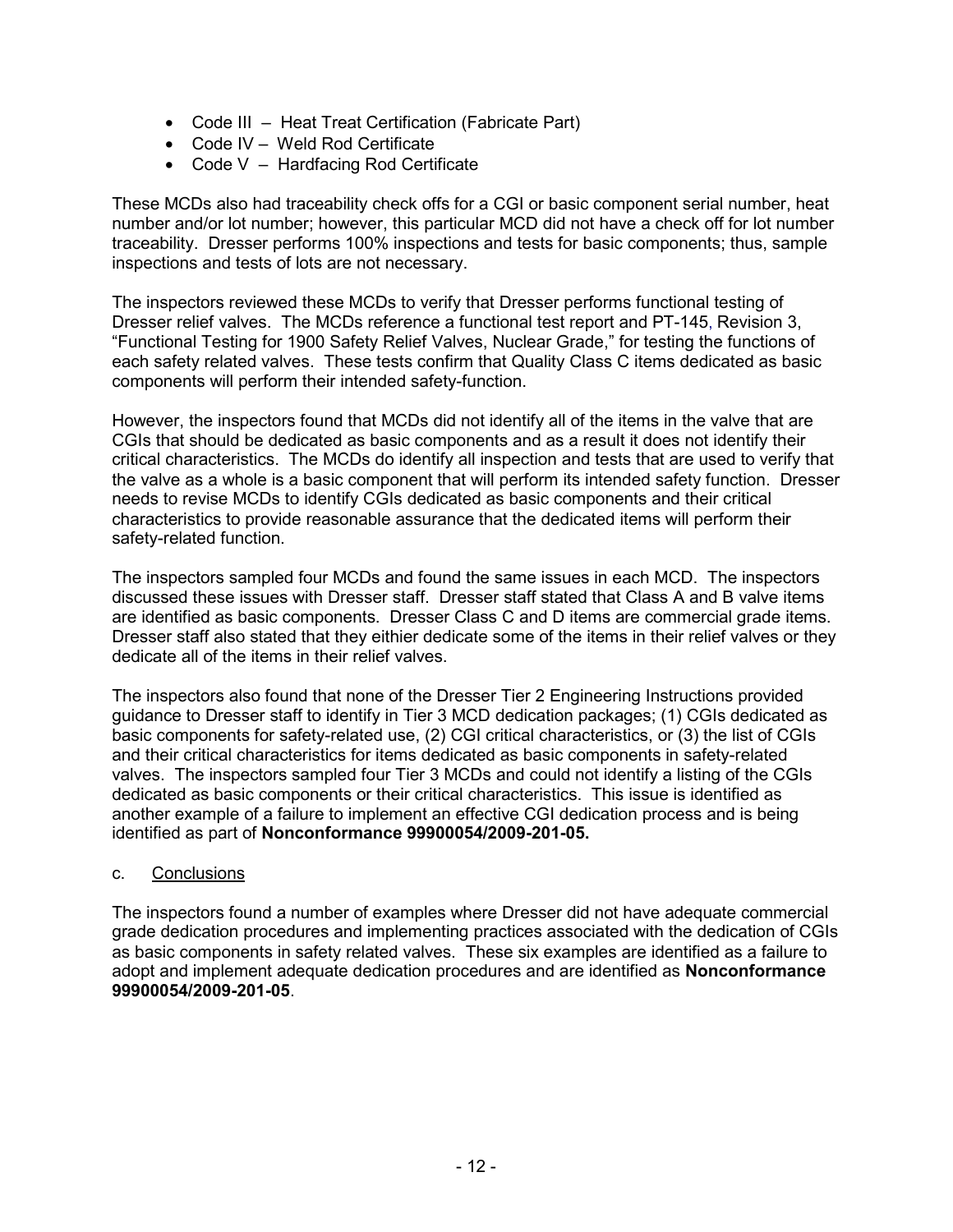- Code III Heat Treat Certification (Fabricate Part)
- Code IV Weld Rod Certificate
- Code V Hardfacing Rod Certificate

These MCDs also had traceability check offs for a CGI or basic component serial number, heat number and/or lot number; however, this particular MCD did not have a check off for lot number traceability. Dresser performs 100% inspections and tests for basic components; thus, sample inspections and tests of lots are not necessary.

The inspectors reviewed these MCDs to verify that Dresser performs functional testing of Dresser relief valves. The MCDs reference a functional test report and PT-145, Revision 3, "Functional Testing for 1900 Safety Relief Valves, Nuclear Grade," for testing the functions of each safety related valves. These tests confirm that Quality Class C items dedicated as basic components will perform their intended safety-function.

However, the inspectors found that MCDs did not identify all of the items in the valve that are CGIs that should be dedicated as basic components and as a result it does not identify their critical characteristics. The MCDs do identify all inspection and tests that are used to verify that the valve as a whole is a basic component that will perform its intended safety function. Dresser needs to revise MCDs to identify CGIs dedicated as basic components and their critical characteristics to provide reasonable assurance that the dedicated items will perform their safety-related function.

The inspectors sampled four MCDs and found the same issues in each MCD. The inspectors discussed these issues with Dresser staff. Dresser staff stated that Class A and B valve items are identified as basic components. Dresser Class C and D items are commercial grade items. Dresser staff also stated that they eithier dedicate some of the items in their relief valves or they dedicate all of the items in their relief valves.

The inspectors also found that none of the Dresser Tier 2 Engineering Instructions provided guidance to Dresser staff to identify in Tier 3 MCD dedication packages; (1) CGIs dedicated as basic components for safety-related use, (2) CGI critical characteristics, or (3) the list of CGIs and their critical characteristics for items dedicated as basic components in safety-related valves. The inspectors sampled four Tier 3 MCDs and could not identify a listing of the CGIs dedicated as basic components or their critical characteristics. This issue is identified as another example of a failure to implement an effective CGI dedication process and is being identified as part of **Nonconformance 99900054/2009-201-05.** 

### c. Conclusions

The inspectors found a number of examples where Dresser did not have adequate commercial grade dedication procedures and implementing practices associated with the dedication of CGIs as basic components in safety related valves. These six examples are identified as a failure to adopt and implement adequate dedication procedures and are identified as **Nonconformance 99900054/2009-201-05**.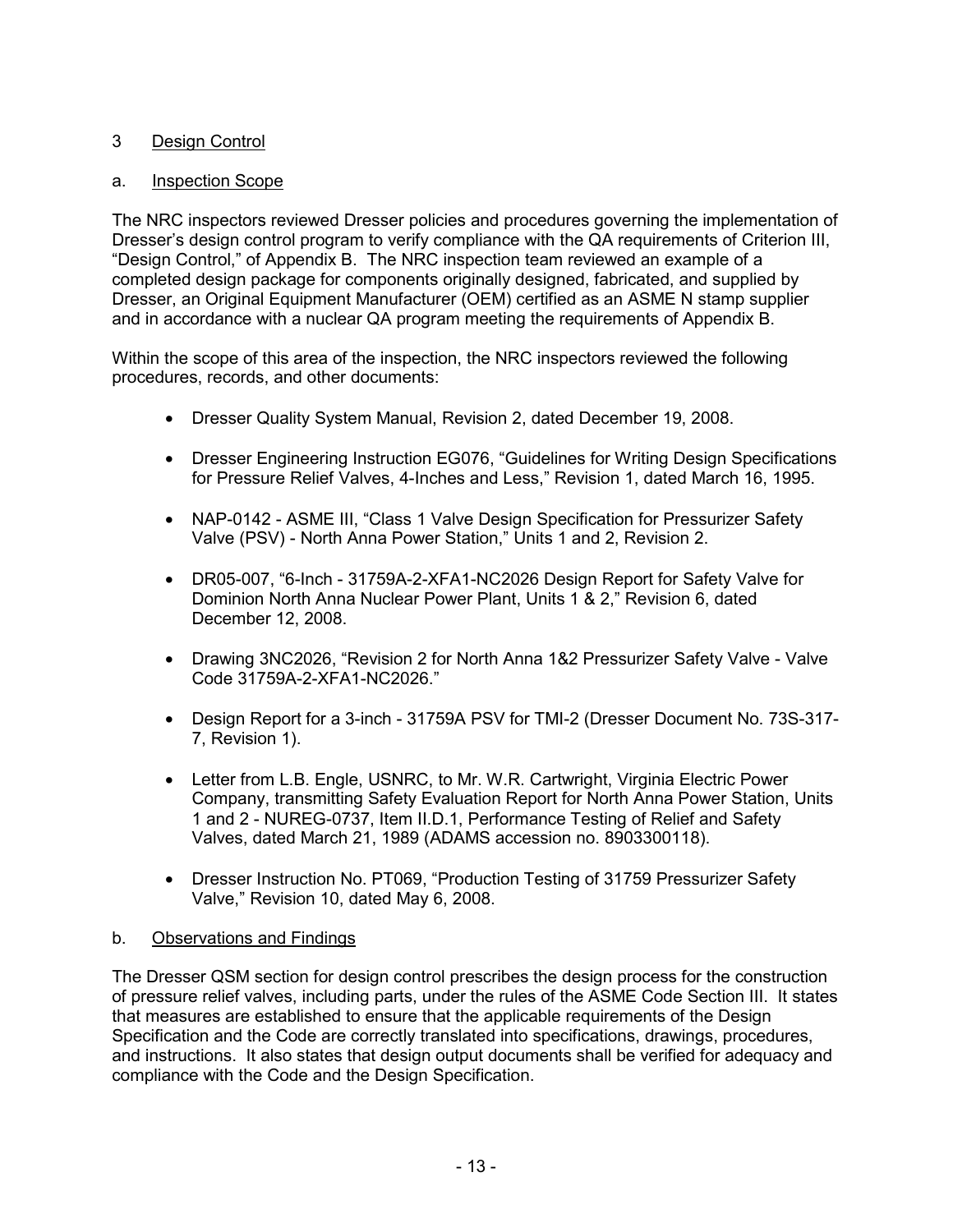# 3 Design Control

## a. Inspection Scope

The NRC inspectors reviewed Dresser policies and procedures governing the implementation of Dresser's design control program to verify compliance with the QA requirements of Criterion III, "Design Control," of Appendix B. The NRC inspection team reviewed an example of a completed design package for components originally designed, fabricated, and supplied by Dresser, an Original Equipment Manufacturer (OEM) certified as an ASME N stamp supplier and in accordance with a nuclear QA program meeting the requirements of Appendix B.

Within the scope of this area of the inspection, the NRC inspectors reviewed the following procedures, records, and other documents:

- Dresser Quality System Manual, Revision 2, dated December 19, 2008.
- Dresser Engineering Instruction EG076, "Guidelines for Writing Design Specifications for Pressure Relief Valves, 4-Inches and Less," Revision 1, dated March 16, 1995.
- NAP-0142 ASME III, "Class 1 Valve Design Specification for Pressurizer Safety Valve (PSV) - North Anna Power Station," Units 1 and 2, Revision 2.
- DR05-007, "6-Inch 31759A-2-XFA1-NC2026 Design Report for Safety Valve for Dominion North Anna Nuclear Power Plant, Units 1 & 2," Revision 6, dated December 12, 2008.
- Drawing 3NC2026, "Revision 2 for North Anna 1&2 Pressurizer Safety Valve Valve Code 31759A-2-XFA1-NC2026."
- Design Report for a 3-inch 31759A PSV for TMI-2 (Dresser Document No. 73S-317- 7, Revision 1).
- Letter from L.B. Engle, USNRC, to Mr. W.R. Cartwright, Virginia Electric Power Company, transmitting Safety Evaluation Report for North Anna Power Station, Units 1 and 2 - NUREG-0737, Item II.D.1, Performance Testing of Relief and Safety Valves, dated March 21, 1989 (ADAMS accession no. 8903300118).
- Dresser Instruction No. PT069, "Production Testing of 31759 Pressurizer Safety Valve," Revision 10, dated May 6, 2008.

# b. Observations and Findings

The Dresser QSM section for design control prescribes the design process for the construction of pressure relief valves, including parts, under the rules of the ASME Code Section III. It states that measures are established to ensure that the applicable requirements of the Design Specification and the Code are correctly translated into specifications, drawings, procedures, and instructions. It also states that design output documents shall be verified for adequacy and compliance with the Code and the Design Specification.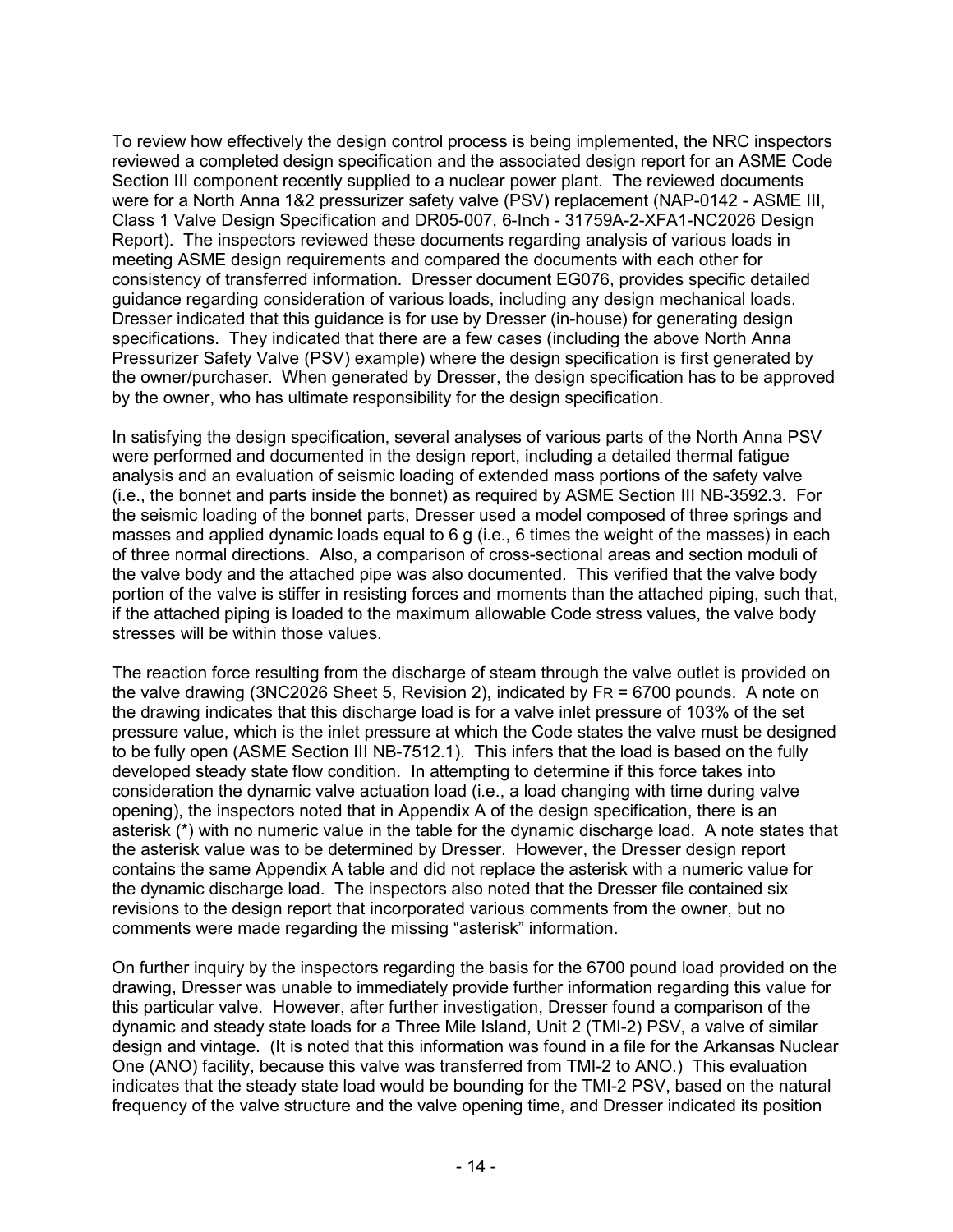To review how effectively the design control process is being implemented, the NRC inspectors reviewed a completed design specification and the associated design report for an ASME Code Section III component recently supplied to a nuclear power plant. The reviewed documents were for a North Anna 1&2 pressurizer safety valve (PSV) replacement (NAP-0142 - ASME III, Class 1 Valve Design Specification and DR05-007, 6-Inch - 31759A-2-XFA1-NC2026 Design Report). The inspectors reviewed these documents regarding analysis of various loads in meeting ASME design requirements and compared the documents with each other for consistency of transferred information. Dresser document EG076, provides specific detailed guidance regarding consideration of various loads, including any design mechanical loads. Dresser indicated that this guidance is for use by Dresser (in-house) for generating design specifications. They indicated that there are a few cases (including the above North Anna Pressurizer Safety Valve (PSV) example) where the design specification is first generated by the owner/purchaser. When generated by Dresser, the design specification has to be approved by the owner, who has ultimate responsibility for the design specification.

In satisfying the design specification, several analyses of various parts of the North Anna PSV were performed and documented in the design report, including a detailed thermal fatigue analysis and an evaluation of seismic loading of extended mass portions of the safety valve (i.e., the bonnet and parts inside the bonnet) as required by ASME Section III NB-3592.3. For the seismic loading of the bonnet parts, Dresser used a model composed of three springs and masses and applied dynamic loads equal to 6 g (i.e., 6 times the weight of the masses) in each of three normal directions. Also, a comparison of cross-sectional areas and section moduli of the valve body and the attached pipe was also documented. This verified that the valve body portion of the valve is stiffer in resisting forces and moments than the attached piping, such that, if the attached piping is loaded to the maximum allowable Code stress values, the valve body stresses will be within those values.

The reaction force resulting from the discharge of steam through the valve outlet is provided on the valve drawing (3NC2026 Sheet 5, Revision 2), indicated by FR = 6700 pounds. A note on the drawing indicates that this discharge load is for a valve inlet pressure of 103% of the set pressure value, which is the inlet pressure at which the Code states the valve must be designed to be fully open (ASME Section III NB-7512.1). This infers that the load is based on the fully developed steady state flow condition. In attempting to determine if this force takes into consideration the dynamic valve actuation load (i.e., a load changing with time during valve opening), the inspectors noted that in Appendix A of the design specification, there is an asterisk (\*) with no numeric value in the table for the dynamic discharge load. A note states that the asterisk value was to be determined by Dresser. However, the Dresser design report contains the same Appendix A table and did not replace the asterisk with a numeric value for the dynamic discharge load. The inspectors also noted that the Dresser file contained six revisions to the design report that incorporated various comments from the owner, but no comments were made regarding the missing "asterisk" information.

On further inquiry by the inspectors regarding the basis for the 6700 pound load provided on the drawing, Dresser was unable to immediately provide further information regarding this value for this particular valve. However, after further investigation, Dresser found a comparison of the dynamic and steady state loads for a Three Mile Island, Unit 2 (TMI-2) PSV, a valve of similar design and vintage. (It is noted that this information was found in a file for the Arkansas Nuclear One (ANO) facility, because this valve was transferred from TMI-2 to ANO.) This evaluation indicates that the steady state load would be bounding for the TMI-2 PSV, based on the natural frequency of the valve structure and the valve opening time, and Dresser indicated its position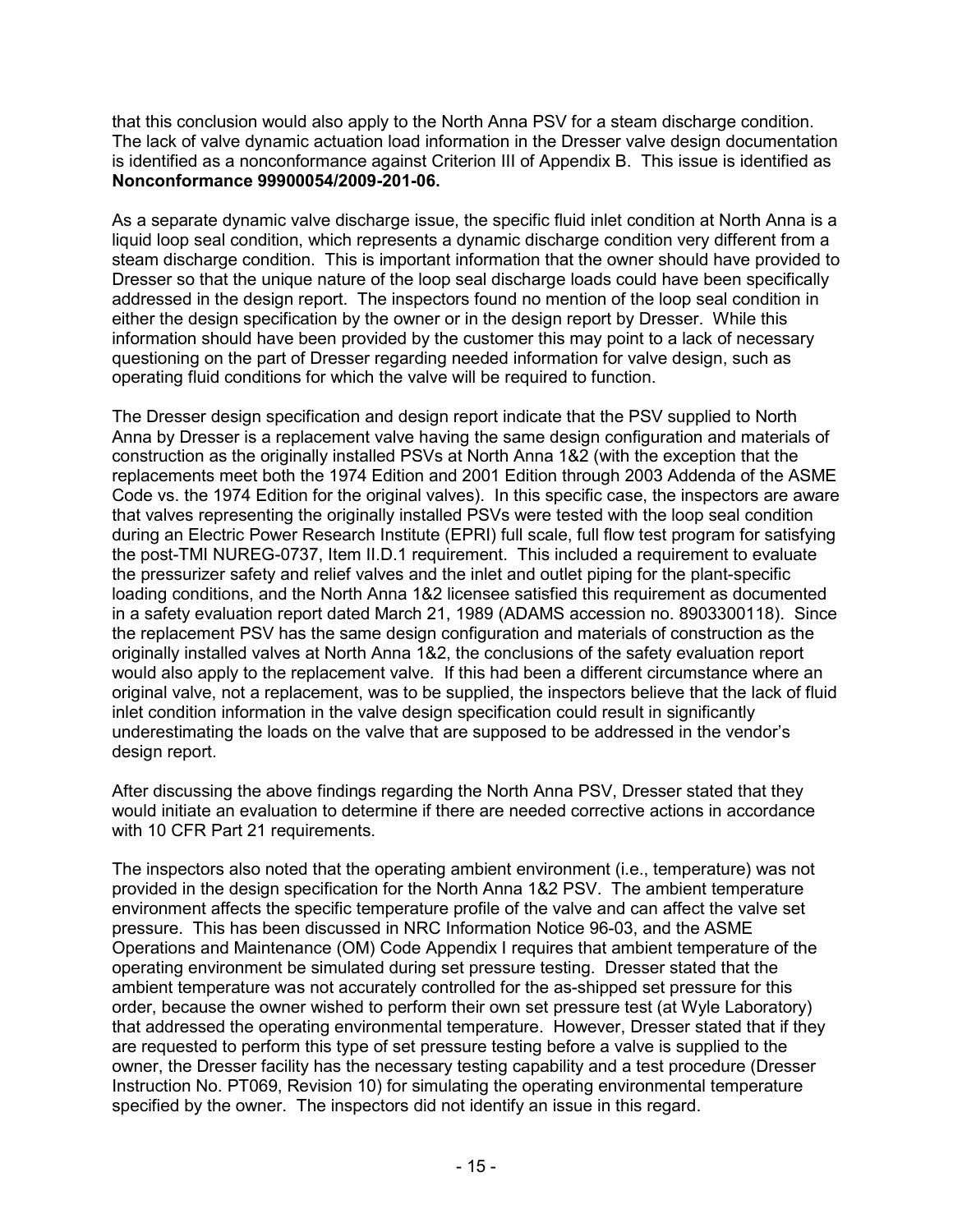that this conclusion would also apply to the North Anna PSV for a steam discharge condition. The lack of valve dynamic actuation load information in the Dresser valve design documentation is identified as a nonconformance against Criterion III of Appendix B. This issue is identified as **Nonconformance 99900054/2009-201-06.**

As a separate dynamic valve discharge issue, the specific fluid inlet condition at North Anna is a liquid loop seal condition, which represents a dynamic discharge condition very different from a steam discharge condition. This is important information that the owner should have provided to Dresser so that the unique nature of the loop seal discharge loads could have been specifically addressed in the design report. The inspectors found no mention of the loop seal condition in either the design specification by the owner or in the design report by Dresser. While this information should have been provided by the customer this may point to a lack of necessary questioning on the part of Dresser regarding needed information for valve design, such as operating fluid conditions for which the valve will be required to function.

The Dresser design specification and design report indicate that the PSV supplied to North Anna by Dresser is a replacement valve having the same design configuration and materials of construction as the originally installed PSVs at North Anna 1&2 (with the exception that the replacements meet both the 1974 Edition and 2001 Edition through 2003 Addenda of the ASME Code vs. the 1974 Edition for the original valves). In this specific case, the inspectors are aware that valves representing the originally installed PSVs were tested with the loop seal condition during an Electric Power Research Institute (EPRI) full scale, full flow test program for satisfying the post-TMI NUREG-0737, Item II.D.1 requirement. This included a requirement to evaluate the pressurizer safety and relief valves and the inlet and outlet piping for the plant-specific loading conditions, and the North Anna 1&2 licensee satisfied this requirement as documented in a safety evaluation report dated March 21, 1989 (ADAMS accession no. 8903300118). Since the replacement PSV has the same design configuration and materials of construction as the originally installed valves at North Anna 1&2, the conclusions of the safety evaluation report would also apply to the replacement valve. If this had been a different circumstance where an original valve, not a replacement, was to be supplied, the inspectors believe that the lack of fluid inlet condition information in the valve design specification could result in significantly underestimating the loads on the valve that are supposed to be addressed in the vendor's design report.

After discussing the above findings regarding the North Anna PSV, Dresser stated that they would initiate an evaluation to determine if there are needed corrective actions in accordance with 10 CFR Part 21 requirements.

The inspectors also noted that the operating ambient environment (i.e., temperature) was not provided in the design specification for the North Anna 1&2 PSV. The ambient temperature environment affects the specific temperature profile of the valve and can affect the valve set pressure. This has been discussed in NRC Information Notice 96-03, and the ASME Operations and Maintenance (OM) Code Appendix I requires that ambient temperature of the operating environment be simulated during set pressure testing. Dresser stated that the ambient temperature was not accurately controlled for the as-shipped set pressure for this order, because the owner wished to perform their own set pressure test (at Wyle Laboratory) that addressed the operating environmental temperature. However, Dresser stated that if they are requested to perform this type of set pressure testing before a valve is supplied to the owner, the Dresser facility has the necessary testing capability and a test procedure (Dresser Instruction No. PT069, Revision 10) for simulating the operating environmental temperature specified by the owner. The inspectors did not identify an issue in this regard.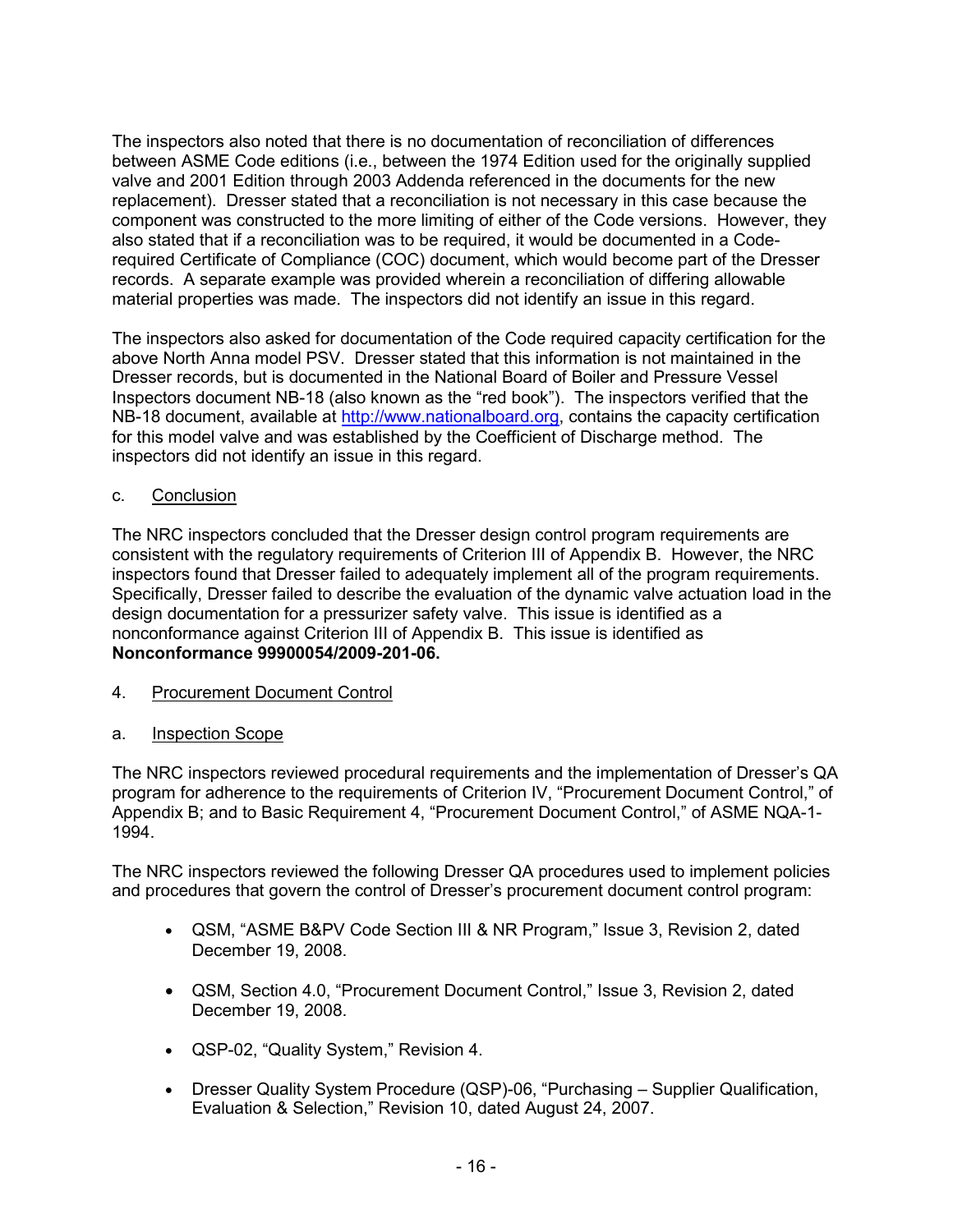The inspectors also noted that there is no documentation of reconciliation of differences between ASME Code editions (i.e., between the 1974 Edition used for the originally supplied valve and 2001 Edition through 2003 Addenda referenced in the documents for the new replacement). Dresser stated that a reconciliation is not necessary in this case because the component was constructed to the more limiting of either of the Code versions. However, they also stated that if a reconciliation was to be required, it would be documented in a Coderequired Certificate of Compliance (COC) document, which would become part of the Dresser records. A separate example was provided wherein a reconciliation of differing allowable material properties was made. The inspectors did not identify an issue in this regard.

The inspectors also asked for documentation of the Code required capacity certification for the above North Anna model PSV. Dresser stated that this information is not maintained in the Dresser records, but is documented in the National Board of Boiler and Pressure Vessel Inspectors document NB-18 (also known as the "red book"). The inspectors verified that the NB-18 document, available at http://www.nationalboard.org, contains the capacity certification for this model valve and was established by the Coefficient of Discharge method. The inspectors did not identify an issue in this regard.

## c. Conclusion

The NRC inspectors concluded that the Dresser design control program requirements are consistent with the regulatory requirements of Criterion III of Appendix B. However, the NRC inspectors found that Dresser failed to adequately implement all of the program requirements. Specifically, Dresser failed to describe the evaluation of the dynamic valve actuation load in the design documentation for a pressurizer safety valve. This issue is identified as a nonconformance against Criterion III of Appendix B. This issue is identified as **Nonconformance 99900054/2009-201-06.**

4. Procurement Document Control

# a. Inspection Scope

The NRC inspectors reviewed procedural requirements and the implementation of Dresser's QA program for adherence to the requirements of Criterion IV, "Procurement Document Control," of Appendix B; and to Basic Requirement 4, "Procurement Document Control," of ASME NQA-1- 1994.

The NRC inspectors reviewed the following Dresser QA procedures used to implement policies and procedures that govern the control of Dresser's procurement document control program:

- QSM, "ASME B&PV Code Section III & NR Program," Issue 3, Revision 2, dated December 19, 2008.
- QSM, Section 4.0, "Procurement Document Control," Issue 3, Revision 2, dated December 19, 2008.
- QSP-02, "Quality System," Revision 4.
- Dresser Quality System Procedure (QSP)-06, "Purchasing Supplier Qualification, Evaluation & Selection," Revision 10, dated August 24, 2007.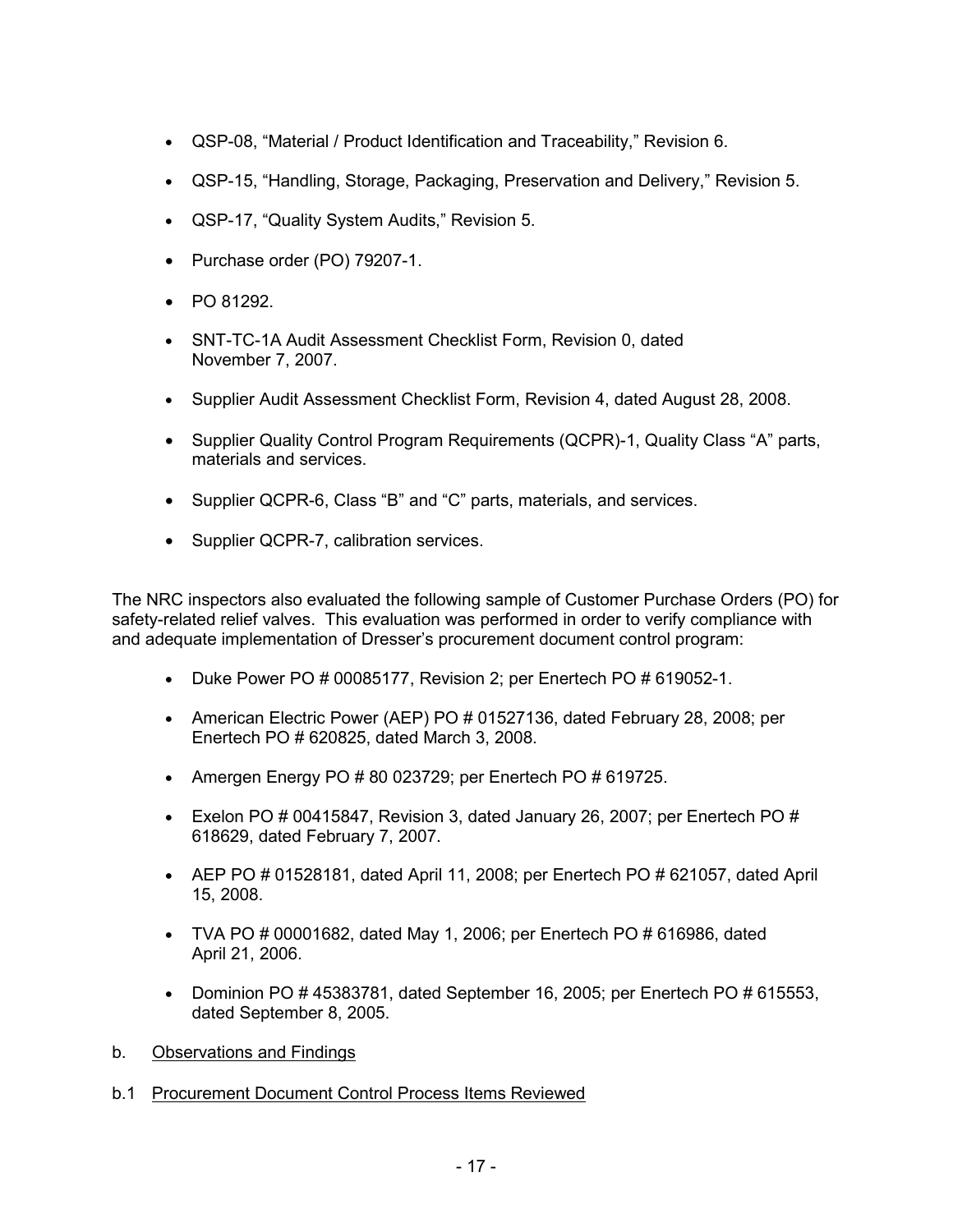- QSP-08, "Material / Product Identification and Traceability," Revision 6.
- QSP-15, "Handling, Storage, Packaging, Preservation and Delivery," Revision 5.
- QSP-17, "Quality System Audits," Revision 5.
- Purchase order (PO) 79207-1.
- PO 81292.
- SNT-TC-1A Audit Assessment Checklist Form, Revision 0, dated November 7, 2007.
- Supplier Audit Assessment Checklist Form, Revision 4, dated August 28, 2008.
- Supplier Quality Control Program Requirements (QCPR)-1, Quality Class "A" parts, materials and services.
- Supplier QCPR-6, Class "B" and "C" parts, materials, and services.
- Supplier QCPR-7, calibration services.

The NRC inspectors also evaluated the following sample of Customer Purchase Orders (PO) for safety-related relief valves. This evaluation was performed in order to verify compliance with and adequate implementation of Dresser's procurement document control program:

- Duke Power PO # 00085177, Revision 2; per Enertech PO # 619052-1.
- American Electric Power (AEP) PO # 01527136, dated February 28, 2008; per Enertech PO # 620825, dated March 3, 2008.
- Amergen Energy PO # 80 023729; per Enertech PO # 619725.
- Exelon PO # 00415847, Revision 3, dated January 26, 2007; per Enertech PO # 618629, dated February 7, 2007.
- AEP PO  $\#$  01528181, dated April 11, 2008; per Enertech PO  $\#$  621057, dated April 15, 2008.
- TVA PO  $\#$  00001682, dated May 1, 2006; per Enertech PO  $\#$  616986, dated April 21, 2006.
- Dominion PO # 45383781, dated September 16, 2005; per Enertech PO # 615553, dated September 8, 2005.
- b. Observations and Findings
- b.1 Procurement Document Control Process Items Reviewed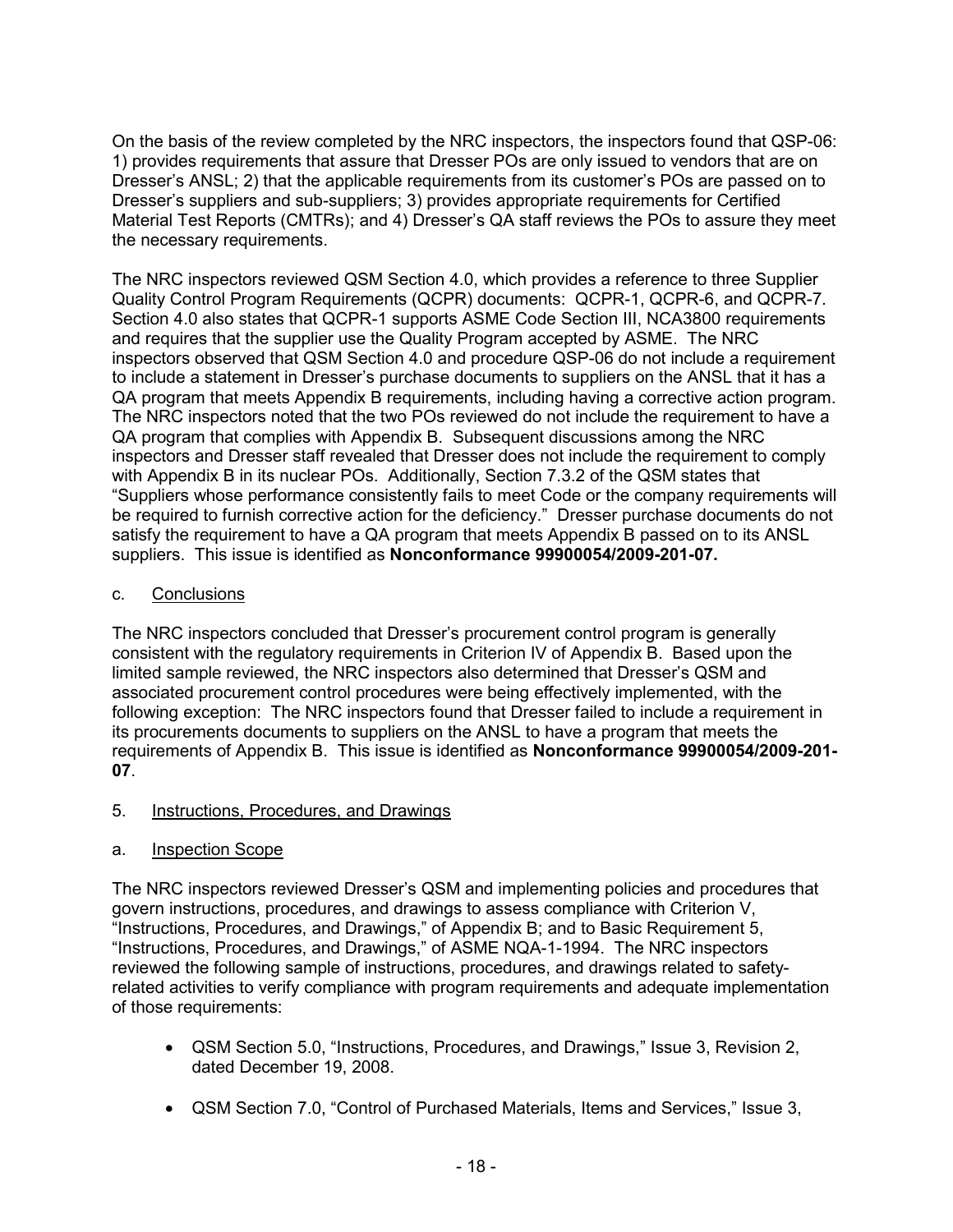On the basis of the review completed by the NRC inspectors, the inspectors found that QSP-06: 1) provides requirements that assure that Dresser POs are only issued to vendors that are on Dresser's ANSL; 2) that the applicable requirements from its customer's POs are passed on to Dresser's suppliers and sub-suppliers; 3) provides appropriate requirements for Certified Material Test Reports (CMTRs); and 4) Dresser's QA staff reviews the POs to assure they meet the necessary requirements.

The NRC inspectors reviewed QSM Section 4.0, which provides a reference to three Supplier Quality Control Program Requirements (QCPR) documents: QCPR-1, QCPR-6, and QCPR-7. Section 4.0 also states that QCPR-1 supports ASME Code Section III, NCA3800 requirements and requires that the supplier use the Quality Program accepted by ASME. The NRC inspectors observed that QSM Section 4.0 and procedure QSP-06 do not include a requirement to include a statement in Dresser's purchase documents to suppliers on the ANSL that it has a QA program that meets Appendix B requirements, including having a corrective action program. The NRC inspectors noted that the two POs reviewed do not include the requirement to have a QA program that complies with Appendix B. Subsequent discussions among the NRC inspectors and Dresser staff revealed that Dresser does not include the requirement to comply with Appendix B in its nuclear POs. Additionally, Section 7.3.2 of the QSM states that "Suppliers whose performance consistently fails to meet Code or the company requirements will be required to furnish corrective action for the deficiency." Dresser purchase documents do not satisfy the requirement to have a QA program that meets Appendix B passed on to its ANSL suppliers. This issue is identified as **Nonconformance 99900054/2009-201-07.** 

# c. Conclusions

The NRC inspectors concluded that Dresser's procurement control program is generally consistent with the regulatory requirements in Criterion IV of Appendix B. Based upon the limited sample reviewed, the NRC inspectors also determined that Dresser's QSM and associated procurement control procedures were being effectively implemented, with the following exception: The NRC inspectors found that Dresser failed to include a requirement in its procurements documents to suppliers on the ANSL to have a program that meets the requirements of Appendix B. This issue is identified as **Nonconformance 99900054/2009-201- 07**.

5. Instructions, Procedures, and Drawings

# a. Inspection Scope

The NRC inspectors reviewed Dresser's QSM and implementing policies and procedures that govern instructions, procedures, and drawings to assess compliance with Criterion V, "Instructions, Procedures, and Drawings," of Appendix B; and to Basic Requirement 5, "Instructions, Procedures, and Drawings," of ASME NQA-1-1994. The NRC inspectors reviewed the following sample of instructions, procedures, and drawings related to safetyrelated activities to verify compliance with program requirements and adequate implementation of those requirements:

- QSM Section 5.0, "Instructions, Procedures, and Drawings," Issue 3, Revision 2, dated December 19, 2008.
- QSM Section 7.0, "Control of Purchased Materials, Items and Services," Issue 3,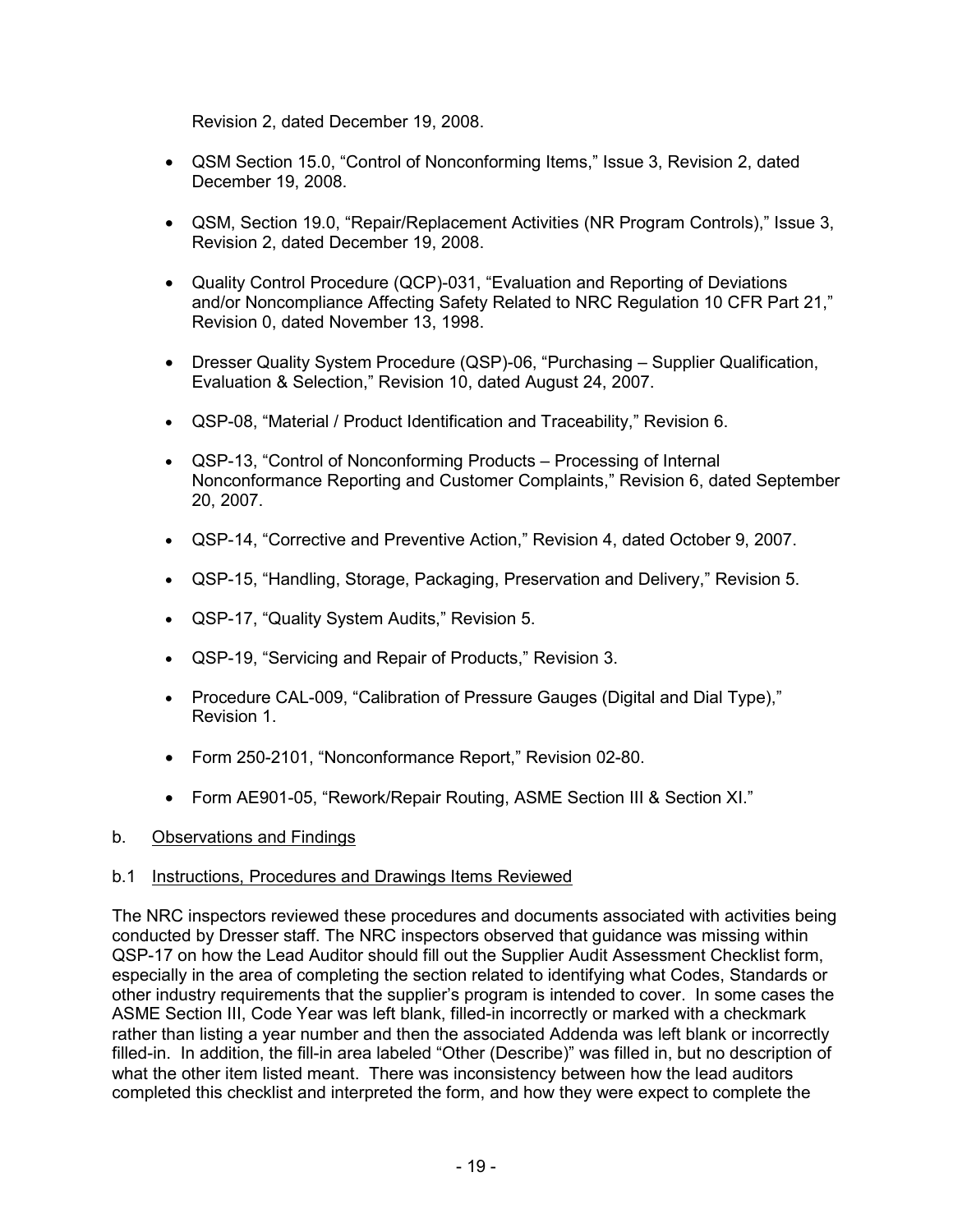Revision 2, dated December 19, 2008.

- QSM Section 15.0, "Control of Nonconforming Items," Issue 3, Revision 2, dated December 19, 2008.
- QSM, Section 19.0, "Repair/Replacement Activities (NR Program Controls)," Issue 3, Revision 2, dated December 19, 2008.
- Quality Control Procedure (QCP)-031, "Evaluation and Reporting of Deviations and/or Noncompliance Affecting Safety Related to NRC Regulation 10 CFR Part 21," Revision 0, dated November 13, 1998.
- Dresser Quality System Procedure (QSP)-06, "Purchasing Supplier Qualification, Evaluation & Selection," Revision 10, dated August 24, 2007.
- QSP-08, "Material / Product Identification and Traceability," Revision 6.
- QSP-13, "Control of Nonconforming Products Processing of Internal Nonconformance Reporting and Customer Complaints," Revision 6, dated September 20, 2007.
- QSP-14, "Corrective and Preventive Action," Revision 4, dated October 9, 2007.
- QSP-15, "Handling, Storage, Packaging, Preservation and Delivery," Revision 5.
- QSP-17, "Quality System Audits," Revision 5.
- QSP-19, "Servicing and Repair of Products," Revision 3.
- Procedure CAL-009, "Calibration of Pressure Gauges (Digital and Dial Type)," Revision 1.
- Form 250-2101, "Nonconformance Report," Revision 02-80.
- Form AE901-05, "Rework/Repair Routing, ASME Section III & Section XI."

### b. Observations and Findings

### b.1 Instructions, Procedures and Drawings Items Reviewed

The NRC inspectors reviewed these procedures and documents associated with activities being conducted by Dresser staff. The NRC inspectors observed that guidance was missing within QSP-17 on how the Lead Auditor should fill out the Supplier Audit Assessment Checklist form, especially in the area of completing the section related to identifying what Codes, Standards or other industry requirements that the supplier's program is intended to cover. In some cases the ASME Section III, Code Year was left blank, filled-in incorrectly or marked with a checkmark rather than listing a year number and then the associated Addenda was left blank or incorrectly filled-in. In addition, the fill-in area labeled "Other (Describe)" was filled in, but no description of what the other item listed meant. There was inconsistency between how the lead auditors completed this checklist and interpreted the form, and how they were expect to complete the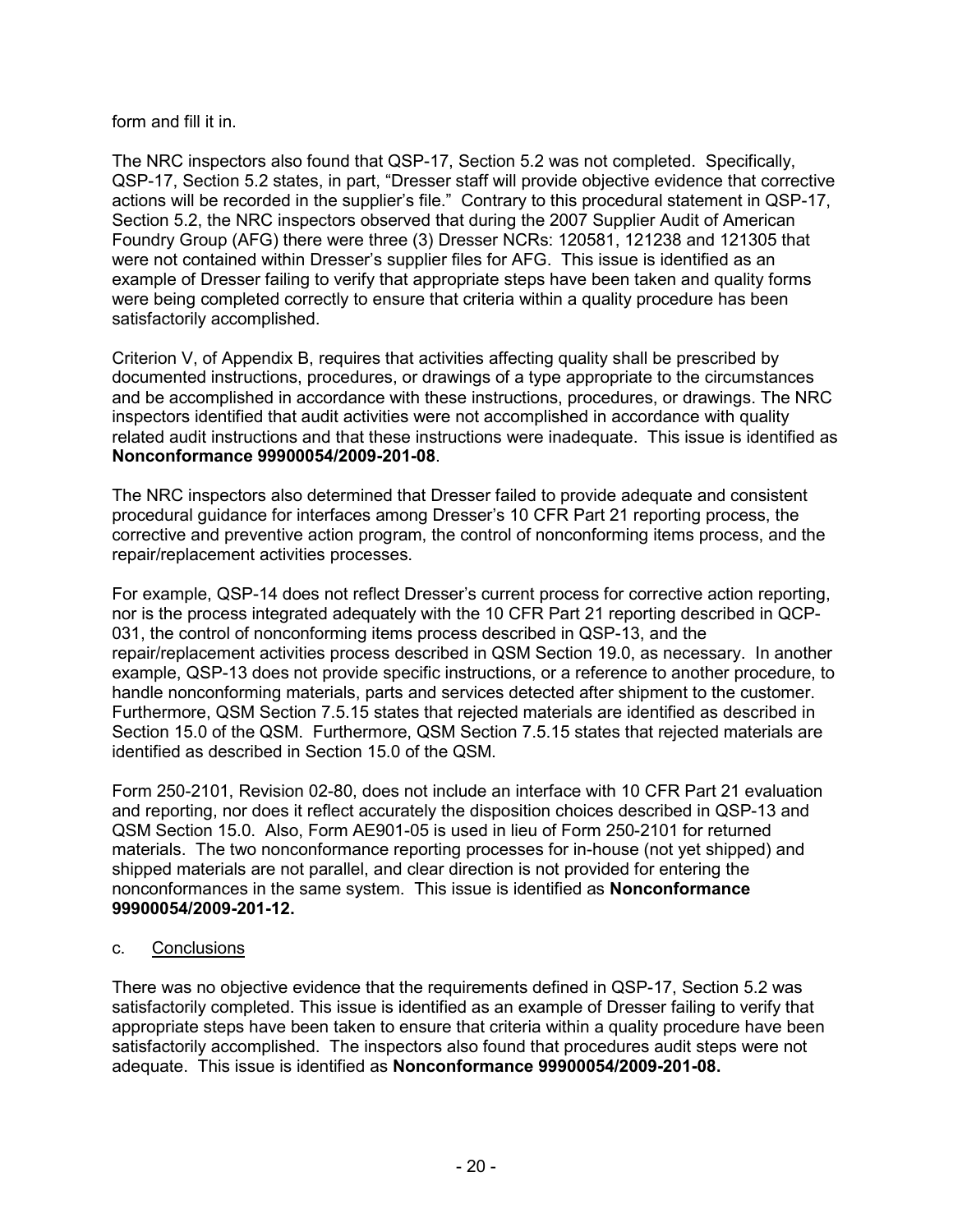### form and fill it in.

The NRC inspectors also found that QSP-17, Section 5.2 was not completed. Specifically, QSP-17, Section 5.2 states, in part, "Dresser staff will provide objective evidence that corrective actions will be recorded in the supplier's file." Contrary to this procedural statement in QSP-17, Section 5.2, the NRC inspectors observed that during the 2007 Supplier Audit of American Foundry Group (AFG) there were three (3) Dresser NCRs: 120581, 121238 and 121305 that were not contained within Dresser's supplier files for AFG. This issue is identified as an example of Dresser failing to verify that appropriate steps have been taken and quality forms were being completed correctly to ensure that criteria within a quality procedure has been satisfactorily accomplished.

Criterion V, of Appendix B, requires that activities affecting quality shall be prescribed by documented instructions, procedures, or drawings of a type appropriate to the circumstances and be accomplished in accordance with these instructions, procedures, or drawings. The NRC inspectors identified that audit activities were not accomplished in accordance with quality related audit instructions and that these instructions were inadequate. This issue is identified as **Nonconformance 99900054/2009-201-08**.

The NRC inspectors also determined that Dresser failed to provide adequate and consistent procedural guidance for interfaces among Dresser's 10 CFR Part 21 reporting process, the corrective and preventive action program, the control of nonconforming items process, and the repair/replacement activities processes.

For example, QSP-14 does not reflect Dresser's current process for corrective action reporting, nor is the process integrated adequately with the 10 CFR Part 21 reporting described in QCP-031, the control of nonconforming items process described in QSP-13, and the repair/replacement activities process described in QSM Section 19.0, as necessary. In another example, QSP-13 does not provide specific instructions, or a reference to another procedure, to handle nonconforming materials, parts and services detected after shipment to the customer. Furthermore, QSM Section 7.5.15 states that rejected materials are identified as described in Section 15.0 of the QSM. Furthermore, QSM Section 7.5.15 states that rejected materials are identified as described in Section 15.0 of the QSM.

Form 250-2101, Revision 02-80, does not include an interface with 10 CFR Part 21 evaluation and reporting, nor does it reflect accurately the disposition choices described in QSP-13 and QSM Section 15.0. Also, Form AE901-05 is used in lieu of Form 250-2101 for returned materials. The two nonconformance reporting processes for in-house (not yet shipped) and shipped materials are not parallel, and clear direction is not provided for entering the nonconformances in the same system. This issue is identified as **Nonconformance 99900054/2009-201-12.**

### c. Conclusions

There was no objective evidence that the requirements defined in QSP-17, Section 5.2 was satisfactorily completed. This issue is identified as an example of Dresser failing to verify that appropriate steps have been taken to ensure that criteria within a quality procedure have been satisfactorily accomplished. The inspectors also found that procedures audit steps were not adequate. This issue is identified as **Nonconformance 99900054/2009-201-08.**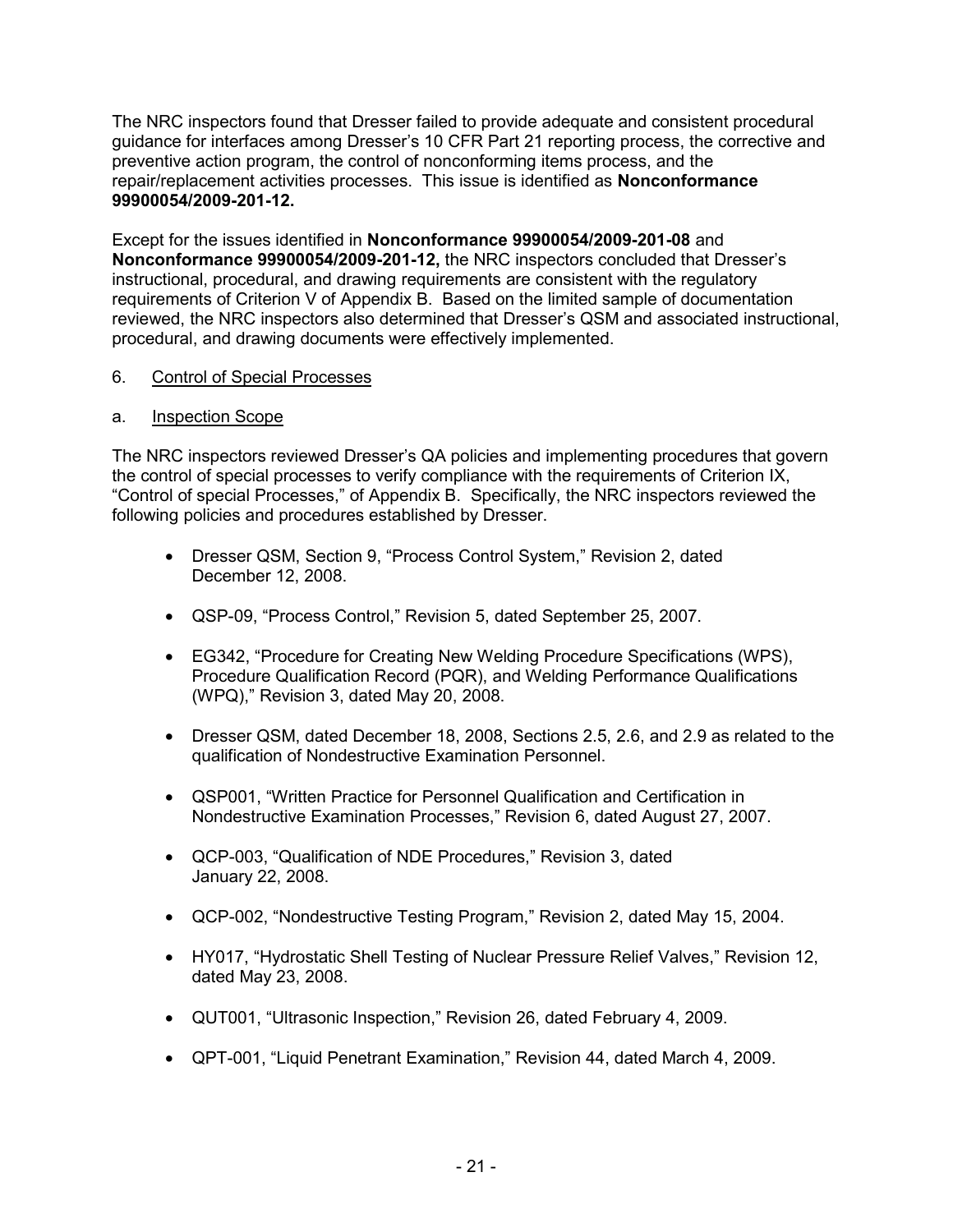The NRC inspectors found that Dresser failed to provide adequate and consistent procedural guidance for interfaces among Dresser's 10 CFR Part 21 reporting process, the corrective and preventive action program, the control of nonconforming items process, and the repair/replacement activities processes. This issue is identified as **Nonconformance 99900054/2009-201-12.** 

Except for the issues identified in **Nonconformance 99900054/2009-201-08** and **Nonconformance 99900054/2009-201-12,** the NRC inspectors concluded that Dresser's instructional, procedural, and drawing requirements are consistent with the regulatory requirements of Criterion V of Appendix B. Based on the limited sample of documentation reviewed, the NRC inspectors also determined that Dresser's QSM and associated instructional, procedural, and drawing documents were effectively implemented.

# 6. Control of Special Processes

## a. Inspection Scope

The NRC inspectors reviewed Dresser's QA policies and implementing procedures that govern the control of special processes to verify compliance with the requirements of Criterion IX, "Control of special Processes," of Appendix B. Specifically, the NRC inspectors reviewed the following policies and procedures established by Dresser.

- Dresser QSM, Section 9, "Process Control System," Revision 2, dated December 12, 2008.
- QSP-09, "Process Control," Revision 5, dated September 25, 2007.
- EG342, "Procedure for Creating New Welding Procedure Specifications (WPS), Procedure Qualification Record (PQR), and Welding Performance Qualifications (WPQ)," Revision 3, dated May 20, 2008.
- Dresser QSM, dated December 18, 2008, Sections 2.5, 2.6, and 2.9 as related to the qualification of Nondestructive Examination Personnel.
- QSP001, "Written Practice for Personnel Qualification and Certification in Nondestructive Examination Processes," Revision 6, dated August 27, 2007.
- QCP-003, "Qualification of NDE Procedures," Revision 3, dated January 22, 2008.
- QCP-002, "Nondestructive Testing Program," Revision 2, dated May 15, 2004.
- HY017, "Hydrostatic Shell Testing of Nuclear Pressure Relief Valves," Revision 12, dated May 23, 2008.
- QUT001, "Ultrasonic Inspection," Revision 26, dated February 4, 2009.
- QPT-001, "Liquid Penetrant Examination," Revision 44, dated March 4, 2009.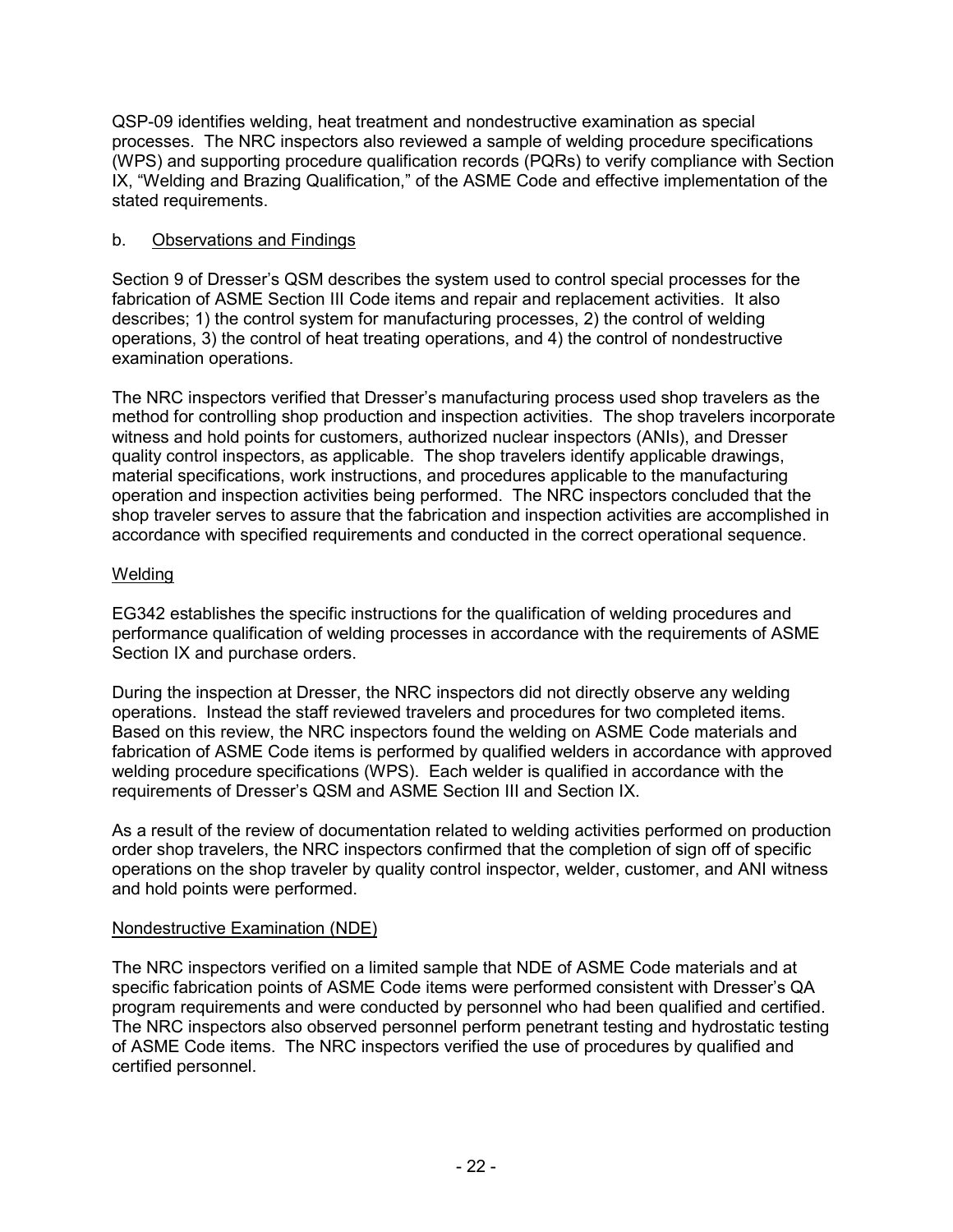QSP-09 identifies welding, heat treatment and nondestructive examination as special processes. The NRC inspectors also reviewed a sample of welding procedure specifications (WPS) and supporting procedure qualification records (PQRs) to verify compliance with Section IX, "Welding and Brazing Qualification," of the ASME Code and effective implementation of the stated requirements.

## b. Observations and Findings

Section 9 of Dresser's QSM describes the system used to control special processes for the fabrication of ASME Section III Code items and repair and replacement activities. It also describes; 1) the control system for manufacturing processes, 2) the control of welding operations, 3) the control of heat treating operations, and 4) the control of nondestructive examination operations.

The NRC inspectors verified that Dresser's manufacturing process used shop travelers as the method for controlling shop production and inspection activities. The shop travelers incorporate witness and hold points for customers, authorized nuclear inspectors (ANIs), and Dresser quality control inspectors, as applicable. The shop travelers identify applicable drawings, material specifications, work instructions, and procedures applicable to the manufacturing operation and inspection activities being performed. The NRC inspectors concluded that the shop traveler serves to assure that the fabrication and inspection activities are accomplished in accordance with specified requirements and conducted in the correct operational sequence.

## **Welding**

EG342 establishes the specific instructions for the qualification of welding procedures and performance qualification of welding processes in accordance with the requirements of ASME Section IX and purchase orders.

During the inspection at Dresser, the NRC inspectors did not directly observe any welding operations. Instead the staff reviewed travelers and procedures for two completed items. Based on this review, the NRC inspectors found the welding on ASME Code materials and fabrication of ASME Code items is performed by qualified welders in accordance with approved welding procedure specifications (WPS). Each welder is qualified in accordance with the requirements of Dresser's QSM and ASME Section III and Section IX.

As a result of the review of documentation related to welding activities performed on production order shop travelers, the NRC inspectors confirmed that the completion of sign off of specific operations on the shop traveler by quality control inspector, welder, customer, and ANI witness and hold points were performed.

### Nondestructive Examination (NDE)

The NRC inspectors verified on a limited sample that NDE of ASME Code materials and at specific fabrication points of ASME Code items were performed consistent with Dresser's QA program requirements and were conducted by personnel who had been qualified and certified. The NRC inspectors also observed personnel perform penetrant testing and hydrostatic testing of ASME Code items. The NRC inspectors verified the use of procedures by qualified and certified personnel.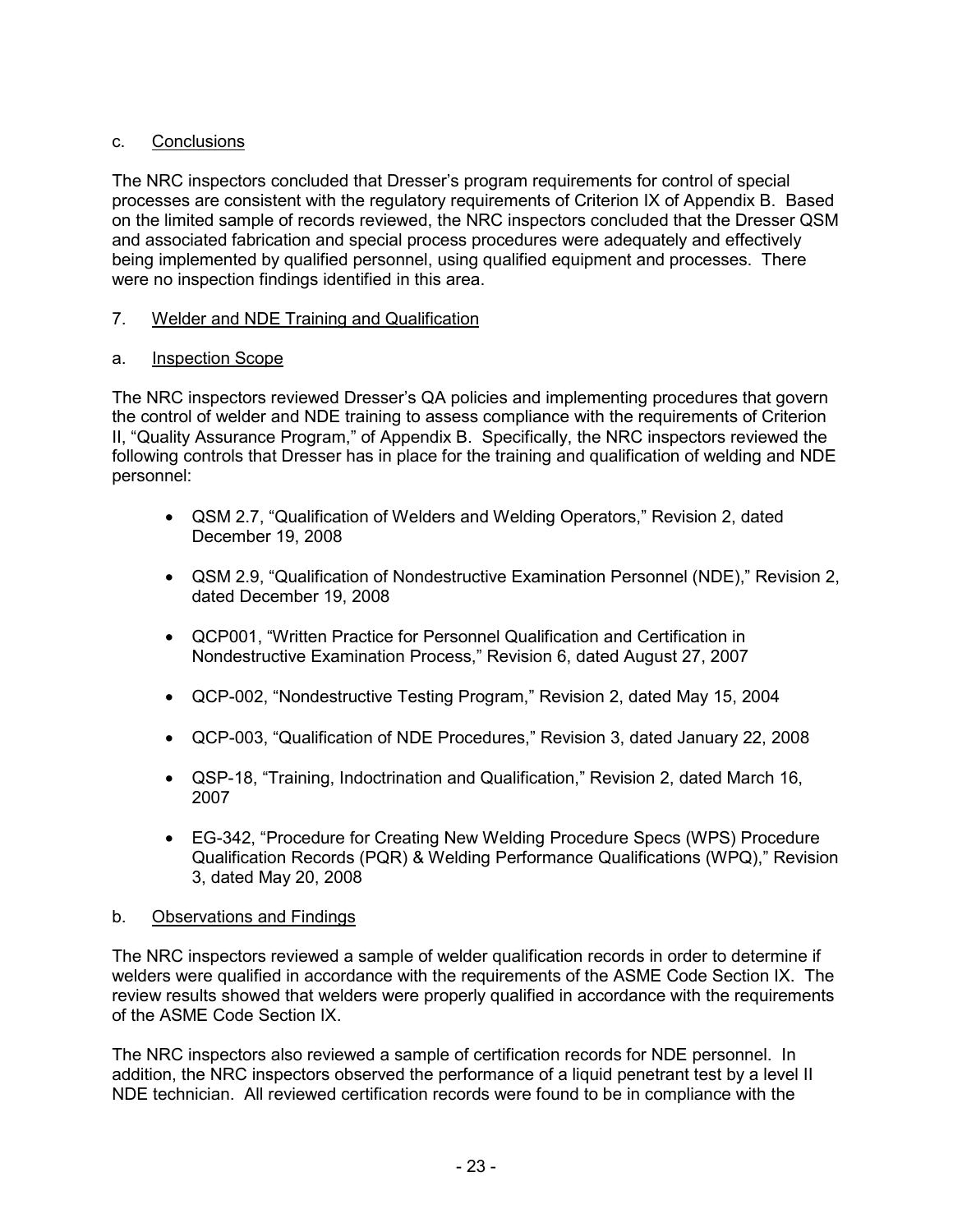# c. Conclusions

The NRC inspectors concluded that Dresser's program requirements for control of special processes are consistent with the regulatory requirements of Criterion IX of Appendix B. Based on the limited sample of records reviewed, the NRC inspectors concluded that the Dresser QSM and associated fabrication and special process procedures were adequately and effectively being implemented by qualified personnel, using qualified equipment and processes. There were no inspection findings identified in this area.

# 7. Welder and NDE Training and Qualification

# a. Inspection Scope

The NRC inspectors reviewed Dresser's QA policies and implementing procedures that govern the control of welder and NDE training to assess compliance with the requirements of Criterion II, "Quality Assurance Program," of Appendix B. Specifically, the NRC inspectors reviewed the following controls that Dresser has in place for the training and qualification of welding and NDE personnel:

- QSM 2.7, "Qualification of Welders and Welding Operators," Revision 2, dated December 19, 2008
- QSM 2.9, "Qualification of Nondestructive Examination Personnel (NDE)," Revision 2, dated December 19, 2008
- QCP001, "Written Practice for Personnel Qualification and Certification in Nondestructive Examination Process," Revision 6, dated August 27, 2007
- QCP-002, "Nondestructive Testing Program," Revision 2, dated May 15, 2004
- QCP-003, "Qualification of NDE Procedures," Revision 3, dated January 22, 2008
- QSP-18, "Training, Indoctrination and Qualification," Revision 2, dated March 16, 2007
- EG-342, "Procedure for Creating New Welding Procedure Specs (WPS) Procedure Qualification Records (PQR) & Welding Performance Qualifications (WPQ)," Revision 3, dated May 20, 2008

### b. Observations and Findings

The NRC inspectors reviewed a sample of welder qualification records in order to determine if welders were qualified in accordance with the requirements of the ASME Code Section IX. The review results showed that welders were properly qualified in accordance with the requirements of the ASME Code Section IX.

The NRC inspectors also reviewed a sample of certification records for NDE personnel. In addition, the NRC inspectors observed the performance of a liquid penetrant test by a level II NDE technician. All reviewed certification records were found to be in compliance with the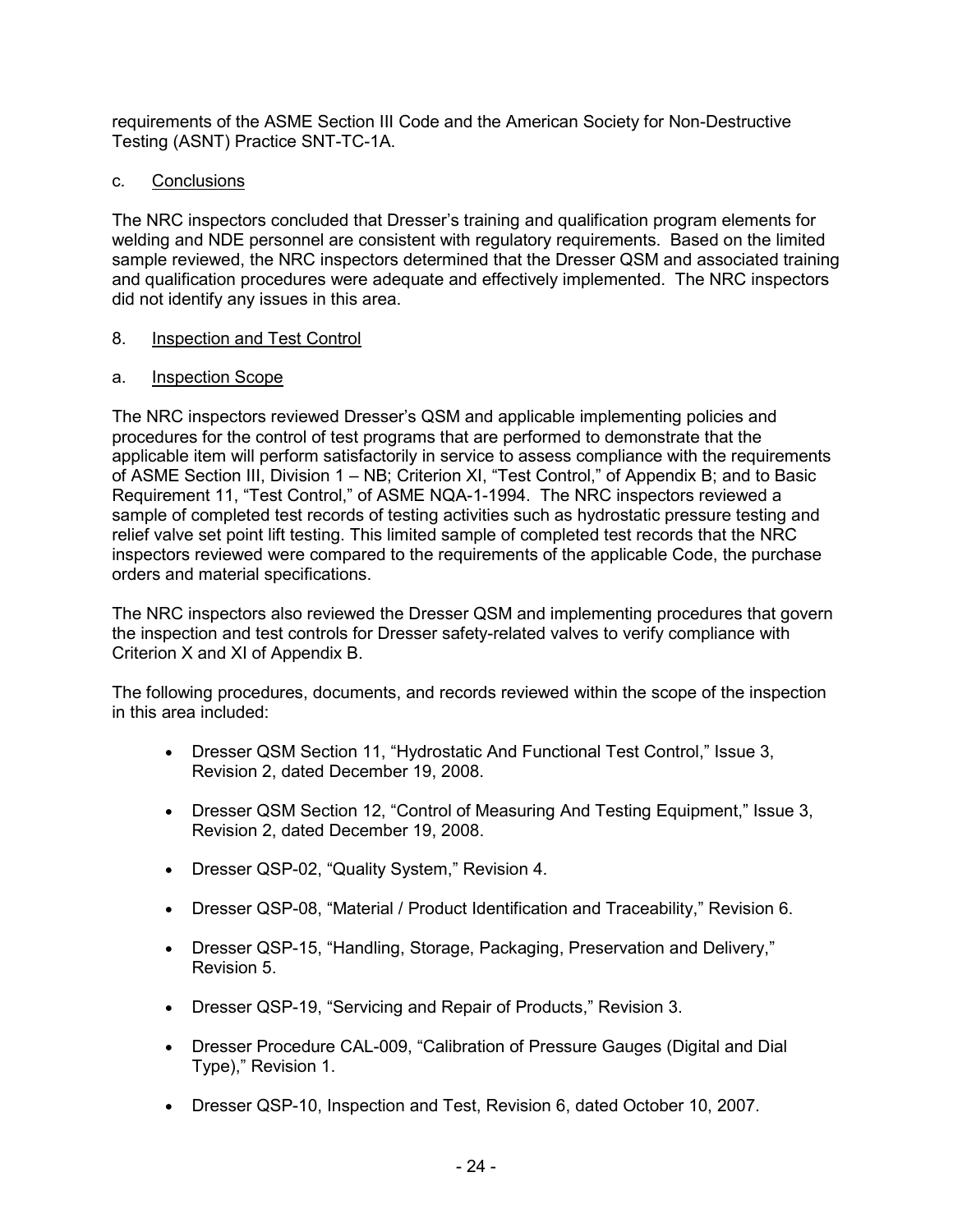requirements of the ASME Section III Code and the American Society for Non-Destructive Testing (ASNT) Practice SNT-TC-1A.

### c. Conclusions

The NRC inspectors concluded that Dresser's training and qualification program elements for welding and NDE personnel are consistent with regulatory requirements. Based on the limited sample reviewed, the NRC inspectors determined that the Dresser QSM and associated training and qualification procedures were adequate and effectively implemented. The NRC inspectors did not identify any issues in this area.

### 8. Inspection and Test Control

### a. Inspection Scope

The NRC inspectors reviewed Dresser's QSM and applicable implementing policies and procedures for the control of test programs that are performed to demonstrate that the applicable item will perform satisfactorily in service to assess compliance with the requirements of ASME Section III, Division 1 – NB; Criterion XI, "Test Control," of Appendix B; and to Basic Requirement 11, "Test Control," of ASME NQA-1-1994. The NRC inspectors reviewed a sample of completed test records of testing activities such as hydrostatic pressure testing and relief valve set point lift testing. This limited sample of completed test records that the NRC inspectors reviewed were compared to the requirements of the applicable Code, the purchase orders and material specifications.

The NRC inspectors also reviewed the Dresser QSM and implementing procedures that govern the inspection and test controls for Dresser safety-related valves to verify compliance with Criterion X and XI of Appendix B.

The following procedures, documents, and records reviewed within the scope of the inspection in this area included:

- Dresser QSM Section 11, "Hydrostatic And Functional Test Control," Issue 3, Revision 2, dated December 19, 2008.
- Dresser QSM Section 12, "Control of Measuring And Testing Equipment," Issue 3, Revision 2, dated December 19, 2008.
- Dresser QSP-02, "Quality System," Revision 4.
- Dresser QSP-08, "Material / Product Identification and Traceability," Revision 6.
- Dresser QSP-15, "Handling, Storage, Packaging, Preservation and Delivery," Revision 5.
- Dresser QSP-19, "Servicing and Repair of Products," Revision 3.
- Dresser Procedure CAL-009, "Calibration of Pressure Gauges (Digital and Dial Type)," Revision 1.
- Dresser QSP-10, Inspection and Test, Revision 6, dated October 10, 2007.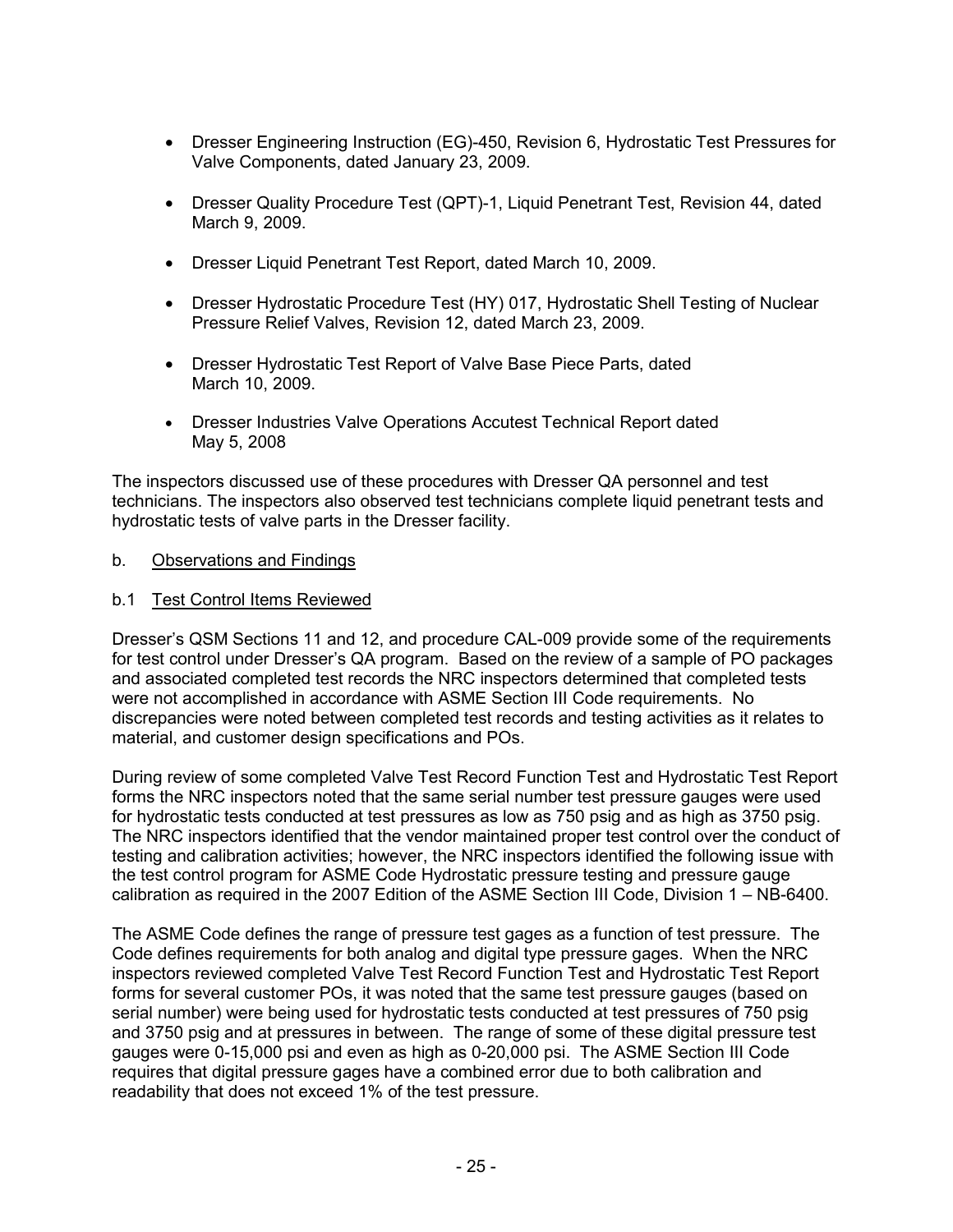- Dresser Engineering Instruction (EG)-450, Revision 6, Hydrostatic Test Pressures for Valve Components, dated January 23, 2009.
- Dresser Quality Procedure Test (QPT)-1, Liquid Penetrant Test, Revision 44, dated March 9, 2009.
- Dresser Liquid Penetrant Test Report, dated March 10, 2009.
- Dresser Hydrostatic Procedure Test (HY) 017, Hydrostatic Shell Testing of Nuclear Pressure Relief Valves, Revision 12, dated March 23, 2009.
- Dresser Hydrostatic Test Report of Valve Base Piece Parts, dated March 10, 2009.
- Dresser Industries Valve Operations Accutest Technical Report dated May 5, 2008

The inspectors discussed use of these procedures with Dresser QA personnel and test technicians. The inspectors also observed test technicians complete liquid penetrant tests and hydrostatic tests of valve parts in the Dresser facility.

- b. Observations and Findings
- b.1 Test Control Items Reviewed

Dresser's QSM Sections 11 and 12, and procedure CAL-009 provide some of the requirements for test control under Dresser's QA program. Based on the review of a sample of PO packages and associated completed test records the NRC inspectors determined that completed tests were not accomplished in accordance with ASME Section III Code requirements. No discrepancies were noted between completed test records and testing activities as it relates to material, and customer design specifications and POs.

During review of some completed Valve Test Record Function Test and Hydrostatic Test Report forms the NRC inspectors noted that the same serial number test pressure gauges were used for hydrostatic tests conducted at test pressures as low as 750 psig and as high as 3750 psig. The NRC inspectors identified that the vendor maintained proper test control over the conduct of testing and calibration activities; however, the NRC inspectors identified the following issue with the test control program for ASME Code Hydrostatic pressure testing and pressure gauge calibration as required in the 2007 Edition of the ASME Section III Code, Division 1 – NB-6400.

The ASME Code defines the range of pressure test gages as a function of test pressure. The Code defines requirements for both analog and digital type pressure gages. When the NRC inspectors reviewed completed Valve Test Record Function Test and Hydrostatic Test Report forms for several customer POs, it was noted that the same test pressure gauges (based on serial number) were being used for hydrostatic tests conducted at test pressures of 750 psig and 3750 psig and at pressures in between. The range of some of these digital pressure test gauges were 0-15,000 psi and even as high as 0-20,000 psi. The ASME Section III Code requires that digital pressure gages have a combined error due to both calibration and readability that does not exceed 1% of the test pressure.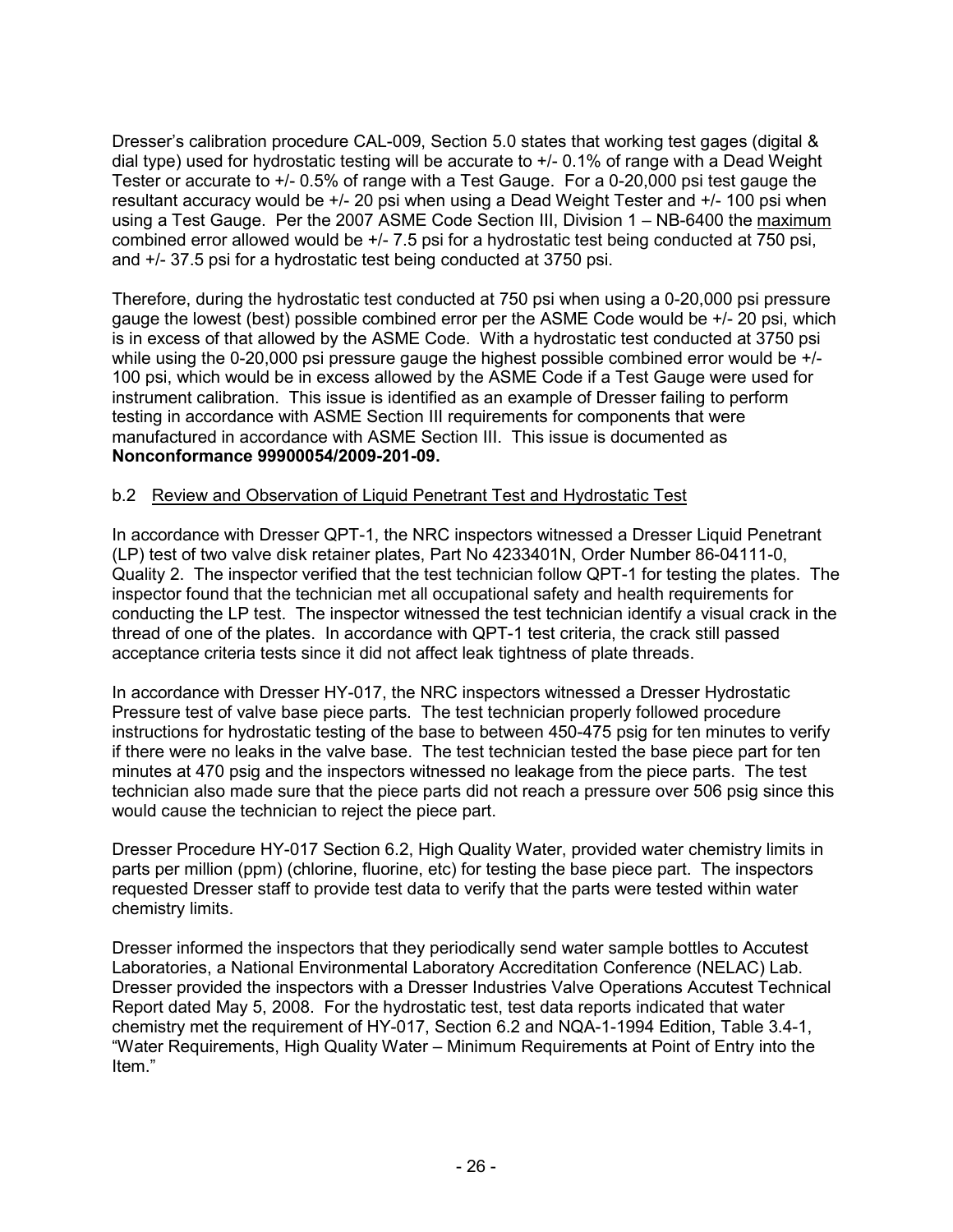Dresser's calibration procedure CAL-009, Section 5.0 states that working test gages (digital & dial type) used for hydrostatic testing will be accurate to +/- 0.1% of range with a Dead Weight Tester or accurate to +/- 0.5% of range with a Test Gauge. For a 0-20,000 psi test gauge the resultant accuracy would be +/- 20 psi when using a Dead Weight Tester and +/- 100 psi when using a Test Gauge. Per the 2007 ASME Code Section III, Division 1 – NB-6400 the maximum combined error allowed would be +/- 7.5 psi for a hydrostatic test being conducted at 750 psi, and +/- 37.5 psi for a hydrostatic test being conducted at 3750 psi.

Therefore, during the hydrostatic test conducted at 750 psi when using a 0-20,000 psi pressure gauge the lowest (best) possible combined error per the ASME Code would be +/- 20 psi, which is in excess of that allowed by the ASME Code. With a hydrostatic test conducted at 3750 psi while using the 0-20,000 psi pressure gauge the highest possible combined error would be  $+/-$ 100 psi, which would be in excess allowed by the ASME Code if a Test Gauge were used for instrument calibration. This issue is identified as an example of Dresser failing to perform testing in accordance with ASME Section III requirements for components that were manufactured in accordance with ASME Section III. This issue is documented as **Nonconformance 99900054/2009-201-09.** 

### b.2 Review and Observation of Liquid Penetrant Test and Hydrostatic Test

In accordance with Dresser QPT-1, the NRC inspectors witnessed a Dresser Liquid Penetrant (LP) test of two valve disk retainer plates, Part No 4233401N, Order Number 86-04111-0, Quality 2. The inspector verified that the test technician follow QPT-1 for testing the plates. The inspector found that the technician met all occupational safety and health requirements for conducting the LP test. The inspector witnessed the test technician identify a visual crack in the thread of one of the plates. In accordance with QPT-1 test criteria, the crack still passed acceptance criteria tests since it did not affect leak tightness of plate threads.

In accordance with Dresser HY-017, the NRC inspectors witnessed a Dresser Hydrostatic Pressure test of valve base piece parts. The test technician properly followed procedure instructions for hydrostatic testing of the base to between 450-475 psig for ten minutes to verify if there were no leaks in the valve base. The test technician tested the base piece part for ten minutes at 470 psig and the inspectors witnessed no leakage from the piece parts. The test technician also made sure that the piece parts did not reach a pressure over 506 psig since this would cause the technician to reject the piece part.

Dresser Procedure HY-017 Section 6.2, High Quality Water, provided water chemistry limits in parts per million (ppm) (chlorine, fluorine, etc) for testing the base piece part. The inspectors requested Dresser staff to provide test data to verify that the parts were tested within water chemistry limits.

Dresser informed the inspectors that they periodically send water sample bottles to Accutest Laboratories, a National Environmental Laboratory Accreditation Conference (NELAC) Lab. Dresser provided the inspectors with a Dresser Industries Valve Operations Accutest Technical Report dated May 5, 2008. For the hydrostatic test, test data reports indicated that water chemistry met the requirement of HY-017, Section 6.2 and NQA-1-1994 Edition, Table 3.4-1, "Water Requirements, High Quality Water – Minimum Requirements at Point of Entry into the Item."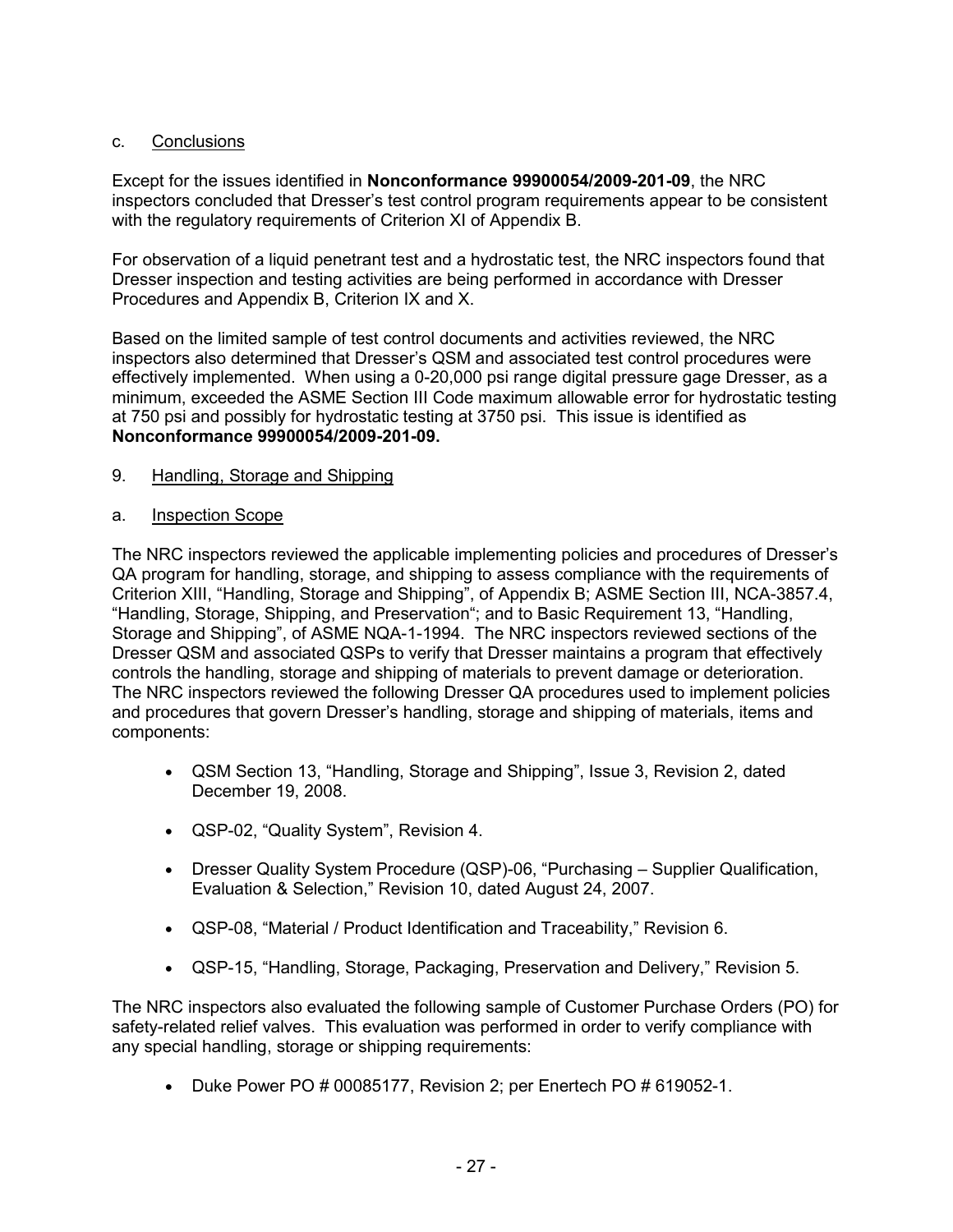# c. Conclusions

Except for the issues identified in **Nonconformance 99900054/2009-201-09**, the NRC inspectors concluded that Dresser's test control program requirements appear to be consistent with the regulatory requirements of Criterion XI of Appendix B.

For observation of a liquid penetrant test and a hydrostatic test, the NRC inspectors found that Dresser inspection and testing activities are being performed in accordance with Dresser Procedures and Appendix B, Criterion IX and X.

Based on the limited sample of test control documents and activities reviewed, the NRC inspectors also determined that Dresser's QSM and associated test control procedures were effectively implemented. When using a 0-20,000 psi range digital pressure gage Dresser, as a minimum, exceeded the ASME Section III Code maximum allowable error for hydrostatic testing at 750 psi and possibly for hydrostatic testing at 3750 psi. This issue is identified as **Nonconformance 99900054/2009-201-09.**

- 9. Handling, Storage and Shipping
- a. Inspection Scope

The NRC inspectors reviewed the applicable implementing policies and procedures of Dresser's QA program for handling, storage, and shipping to assess compliance with the requirements of Criterion XIII, "Handling, Storage and Shipping", of Appendix B; ASME Section III, NCA-3857.4, "Handling, Storage, Shipping, and Preservation"; and to Basic Requirement 13, "Handling, Storage and Shipping", of ASME NQA-1-1994. The NRC inspectors reviewed sections of the Dresser QSM and associated QSPs to verify that Dresser maintains a program that effectively controls the handling, storage and shipping of materials to prevent damage or deterioration. The NRC inspectors reviewed the following Dresser QA procedures used to implement policies and procedures that govern Dresser's handling, storage and shipping of materials, items and components:

- QSM Section 13, "Handling, Storage and Shipping", Issue 3, Revision 2, dated December 19, 2008.
- QSP-02, "Quality System", Revision 4.
- Dresser Quality System Procedure (QSP)-06, "Purchasing Supplier Qualification, Evaluation & Selection," Revision 10, dated August 24, 2007.
- QSP-08, "Material / Product Identification and Traceability," Revision 6.
- QSP-15, "Handling, Storage, Packaging, Preservation and Delivery," Revision 5.

The NRC inspectors also evaluated the following sample of Customer Purchase Orders (PO) for safety-related relief valves. This evaluation was performed in order to verify compliance with any special handling, storage or shipping requirements:

• Duke Power PO # 00085177, Revision 2; per Enertech PO # 619052-1.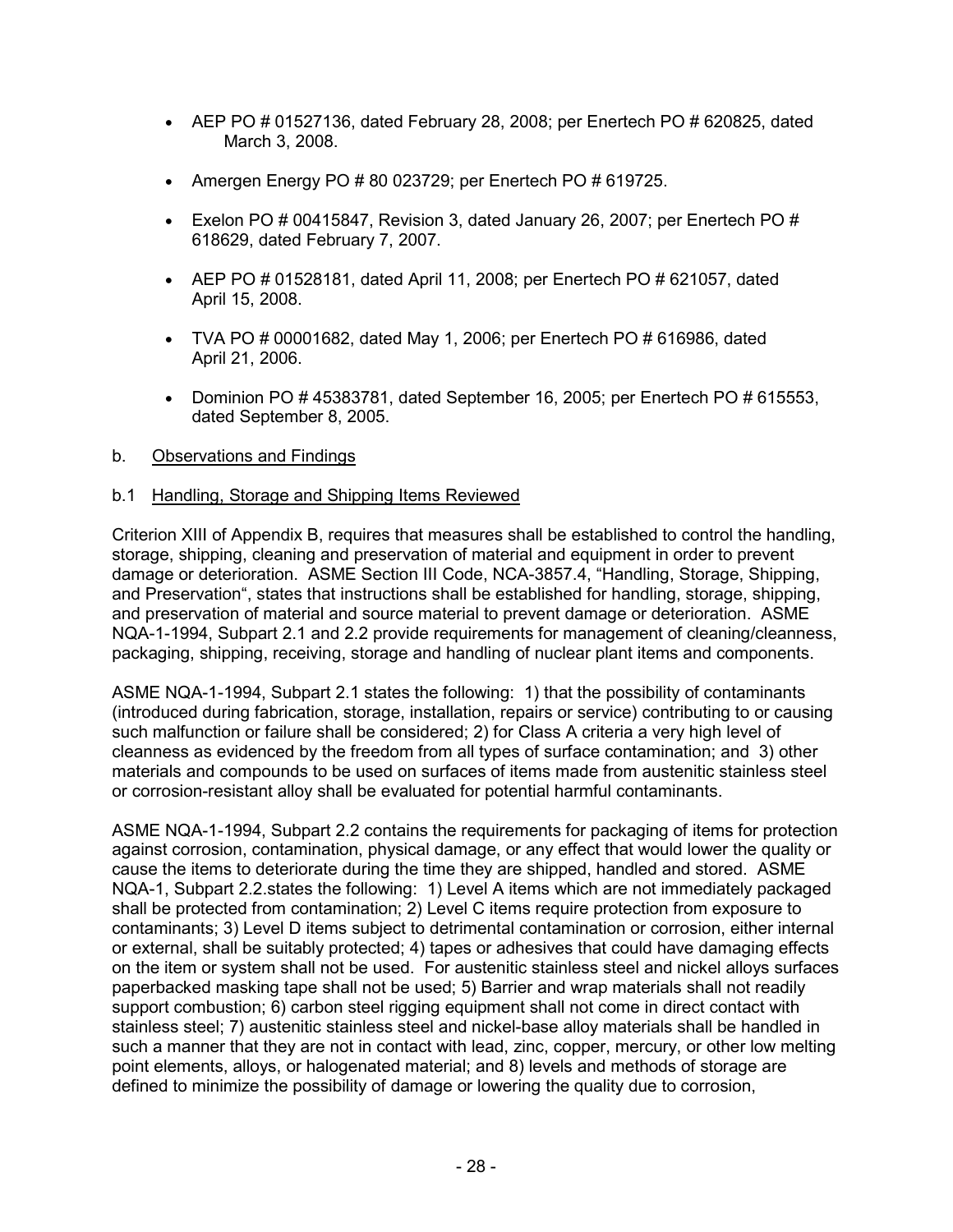- AEP PO  $\#$  01527136, dated February 28, 2008; per Enertech PO  $\#$  620825, dated March 3, 2008.
- Amergen Energy PO  $# 80$  023729; per Enertech PO  $# 619725$ .
- Exelon PO  $\#$  00415847, Revision 3, dated January 26, 2007; per Enertech PO  $\#$ 618629, dated February 7, 2007.
- AEP PO  $\#$  01528181, dated April 11, 2008; per Enertech PO  $\#$  621057, dated April 15, 2008.
- TVA PO  $\#$  00001682, dated May 1, 2006; per Enertech PO  $\#$  616986, dated April 21, 2006.
- Dominion PO # 45383781, dated September 16, 2005; per Enertech PO # 615553, dated September 8, 2005.

## b. Observations and Findings

## b.1 Handling, Storage and Shipping Items Reviewed

Criterion XIII of Appendix B, requires that measures shall be established to control the handling, storage, shipping, cleaning and preservation of material and equipment in order to prevent damage or deterioration. ASME Section III Code, NCA-3857.4, "Handling, Storage, Shipping, and Preservation", states that instructions shall be established for handling, storage, shipping, and preservation of material and source material to prevent damage or deterioration. ASME NQA-1-1994, Subpart 2.1 and 2.2 provide requirements for management of cleaning/cleanness, packaging, shipping, receiving, storage and handling of nuclear plant items and components.

ASME NQA-1-1994, Subpart 2.1 states the following: 1) that the possibility of contaminants (introduced during fabrication, storage, installation, repairs or service) contributing to or causing such malfunction or failure shall be considered; 2) for Class A criteria a very high level of cleanness as evidenced by the freedom from all types of surface contamination; and 3) other materials and compounds to be used on surfaces of items made from austenitic stainless steel or corrosion-resistant alloy shall be evaluated for potential harmful contaminants.

ASME NQA-1-1994, Subpart 2.2 contains the requirements for packaging of items for protection against corrosion, contamination, physical damage, or any effect that would lower the quality or cause the items to deteriorate during the time they are shipped, handled and stored. ASME NQA-1, Subpart 2.2.states the following: 1) Level A items which are not immediately packaged shall be protected from contamination; 2) Level C items require protection from exposure to contaminants; 3) Level D items subject to detrimental contamination or corrosion, either internal or external, shall be suitably protected; 4) tapes or adhesives that could have damaging effects on the item or system shall not be used. For austenitic stainless steel and nickel alloys surfaces paperbacked masking tape shall not be used; 5) Barrier and wrap materials shall not readily support combustion; 6) carbon steel rigging equipment shall not come in direct contact with stainless steel; 7) austenitic stainless steel and nickel-base alloy materials shall be handled in such a manner that they are not in contact with lead, zinc, copper, mercury, or other low melting point elements, alloys, or halogenated material; and 8) levels and methods of storage are defined to minimize the possibility of damage or lowering the quality due to corrosion,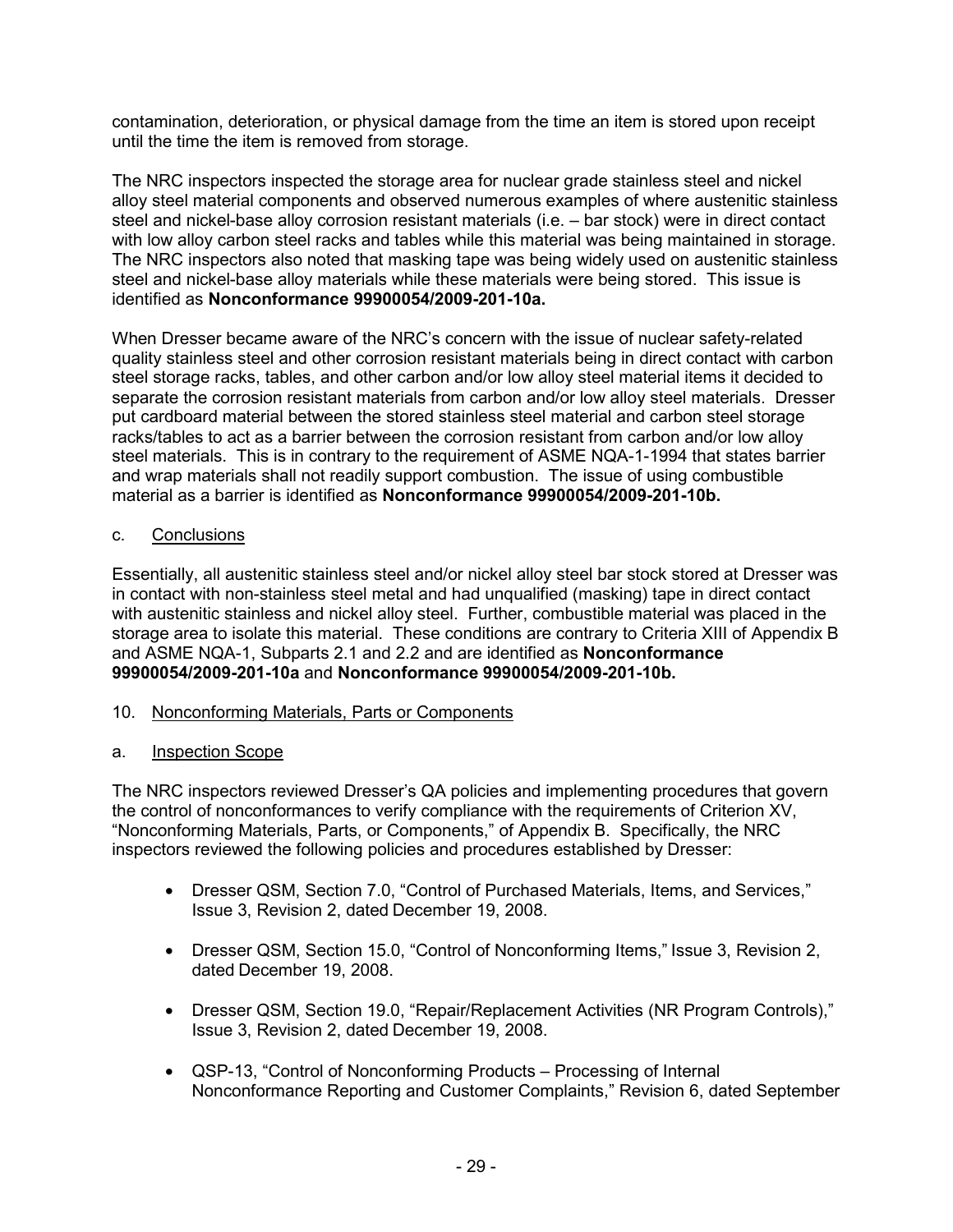contamination, deterioration, or physical damage from the time an item is stored upon receipt until the time the item is removed from storage.

The NRC inspectors inspected the storage area for nuclear grade stainless steel and nickel alloy steel material components and observed numerous examples of where austenitic stainless steel and nickel-base alloy corrosion resistant materials (i.e. – bar stock) were in direct contact with low alloy carbon steel racks and tables while this material was being maintained in storage. The NRC inspectors also noted that masking tape was being widely used on austenitic stainless steel and nickel-base alloy materials while these materials were being stored. This issue is identified as **Nonconformance 99900054/2009-201-10a.** 

When Dresser became aware of the NRC's concern with the issue of nuclear safety-related quality stainless steel and other corrosion resistant materials being in direct contact with carbon steel storage racks, tables, and other carbon and/or low alloy steel material items it decided to separate the corrosion resistant materials from carbon and/or low alloy steel materials. Dresser put cardboard material between the stored stainless steel material and carbon steel storage racks/tables to act as a barrier between the corrosion resistant from carbon and/or low alloy steel materials. This is in contrary to the requirement of ASME NQA-1-1994 that states barrier and wrap materials shall not readily support combustion. The issue of using combustible material as a barrier is identified as **Nonconformance 99900054/2009-201-10b.** 

### c. Conclusions

Essentially, all austenitic stainless steel and/or nickel alloy steel bar stock stored at Dresser was in contact with non-stainless steel metal and had unqualified (masking) tape in direct contact with austenitic stainless and nickel alloy steel. Further, combustible material was placed in the storage area to isolate this material. These conditions are contrary to Criteria XIII of Appendix B and ASME NQA-1, Subparts 2.1 and 2.2 and are identified as **Nonconformance 99900054/2009-201-10a** and **Nonconformance 99900054/2009-201-10b.**

### 10. Nonconforming Materials, Parts or Components

### a. Inspection Scope

The NRC inspectors reviewed Dresser's QA policies and implementing procedures that govern the control of nonconformances to verify compliance with the requirements of Criterion XV, "Nonconforming Materials, Parts, or Components," of Appendix B. Specifically, the NRC inspectors reviewed the following policies and procedures established by Dresser:

- Dresser QSM, Section 7.0, "Control of Purchased Materials, Items, and Services," Issue 3, Revision 2, dated December 19, 2008.
- Dresser QSM, Section 15.0, "Control of Nonconforming Items," Issue 3, Revision 2, dated December 19, 2008.
- Dresser QSM, Section 19.0, "Repair/Replacement Activities (NR Program Controls)," Issue 3, Revision 2, dated December 19, 2008.
- QSP-13, "Control of Nonconforming Products Processing of Internal Nonconformance Reporting and Customer Complaints," Revision 6, dated September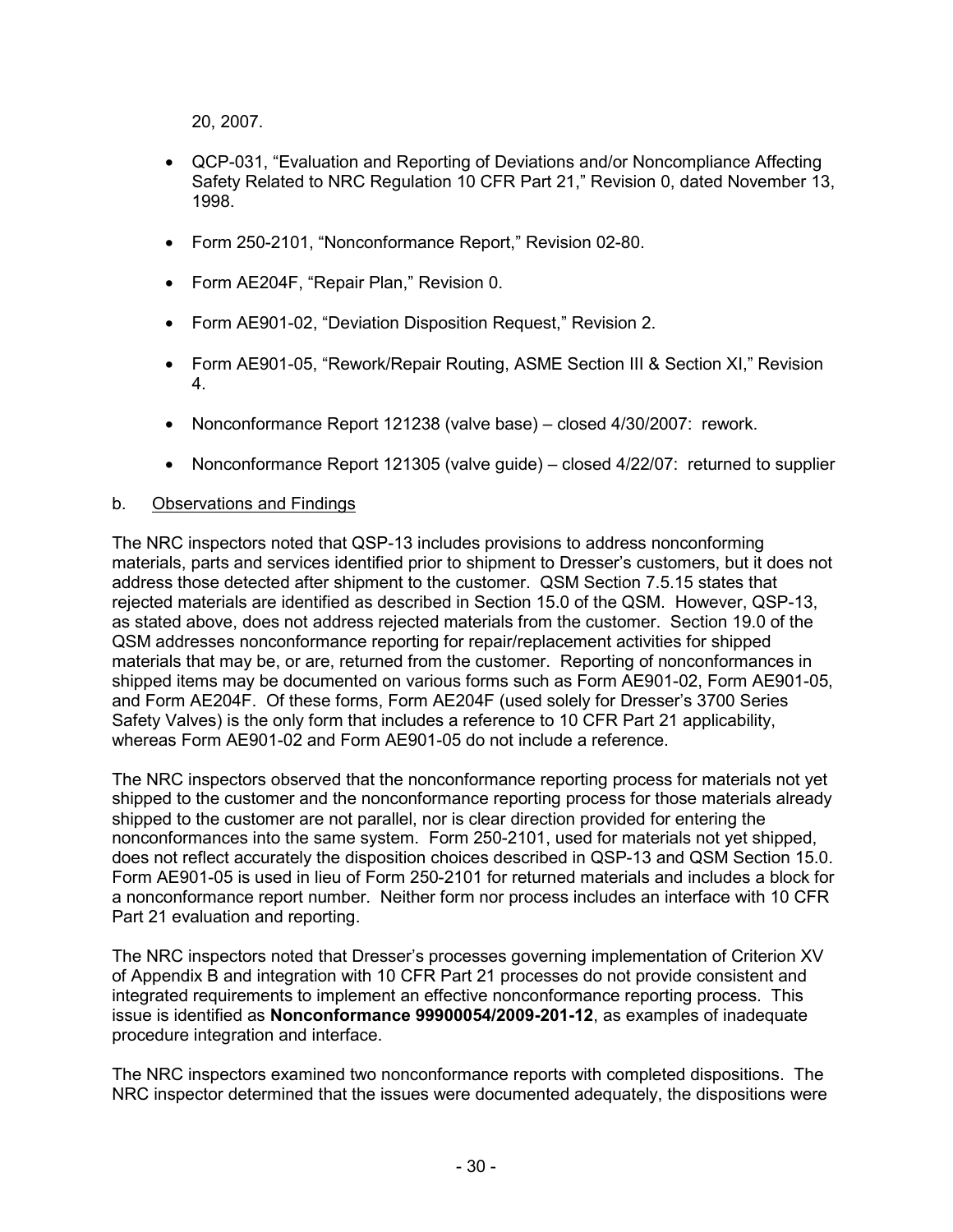20, 2007.

- QCP-031, "Evaluation and Reporting of Deviations and/or Noncompliance Affecting Safety Related to NRC Regulation 10 CFR Part 21," Revision 0, dated November 13, 1998.
- Form 250-2101, "Nonconformance Report," Revision 02-80.
- Form AE204F, "Repair Plan," Revision 0.
- Form AE901-02, "Deviation Disposition Request," Revision 2.
- Form AE901-05, "Rework/Repair Routing, ASME Section III & Section XI," Revision 4.
- Nonconformance Report 121238 (valve base) closed 4/30/2007: rework.
- Nonconformance Report 121305 (valve guide) closed 4/22/07: returned to supplier

### b. Observations and Findings

The NRC inspectors noted that QSP-13 includes provisions to address nonconforming materials, parts and services identified prior to shipment to Dresser's customers, but it does not address those detected after shipment to the customer. QSM Section 7.5.15 states that rejected materials are identified as described in Section 15.0 of the QSM. However, QSP-13, as stated above, does not address rejected materials from the customer. Section 19.0 of the QSM addresses nonconformance reporting for repair/replacement activities for shipped materials that may be, or are, returned from the customer. Reporting of nonconformances in shipped items may be documented on various forms such as Form AE901-02, Form AE901-05, and Form AE204F. Of these forms, Form AE204F (used solely for Dresser's 3700 Series Safety Valves) is the only form that includes a reference to 10 CFR Part 21 applicability, whereas Form AE901-02 and Form AE901-05 do not include a reference.

The NRC inspectors observed that the nonconformance reporting process for materials not yet shipped to the customer and the nonconformance reporting process for those materials already shipped to the customer are not parallel, nor is clear direction provided for entering the nonconformances into the same system. Form 250-2101, used for materials not yet shipped, does not reflect accurately the disposition choices described in QSP-13 and QSM Section 15.0. Form AE901-05 is used in lieu of Form 250-2101 for returned materials and includes a block for a nonconformance report number. Neither form nor process includes an interface with 10 CFR Part 21 evaluation and reporting.

The NRC inspectors noted that Dresser's processes governing implementation of Criterion XV of Appendix B and integration with 10 CFR Part 21 processes do not provide consistent and integrated requirements to implement an effective nonconformance reporting process. This issue is identified as **Nonconformance 99900054/2009-201-12**, as examples of inadequate procedure integration and interface.

The NRC inspectors examined two nonconformance reports with completed dispositions. The NRC inspector determined that the issues were documented adequately, the dispositions were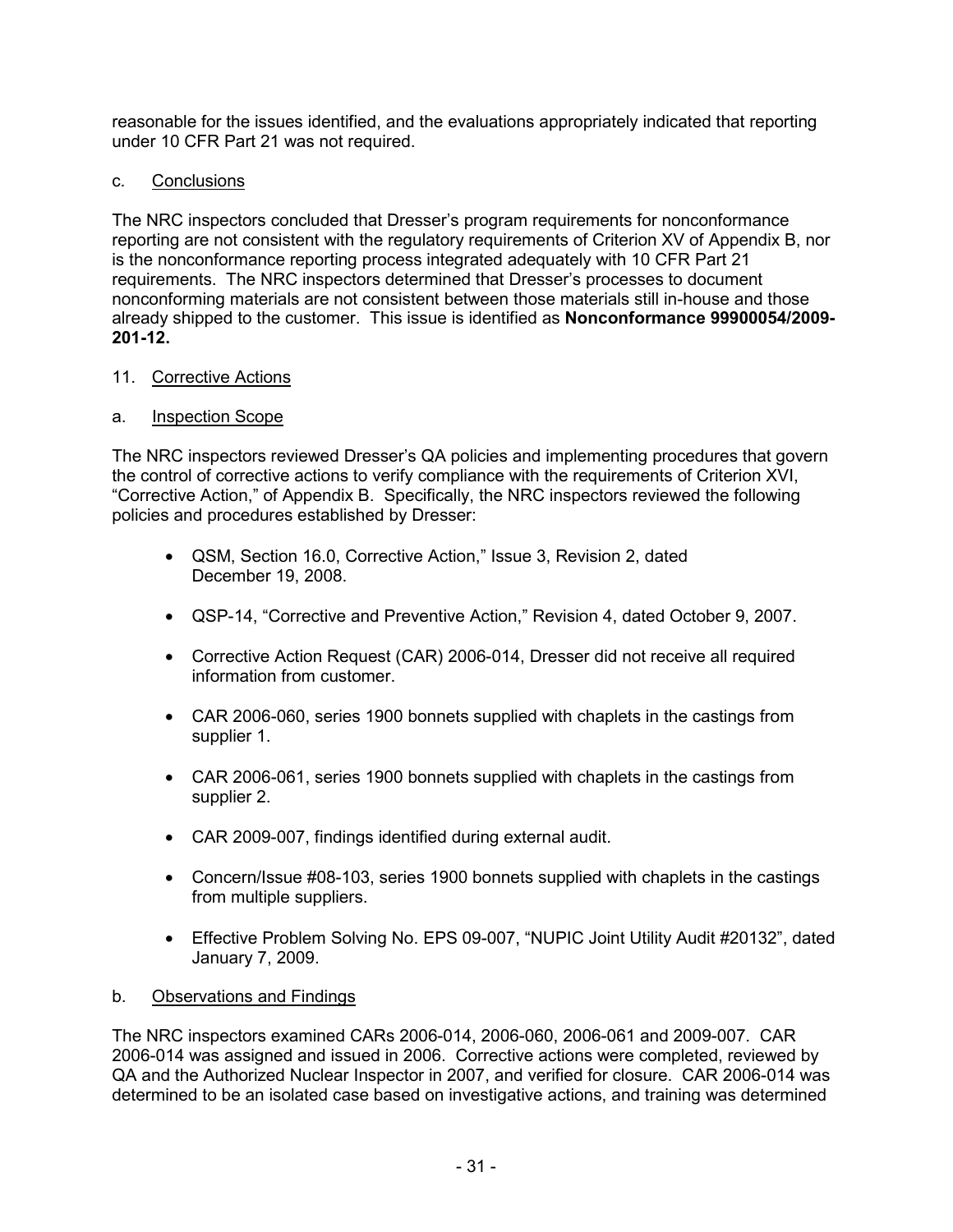reasonable for the issues identified, and the evaluations appropriately indicated that reporting under 10 CFR Part 21 was not required.

## c. Conclusions

The NRC inspectors concluded that Dresser's program requirements for nonconformance reporting are not consistent with the regulatory requirements of Criterion XV of Appendix B, nor is the nonconformance reporting process integrated adequately with 10 CFR Part 21 requirements. The NRC inspectors determined that Dresser's processes to document nonconforming materials are not consistent between those materials still in-house and those already shipped to the customer.This issue is identified as **Nonconformance 99900054/2009- 201-12.**

## 11. Corrective Actions

## a. Inspection Scope

The NRC inspectors reviewed Dresser's QA policies and implementing procedures that govern the control of corrective actions to verify compliance with the requirements of Criterion XVI, "Corrective Action," of Appendix B. Specifically, the NRC inspectors reviewed the following policies and procedures established by Dresser:

- QSM, Section 16.0, Corrective Action," Issue 3, Revision 2, dated December 19, 2008.
- QSP-14, "Corrective and Preventive Action," Revision 4, dated October 9, 2007.
- Corrective Action Request (CAR) 2006-014, Dresser did not receive all required information from customer.
- CAR 2006-060, series 1900 bonnets supplied with chaplets in the castings from supplier 1.
- CAR 2006-061, series 1900 bonnets supplied with chaplets in the castings from supplier 2.
- CAR 2009-007, findings identified during external audit.
- Concern/Issue #08-103, series 1900 bonnets supplied with chaplets in the castings from multiple suppliers.
- Effective Problem Solving No. EPS 09-007, "NUPIC Joint Utility Audit #20132", dated January 7, 2009.

# b. Observations and Findings

The NRC inspectors examined CARs 2006-014, 2006-060, 2006-061 and 2009-007. CAR 2006-014 was assigned and issued in 2006. Corrective actions were completed, reviewed by QA and the Authorized Nuclear Inspector in 2007, and verified for closure. CAR 2006-014 was determined to be an isolated case based on investigative actions, and training was determined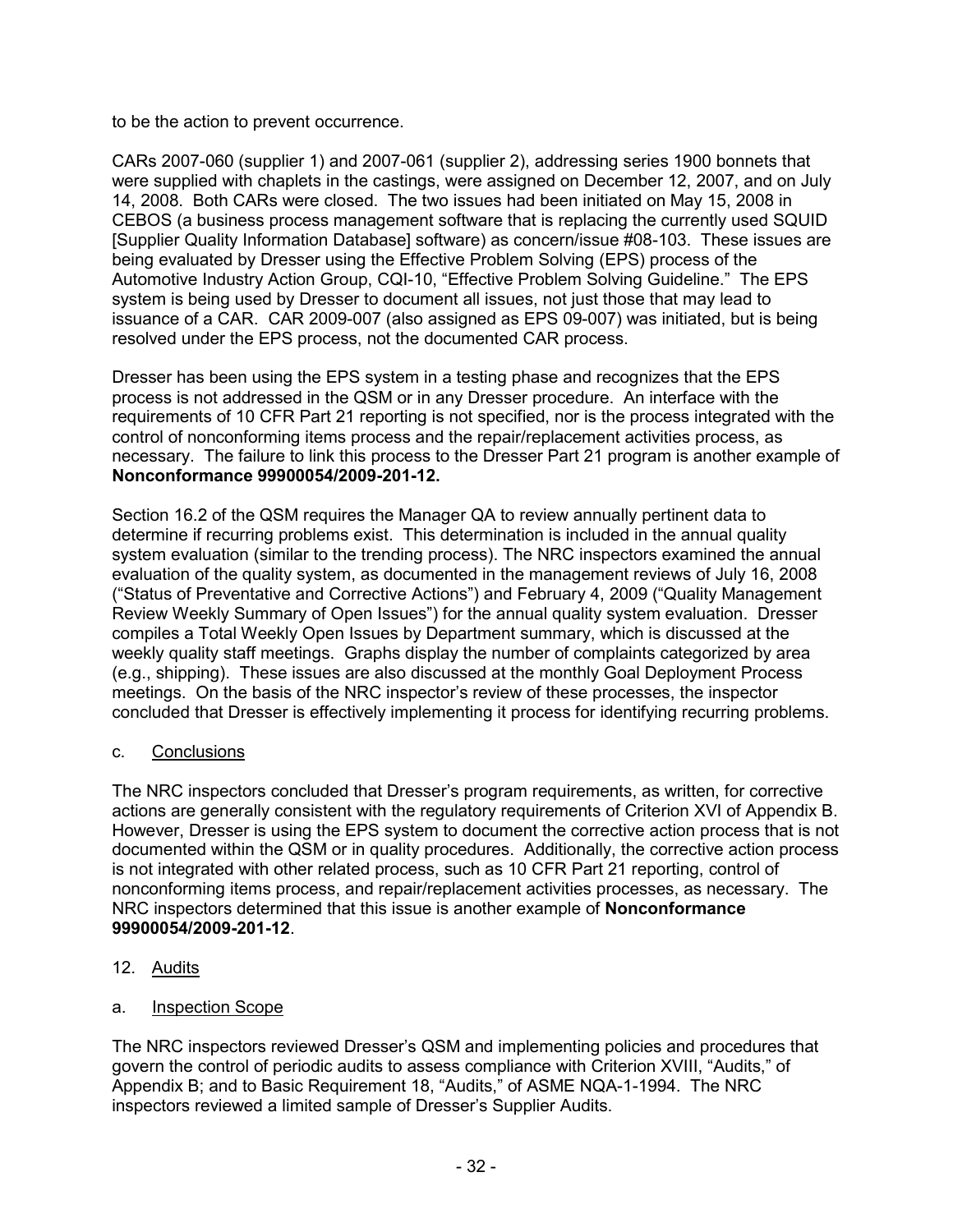to be the action to prevent occurrence.

CARs 2007-060 (supplier 1) and 2007-061 (supplier 2), addressing series 1900 bonnets that were supplied with chaplets in the castings, were assigned on December 12, 2007, and on July 14, 2008. Both CARs were closed. The two issues had been initiated on May 15, 2008 in CEBOS (a business process management software that is replacing the currently used SQUID [Supplier Quality Information Database] software) as concern/issue #08-103. These issues are being evaluated by Dresser using the Effective Problem Solving (EPS) process of the Automotive Industry Action Group, CQI-10, "Effective Problem Solving Guideline." The EPS system is being used by Dresser to document all issues, not just those that may lead to issuance of a CAR. CAR 2009-007 (also assigned as EPS 09-007) was initiated, but is being resolved under the EPS process, not the documented CAR process.

Dresser has been using the EPS system in a testing phase and recognizes that the EPS process is not addressed in the QSM or in any Dresser procedure. An interface with the requirements of 10 CFR Part 21 reporting is not specified, nor is the process integrated with the control of nonconforming items process and the repair/replacement activities process, as necessary. The failure to link this process to the Dresser Part 21 program is another example of **Nonconformance 99900054/2009-201-12.**

Section 16.2 of the QSM requires the Manager QA to review annually pertinent data to determine if recurring problems exist. This determination is included in the annual quality system evaluation (similar to the trending process). The NRC inspectors examined the annual evaluation of the quality system, as documented in the management reviews of July 16, 2008 ("Status of Preventative and Corrective Actions") and February 4, 2009 ("Quality Management Review Weekly Summary of Open Issues") for the annual quality system evaluation. Dresser compiles a Total Weekly Open Issues by Department summary, which is discussed at the weekly quality staff meetings. Graphs display the number of complaints categorized by area (e.g., shipping). These issues are also discussed at the monthly Goal Deployment Process meetings. On the basis of the NRC inspector's review of these processes, the inspector concluded that Dresser is effectively implementing it process for identifying recurring problems.

# c. Conclusions

The NRC inspectors concluded that Dresser's program requirements, as written, for corrective actions are generally consistent with the regulatory requirements of Criterion XVI of Appendix B. However, Dresser is using the EPS system to document the corrective action process that is not documented within the QSM or in quality procedures. Additionally, the corrective action process is not integrated with other related process, such as 10 CFR Part 21 reporting, control of nonconforming items process, and repair/replacement activities processes, as necessary. The NRC inspectors determined that this issue is another example of **Nonconformance 99900054/2009-201-12**.

- 12. Audits
- a. Inspection Scope

The NRC inspectors reviewed Dresser's QSM and implementing policies and procedures that govern the control of periodic audits to assess compliance with Criterion XVIII, "Audits," of Appendix B; and to Basic Requirement 18, "Audits," of ASME NQA-1-1994. The NRC inspectors reviewed a limited sample of Dresser's Supplier Audits.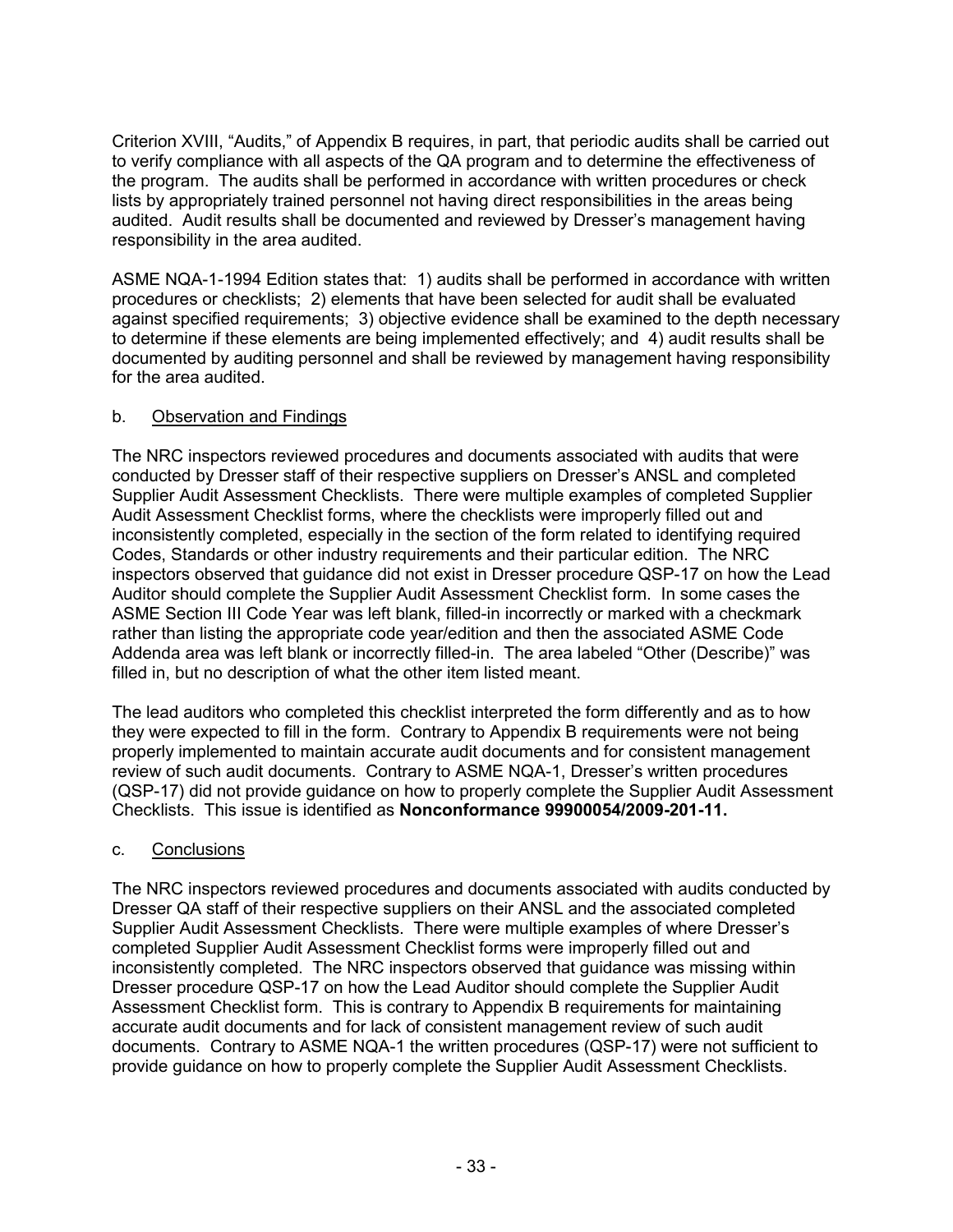Criterion XVIII, "Audits," of Appendix B requires, in part, that periodic audits shall be carried out to verify compliance with all aspects of the QA program and to determine the effectiveness of the program. The audits shall be performed in accordance with written procedures or check lists by appropriately trained personnel not having direct responsibilities in the areas being audited. Audit results shall be documented and reviewed by Dresser's management having responsibility in the area audited.

ASME NQA-1-1994 Edition states that: 1) audits shall be performed in accordance with written procedures or checklists; 2) elements that have been selected for audit shall be evaluated against specified requirements; 3) objective evidence shall be examined to the depth necessary to determine if these elements are being implemented effectively; and 4) audit results shall be documented by auditing personnel and shall be reviewed by management having responsibility for the area audited.

# b. Observation and Findings

The NRC inspectors reviewed procedures and documents associated with audits that were conducted by Dresser staff of their respective suppliers on Dresser's ANSL and completed Supplier Audit Assessment Checklists. There were multiple examples of completed Supplier Audit Assessment Checklist forms, where the checklists were improperly filled out and inconsistently completed, especially in the section of the form related to identifying required Codes, Standards or other industry requirements and their particular edition. The NRC inspectors observed that guidance did not exist in Dresser procedure QSP-17 on how the Lead Auditor should complete the Supplier Audit Assessment Checklist form. In some cases the ASME Section III Code Year was left blank, filled-in incorrectly or marked with a checkmark rather than listing the appropriate code year/edition and then the associated ASME Code Addenda area was left blank or incorrectly filled-in. The area labeled "Other (Describe)" was filled in, but no description of what the other item listed meant.

The lead auditors who completed this checklist interpreted the form differently and as to how they were expected to fill in the form. Contrary to Appendix B requirements were not being properly implemented to maintain accurate audit documents and for consistent management review of such audit documents. Contrary to ASME NQA-1, Dresser's written procedures (QSP-17) did not provide guidance on how to properly complete the Supplier Audit Assessment Checklists. This issue is identified as **Nonconformance 99900054/2009-201-11.** 

# c. Conclusions

The NRC inspectors reviewed procedures and documents associated with audits conducted by Dresser QA staff of their respective suppliers on their ANSL and the associated completed Supplier Audit Assessment Checklists. There were multiple examples of where Dresser's completed Supplier Audit Assessment Checklist forms were improperly filled out and inconsistently completed. The NRC inspectors observed that guidance was missing within Dresser procedure QSP-17 on how the Lead Auditor should complete the Supplier Audit Assessment Checklist form. This is contrary to Appendix B requirements for maintaining accurate audit documents and for lack of consistent management review of such audit documents. Contrary to ASME NQA-1 the written procedures (QSP-17) were not sufficient to provide guidance on how to properly complete the Supplier Audit Assessment Checklists.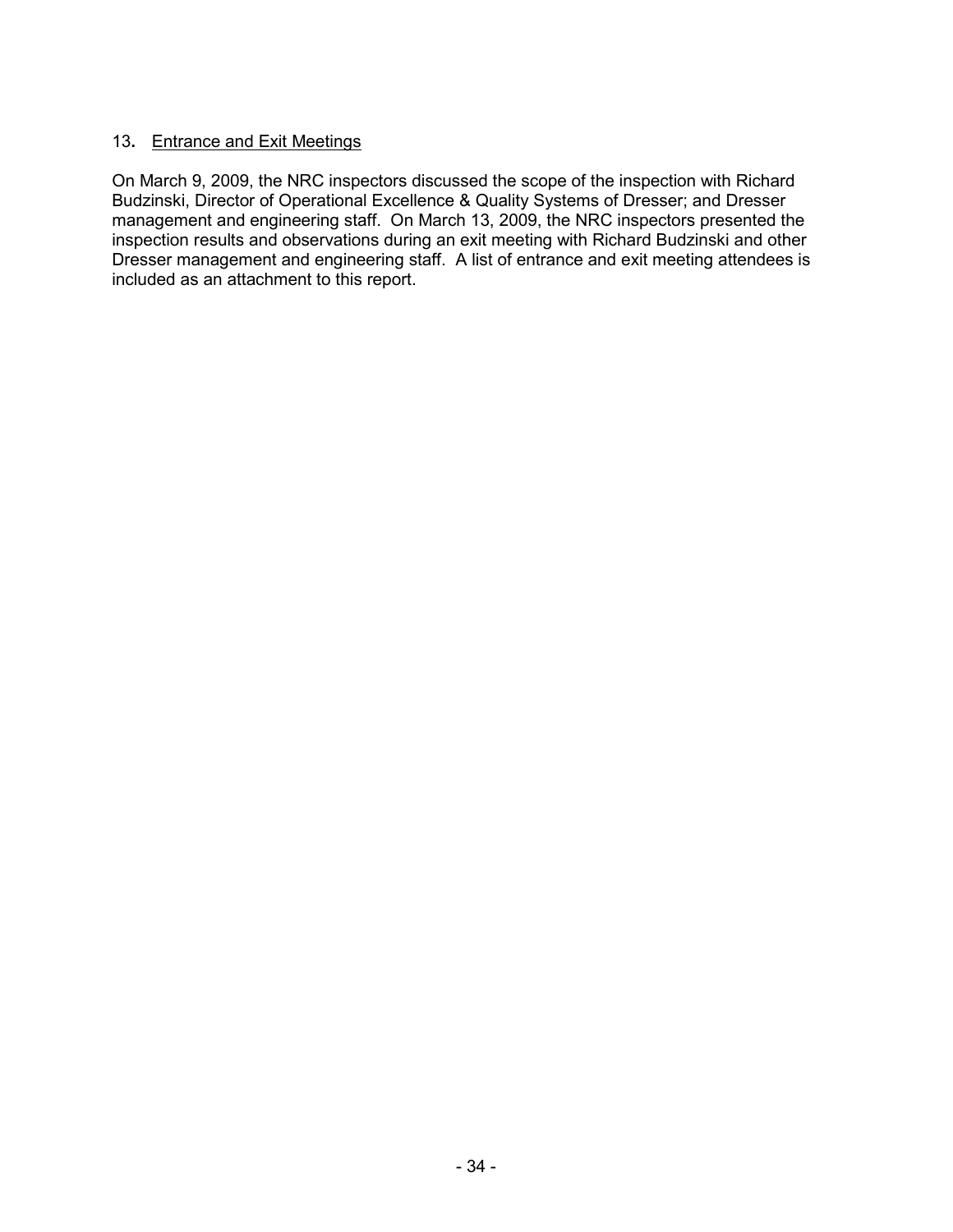## 13**.** Entrance and Exit Meetings

On March 9, 2009, the NRC inspectors discussed the scope of the inspection with Richard Budzinski, Director of Operational Excellence & Quality Systems of Dresser; and Dresser management and engineering staff. On March 13, 2009, the NRC inspectors presented the inspection results and observations during an exit meeting with Richard Budzinski and other Dresser management and engineering staff.A list of entrance and exit meeting attendees is included as an attachment to this report.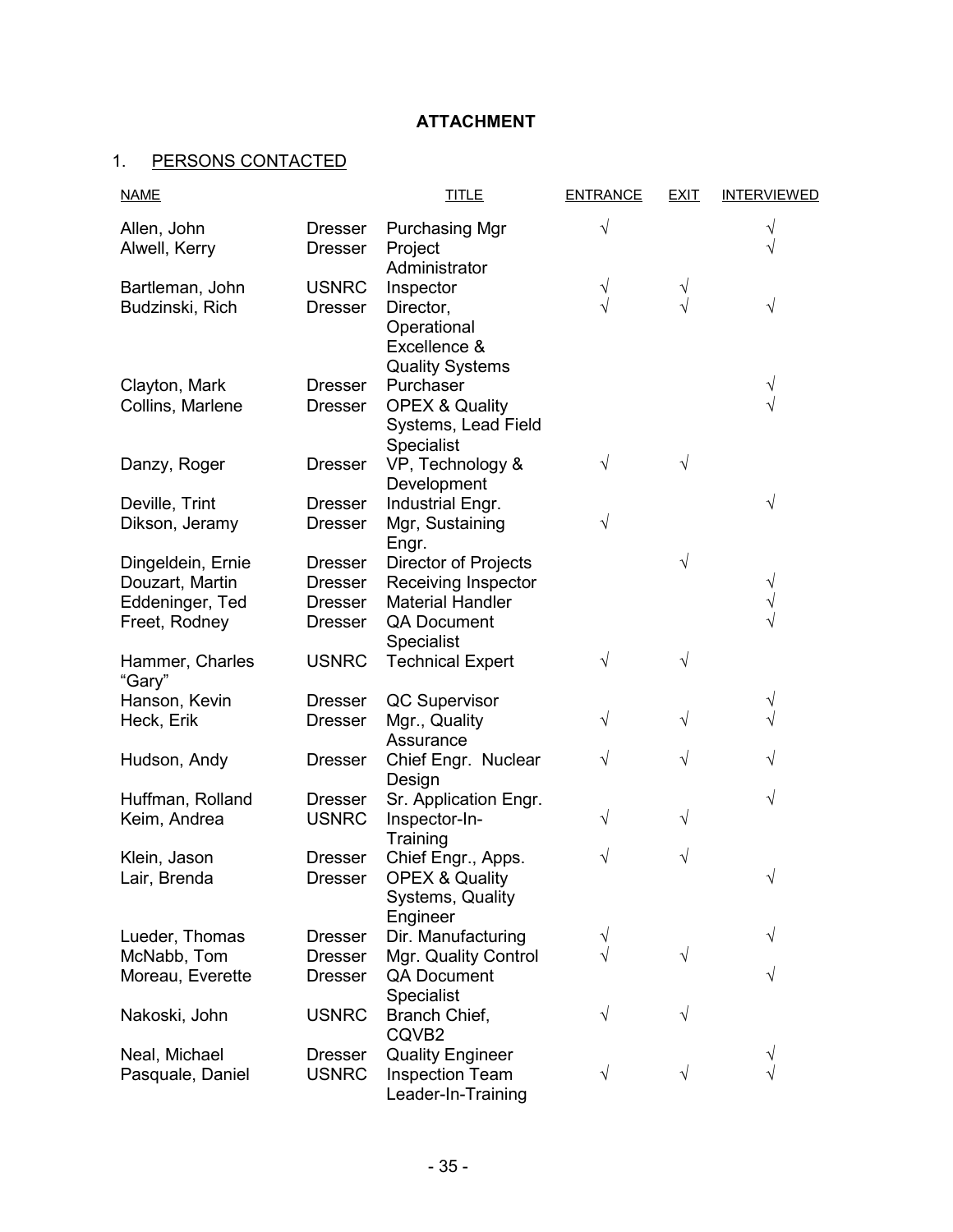# **ATTACHMENT**

# 1. PERSONS CONTACTED

| <b>NAME</b>                                                              |                                                                      | <b>TITLE</b>                                                                                                      | <b>ENTRANCE</b> | <b>EXIT</b> | <b>INTERVIEWED</b> |
|--------------------------------------------------------------------------|----------------------------------------------------------------------|-------------------------------------------------------------------------------------------------------------------|-----------------|-------------|--------------------|
| Allen, John<br>Alwell, Kerry                                             | <b>Dresser</b><br><b>Dresser</b>                                     | <b>Purchasing Mgr</b><br>Project<br>Administrator                                                                 | V               |             | ٦<br>V             |
| Bartleman, John<br>Budzinski, Rich                                       | <b>USNRC</b><br><b>Dresser</b>                                       | Inspector<br>Director,<br>Operational<br>Excellence &<br><b>Quality Systems</b>                                   | ٦               |             | V                  |
| Clayton, Mark<br>Collins, Marlene                                        | <b>Dresser</b><br><b>Dresser</b>                                     | Purchaser<br><b>OPEX &amp; Quality</b><br>Systems, Lead Field<br>Specialist                                       |                 |             |                    |
| Danzy, Roger                                                             | <b>Dresser</b>                                                       | VP, Technology &<br>Development                                                                                   | V               |             |                    |
| Deville, Trint<br>Dikson, Jeramy                                         | <b>Dresser</b><br><b>Dresser</b>                                     | Industrial Engr.<br>Mgr, Sustaining<br>Engr.                                                                      | V               |             | V                  |
| Dingeldein, Ernie<br>Douzart, Martin<br>Eddeninger, Ted<br>Freet, Rodney | <b>Dresser</b><br><b>Dresser</b><br><b>Dresser</b><br><b>Dresser</b> | <b>Director of Projects</b><br>Receiving Inspector<br><b>Material Handler</b><br><b>QA Document</b><br>Specialist |                 |             |                    |
| Hammer, Charles<br>"Gary"                                                | <b>USNRC</b>                                                         | <b>Technical Expert</b>                                                                                           |                 |             |                    |
| Hanson, Kevin<br>Heck, Erik                                              | <b>Dresser</b><br><b>Dresser</b>                                     | QC Supervisor<br>Mgr., Quality<br>Assurance                                                                       | V               |             | V                  |
| Hudson, Andy                                                             | <b>Dresser</b>                                                       | Chief Engr. Nuclear<br>Design                                                                                     | V               | ٧           |                    |
| Huffman, Rolland<br>Keim, Andrea                                         | <b>Dresser</b><br><b>USNRC</b>                                       | Sr. Application Engr.<br>Inspector-In-<br>Training                                                                | V               | V           | V                  |
| Klein, Jason<br>Lair, Brenda                                             | <b>Dresser</b><br>Dresser                                            | Chief Engr., Apps.<br><b>OPEX &amp; Quality</b><br>Systems, Quality<br>Engineer                                   | V               | V           |                    |
| Lueder, Thomas<br>McNabb, Tom<br>Moreau, Everette                        | <b>Dresser</b><br><b>Dresser</b><br><b>Dresser</b>                   | Dir. Manufacturing<br>Mgr. Quality Control<br><b>QA Document</b><br>Specialist                                    | ٧               |             | V<br>$\sqrt{}$     |
| Nakoski, John                                                            | <b>USNRC</b>                                                         | Branch Chief,<br>CQVB2                                                                                            | V               |             |                    |
| Neal, Michael<br>Pasquale, Daniel                                        | <b>Dresser</b><br><b>USNRC</b>                                       | <b>Quality Engineer</b><br><b>Inspection Team</b><br>Leader-In-Training                                           | V               |             | V                  |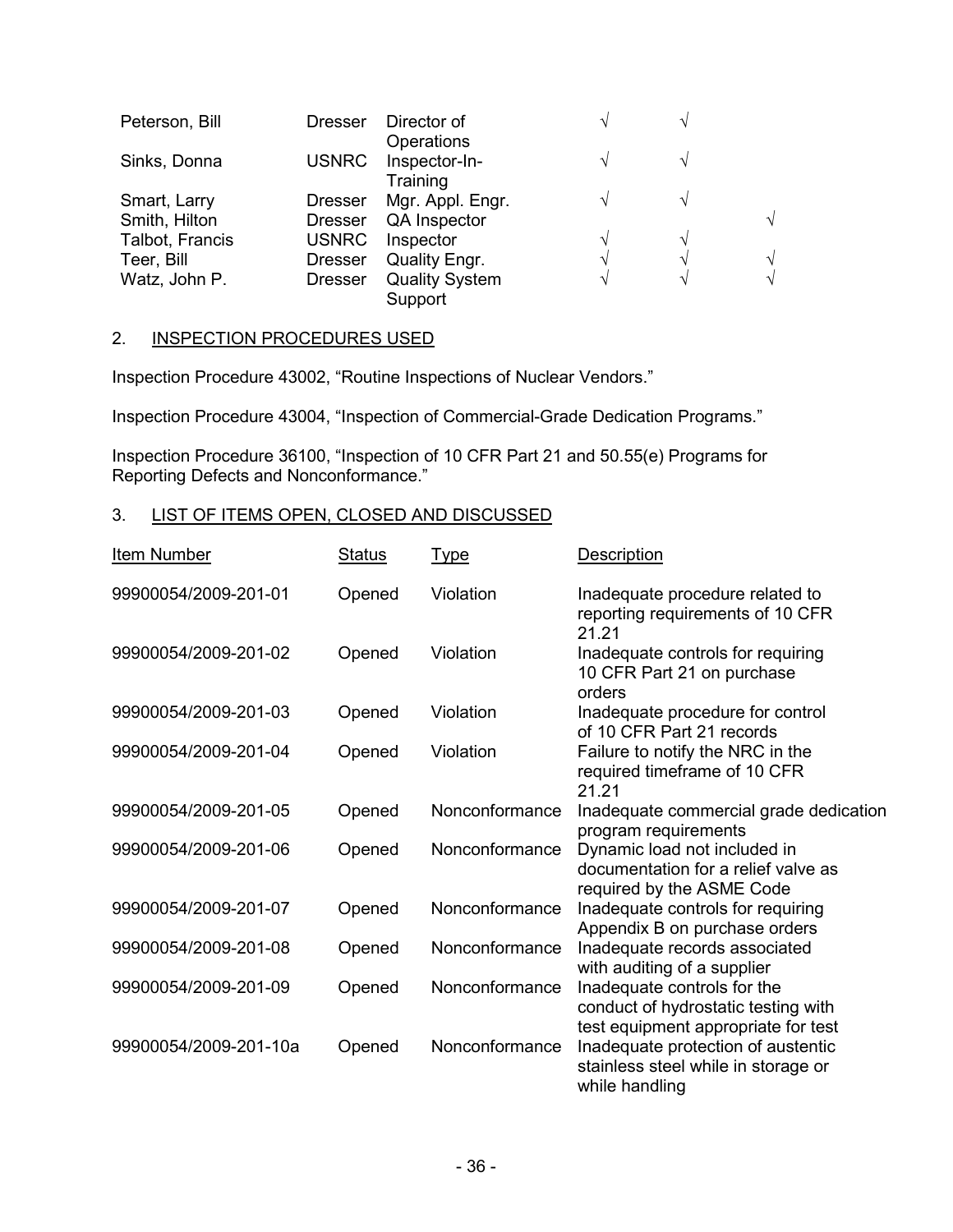| Peterson, Bill  | <b>Dresser</b> | Director of                 | $\mathbf \Lambda$ |   |            |
|-----------------|----------------|-----------------------------|-------------------|---|------------|
| Sinks, Donna    | <b>USNRC</b>   | Operations<br>Inspector-In- | ٦                 |   |            |
|                 |                | Training                    |                   |   |            |
| Smart, Larry    | <b>Dresser</b> | Mgr. Appl. Engr.            | $\mathbf{A}$      |   |            |
| Smith, Hilton   | <b>Dresser</b> | QA Inspector                |                   |   | $\sqrt{ }$ |
| Talbot, Francis | <b>USNRC</b>   | Inspector                   | ٦                 | ٦ |            |
| Teer, Bill      | <b>Dresser</b> | Quality Engr.               | $\Delta$          |   | $\sqrt{}$  |
| Watz, John P.   | <b>Dresser</b> | <b>Quality System</b>       | ٦                 | V | $\sqrt{ }$ |
|                 |                | Support                     |                   |   |            |

#### 2. INSPECTION PROCEDURES USED

Inspection Procedure 43002, "Routine Inspections of Nuclear Vendors."

Inspection Procedure 43004, "Inspection of Commercial-Grade Dedication Programs."

Inspection Procedure 36100, "Inspection of 10 CFR Part 21 and 50.55(e) Programs for Reporting Defects and Nonconformance."

# 3. LIST OF ITEMS OPEN, CLOSED AND DISCUSSED

| <b>Item Number</b>    | <u>Status</u> | <u>Type</u>    | <b>Description</b>                                                                                        |
|-----------------------|---------------|----------------|-----------------------------------------------------------------------------------------------------------|
| 99900054/2009-201-01  | Opened        | Violation      | Inadequate procedure related to<br>reporting requirements of 10 CFR<br>21.21                              |
| 99900054/2009-201-02  | Opened        | Violation      | Inadequate controls for requiring<br>10 CFR Part 21 on purchase<br>orders                                 |
| 99900054/2009-201-03  | Opened        | Violation      | Inadequate procedure for control<br>of 10 CFR Part 21 records                                             |
| 99900054/2009-201-04  | Opened        | Violation      | Failure to notify the NRC in the<br>required timeframe of 10 CFR<br>21.21                                 |
| 99900054/2009-201-05  | Opened        | Nonconformance | Inadequate commercial grade dedication<br>program requirements                                            |
| 99900054/2009-201-06  | Opened        | Nonconformance | Dynamic load not included in<br>documentation for a relief valve as<br>required by the ASME Code          |
| 99900054/2009-201-07  | Opened        | Nonconformance | Inadequate controls for requiring<br>Appendix B on purchase orders                                        |
| 99900054/2009-201-08  | Opened        | Nonconformance | Inadequate records associated<br>with auditing of a supplier                                              |
| 99900054/2009-201-09  | Opened        | Nonconformance | Inadequate controls for the<br>conduct of hydrostatic testing with<br>test equipment appropriate for test |
| 99900054/2009-201-10a | Opened        | Nonconformance | Inadequate protection of austentic<br>stainless steel while in storage or<br>while handling               |